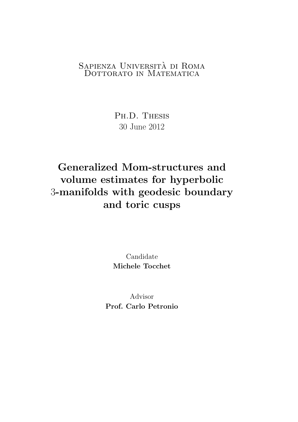### SAPIENZA UNIVERSITÀ DI ROMA DOTTORATO IN MATEMATICA

Ph.D. Thesis 30 June 2012

# Generalized Mom-structures and volume estimates for hyperbolic 3-manifolds with geodesic boundary and toric cusps

Candidate Michele Tocchet

Advisor Prof. Carlo Petronio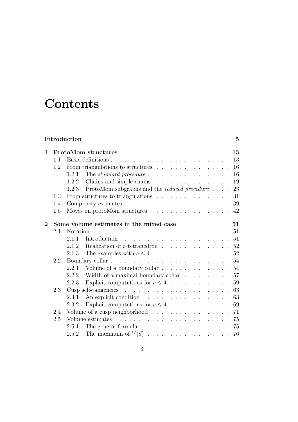# **Contents**

### Introduction 5

| $\mathbf 1$                                               |     | <b>ProtoMom structures</b><br>13                                                   |  |
|-----------------------------------------------------------|-----|------------------------------------------------------------------------------------|--|
|                                                           | 1.1 | 13                                                                                 |  |
|                                                           | 1.2 | From triangulations to structures<br>16                                            |  |
|                                                           |     | 16<br>The standard procedure $\dots \dots \dots \dots \dots \dots \dots$<br>1.2.1  |  |
|                                                           |     | 19<br>1.2.2                                                                        |  |
|                                                           |     | ProtoMom subgraphs and the <i>reduced procedure</i><br>23<br>1.2.3                 |  |
|                                                           | 1.3 | 31<br>From structures to triangulations                                            |  |
|                                                           | 1.4 | Complexity estimates $\dots \dots \dots \dots \dots \dots \dots \dots \dots$<br>39 |  |
|                                                           | 1.5 | Moves on protoMom structures $\dots \dots \dots \dots \dots \dots$<br>42           |  |
| $\overline{2}$<br>Some volume estimates in the mixed case |     |                                                                                    |  |
|                                                           | 2.1 | 51                                                                                 |  |
|                                                           |     | 51<br>2.1.1                                                                        |  |
|                                                           |     | 52<br>2.1.2<br>Realization of a tetrahedron                                        |  |
|                                                           |     | 52<br>2.1.3                                                                        |  |
|                                                           | 2.2 | 54                                                                                 |  |
|                                                           |     | 2.2.1 Volume of a boundary collar<br>54                                            |  |
|                                                           |     | 57<br>Width of a maximal boundary collar $\ldots \ldots \ldots$<br>2.2.2           |  |
|                                                           |     | Explicit computations for $c \leq 4$<br>59<br>2.2.3                                |  |
|                                                           |     |                                                                                    |  |
|                                                           | 2.3 | 63                                                                                 |  |
|                                                           |     | 63<br>2.3.1                                                                        |  |
|                                                           |     | Explicit computations for $c \leq 4$<br>69<br>2.3.2                                |  |
|                                                           | 2.4 | Volume of a cusp neighborhood<br>71                                                |  |
|                                                           | 2.5 | 75                                                                                 |  |
|                                                           |     | 75<br>2.5.1                                                                        |  |
|                                                           |     | The maximum of $V(d)$<br>76<br>2.5.2                                               |  |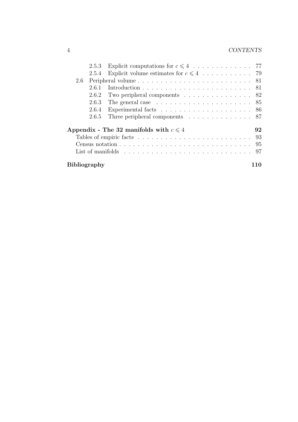### 4 CONTENTS

|                                                                                                    | 2.5.3 |                                                                                                     |  |  |  |
|----------------------------------------------------------------------------------------------------|-------|-----------------------------------------------------------------------------------------------------|--|--|--|
|                                                                                                    | 2.5.4 |                                                                                                     |  |  |  |
| 2.6                                                                                                |       | Peripheral volume $\ldots \ldots \ldots \ldots \ldots \ldots \ldots \ldots \ldots 81$               |  |  |  |
|                                                                                                    | 2.6.1 |                                                                                                     |  |  |  |
|                                                                                                    | 2.6.2 | Two peripheral components $\ldots \ldots \ldots \ldots \ldots 82$                                   |  |  |  |
|                                                                                                    | 2.6.3 |                                                                                                     |  |  |  |
|                                                                                                    | 2.6.4 | Experimental facts $\ldots \ldots \ldots \ldots \ldots \ldots \ldots 86$                            |  |  |  |
|                                                                                                    | 2.6.5 | Three peripheral components $\ldots \ldots \ldots \ldots \ldots$ 87                                 |  |  |  |
| Appendix - The 32 manifolds with $c \leq 4$<br>92                                                  |       |                                                                                                     |  |  |  |
| Tables of empiric facts $\ldots \ldots \ldots \ldots \ldots \ldots \ldots \ldots \ldots \ldots$ 93 |       |                                                                                                     |  |  |  |
|                                                                                                    |       | Census notation $\ldots \ldots \ldots \ldots \ldots \ldots \ldots \ldots \ldots \ldots$             |  |  |  |
|                                                                                                    |       | List of manifolds $\ldots \ldots \ldots \ldots \ldots \ldots \ldots \ldots \ldots \ldots \ldots$ 97 |  |  |  |
| <b>Bibliography</b>                                                                                |       |                                                                                                     |  |  |  |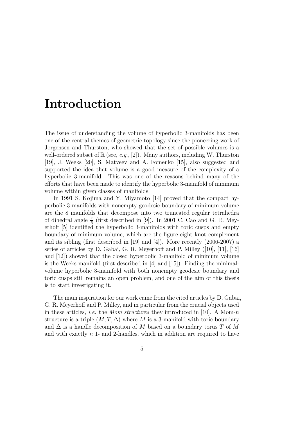# Introduction

The issue of understanding the volume of hyperbolic 3-manifolds has been one of the central themes of geometric topology since the pioneering work of Jorgensen and Thurston, who showed that the set of possible volumes is a well-ordered subset of  $\mathbb{R}$  (see, e.g., [2]). Many authors, including W. Thurston [19], J. Weeks [20], S. Matveev and A. Fomenko [15], also suggested and supported the idea that volume is a good measure of the complexity of a hyperbolic 3-manifold. This was one of the reasons behind many of the efforts that have been made to identify the hyperbolic 3-manifold of minimum volume within given classes of manifolds.

In 1991 S. Kojima and Y. Miyamoto [14] proved that the compact hyperbolic 3-manifolds with nonempty geodesic boundary of minimum volume are the 8 manifolds that decompose into two truncated regular tetrahedra of dihedral angle  $\frac{\pi}{6}$  (first described in [9]). In 2001 C. Cao and G. R. Meyerhoff [5] identified the hyperbolic 3-manifolds with toric cusps and empty boundary of minimum volume, which are the figure-eight knot complement and its sibling (first described in [19] and [4]). More recently (2006-2007) a series of articles by D. Gabai, G. R. Meyerhoff and P. Milley ([10], [11], [16] and [12]) showed that the closed hyperbolic 3-manifold of minimum volume is the Weeks manifold (first described in [4] and [15]). Finding the minimalvolume hyperbolic 3-manifold with both nonempty geodesic boundary and toric cusps still remains an open problem, and one of the aim of this thesis is to start investigating it.

The main inspiration for our work came from the cited articles by D. Gabai, G. R. Meyerhoff and P. Milley, and in particular from the crucial objects used in these articles, *i.e.* the *Mom structures* they introduced in [10]. A Mom-n structure is a triple  $(M, T, \Delta)$  where M is a 3-manifold with toric boundary and  $\Delta$  is a handle decomposition of M based on a boundary torus T of M and with exactly  $n$  1- and 2-handles, which in addition are required to have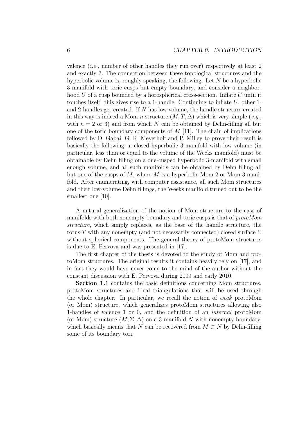valence (i.e., number of other handles they run over) respectively at least 2 and exactly 3. The connection between these topological structures and the hyperbolic volume is, roughly speaking, the following. Let N be a hyperbolic 3-manifold with toric cusps but empty boundary, and consider a neighborhood  $U$  of a cusp bounded by a horospherical cross-section. Inflate  $U$  until it touches itself: this gives rise to a 1-handle. Continuing to inflate  $U$ , other 1and 2-handles get created. If N has low volume, the handle structure created in this way is indeed a Mom-n structure  $(M, T, \Delta)$  which is very simple  $(e.g.,$ with  $n = 2$  or 3) and from which N can be obtained by Dehn-filling all but one of the toric boundary components of  $M$  [11]. The chain of implications followed by D. Gabai, G. R. Meyerhoff and P. Milley to prove their result is basically the following: a closed hyperbolic 3-manifold with low volume (in particular, less than or equal to the volume of the Weeks manifold) must be obtainable by Dehn filling on a one-cusped hyperbolic 3-manifold with small enough volume, and all such manifolds can be obtained by Dehn filling all but one of the cusps of  $M$ , where  $M$  is a hyperbolic Mom-2 or Mom-3 manifold. After enumerating, with computer assistance, all such Mom structures and their low-volume Dehn fillings, the Weeks manifold turned out to be the smallest one [10].

A natural generalization of the notion of Mom structure to the case of manifolds with both nonempty boundary and toric cusps is that of protoMom structure, which simply replaces, as the base of the handle structure, the torus T with any nonempty (and not necessarily connected) closed surface  $\Sigma$ without spherical components. The general theory of protoMom structures is due to E. Pervova and was presented in [17].

The first chapter of the thesis is devoted to the study of Mom and protoMom structures. The original results it contains heavily rely on [17], and in fact they would have never come to the mind of the author without the constant discussion with E. Pervova during 2009 and early 2010.

Section 1.1 contains the basic definitions concerning Mom structures, protoMom structures and ideal triangulations that will be used through the whole chapter. In particular, we recall the notion of weak protoMom (or Mom) structure, which generalizes protoMom structures allowing also 1-handles of valence 1 or 0, and the definition of an internal protoMom (or Mom) structure  $(M, \Sigma, \Delta)$  on a 3-manifold N with nonempty boundary, which basically means that N can be recovered from  $M \subset N$  by Dehn-filling some of its boundary tori.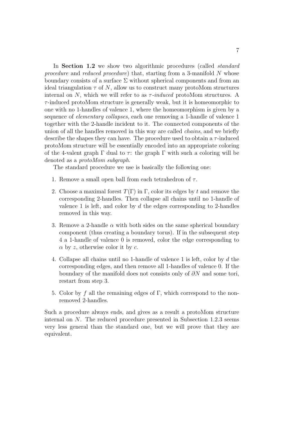In **Section 1.2** we show two algorithmic procedures (called *standard* procedure and reduced procedure) that, starting from a 3-manifold N whose boundary consists of a surface  $\Sigma$  without spherical components and from an ideal triangulation  $\tau$  of N, allow us to construct many protoMom structures internal on N, which we will refer to as  $\tau$ -induced protoMom structures. A  $\tau$ -induced protoMom structure is generally weak, but it is homeomorphic to one with no 1-handles of valence 1, where the homeomorphism is given by a sequence of elementary collapses, each one removing a 1-handle of valence 1 together with the 2-handle incident to it. The connected components of the union of all the handles removed in this way are called chains, and we briefly describe the shapes they can have. The procedure used to obtain a  $\tau$ -induced protoMom structure will be essentially encoded into an appropriate coloring of the 4-valent graph  $\Gamma$  dual to  $\tau$ : the graph  $\Gamma$  with such a coloring will be denoted as a protoMom subgraph.

The standard procedure we use is basically the following one:

- 1. Remove a small open ball from each tetrahedron of  $\tau$ .
- 2. Choose a maximal forest  $T(\Gamma)$  in  $\Gamma$ , color its edges by t and remove the corresponding 2-handles. Then collapse all chains until no 1-handle of valence 1 is left, and color by  $d$  the edges corresponding to 2-handles removed in this way.
- 3. Remove a 2-handle  $\alpha$  with both sides on the same spherical boundary component (thus creating a boundary torus). If in the subsequent step 4 a 1-handle of valence 0 is removed, color the edge corresponding to  $\alpha$  by z, otherwise color it by c.
- 4. Collapse all chains until no 1-handle of valence 1 is left, color by d the corresponding edges, and then remove all 1-handles of valence 0. If the boundary of the manifold does not consists only of  $\partial N$  and some tori, restart from step 3.
- 5. Color by f all the remaining edges of Γ, which correspond to the nonremoved 2-handles.

Such a procedure always ends, and gives as a result a protoMom structure internal on  $N$ . The reduced procedure presented in Subsection 1.2.3 seems very less general than the standard one, but we will prove that they are equivalent.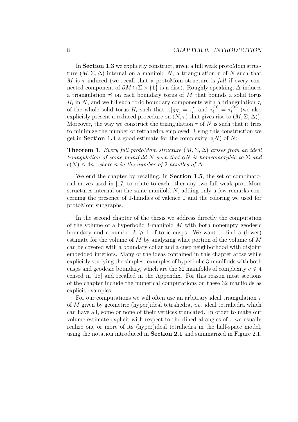In **Section 1.3** we explicitly construct, given a full weak protoMom structure  $(M, \Sigma, \Delta)$  internal on a manifold N, a triangulation  $\tau$  of N such that M is  $\tau$ -induced (we recall that a protoMom structure is full if every connected component of  $\partial M \cap \Sigma \times \{1\}$  is a disc). Roughly speaking,  $\Delta$  induces a triangulation  $\tau'_i$  on each boundary torus of M that bounds a solid torus  $H_i$  in N, and we fill such toric boundary components with a triangulation  $\tau_i$ of the whole solid torus  $H_i$  such that  $\tau_i|_{\partial H_i} = \tau'_i$ , and  $\tau_i^{(0)} = \tau'_i^{(0)}$  (we also explicitly present a reduced procedure on  $(N, \tau)$  that gives rise to  $(M, \Sigma, \Delta)$ ). Moreover, the way we construct the triangulation  $\tau$  of N is such that it tries to minimize the number of tetrahedra employed. Using this construction we get in Section 1.4 a good estimate for the complexity  $c(N)$  of N:

**Theorem 1.** Every full protoMom structure  $(M, \Sigma, \Delta)$  arises from an ideal triangulation of some manifold N such that  $\partial N$  is homeomorphic to  $\Sigma$  and  $c(N) \leq 4n$ , where n in the number of 2-handles of  $\Delta$ .

We end the chapter by recalling, in **Section 1.5**, the set of combinatorial moves used in [17] to relate to each other any two full weak protoMom structures internal on the same manifold  $N$ , adding only a few remarks concerning the presence of 1-handles of valence 0 and the coloring we used for protoMom subgraphs.

In the second chapter of the thesis we address directly the computation of the volume of a hyperbolic 3-manifold  $M$  with both nonempty geodesic boundary and a number  $k \geq 1$  of toric cusps. We want to find a (lower) estimate for the volume of M by analyzing what portion of the volume of M can be covered with a boundary collar and a cusp neighborhood with disjoint embedded interiors. Many of the ideas contained in this chapter arose while explicitly studying the simplest examples of hyperbolic 3-manifolds with both cusps and geodesic boundary, which are the 32 manifolds of complexity  $c \leq 4$ censed in [18] and recalled in the Appendix. For this reason most sections of the chapter include the numerical computations on these 32 manifolds as explicit examples.

For our computations we will often use an arbitrary ideal triangulation  $\tau$ of M given by geometric (hyper)ideal tetrahedra, i.e. ideal tetrahedra which can have all, some or none of their vertices truncated. In order to make our volume estimate explicit with respect to the dihedral angles of  $\tau$  we usually realize one or more of its (hyper)ideal tetrahedra in the half-space model, using the notation introduced in **Section 2.1** and summarized in Figure 2.1.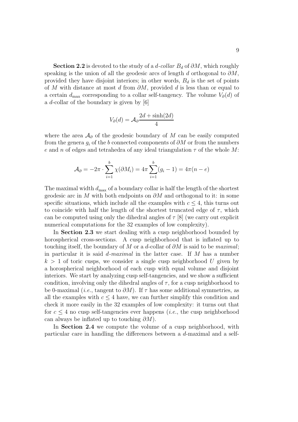Section 2.2 is devoted to the study of a d-collar  $B_d$  of  $\partial M$ , which roughly speaking is the union of all the geodesic arcs of length d orthogonal to  $\partial M$ , provided they have disjoint interiors; in other words,  $B_d$  is the set of points of M with distance at most d from  $\partial M$ , provided d is less than or equal to a certain  $d_{\text{max}}$  corresponding to a collar self-tangency. The volume  $V_{\partial}(d)$  of a d-collar of the boundary is given by [6]

$$
V_{\partial}(d) = \mathcal{A}_{\partial} \frac{2d + \sinh(2d)}{4}
$$

where the area  $\mathcal{A}_{\partial}$  of the geodesic boundary of M can be easily computed from the genera  $g_i$  of the b connected components of  $\partial M$  or from the numbers e and n of edges and tetrahedra of any ideal triangulation  $\tau$  of the whole M:

$$
\mathcal{A}_{\partial} = -2\pi \cdot \sum_{i=1}^{b} \chi(\partial M_i) = 4\pi \sum_{i=1}^{b} (g_i - 1) = 4\pi (n - e)
$$

The maximal width  $d_{\text{max}}$  of a boundary collar is half the length of the shortest geodesic arc in M with both endpoints on  $\partial M$  and orthogonal to it: in some specific situations, which include all the examples with  $c \leq 4$ , this turns out to coincide with half the length of the shortest truncated edge of  $\tau$ , which can be computed using only the dihedral angles of  $\tau$  [8] (we carry out explicit numerical computations for the 32 examples of low complexity).

In **Section 2.3** we start dealing with a cusp neighborhood bounded by horospherical cross-sections. A cusp neighborhood that is inflated up to touching itself, the boundary of M or a d-collar of  $\partial M$  is said to be *maximal*; in particular it is said  $d$ -maximal in the latter case. If M has a number  $k > 1$  of toric cusps, we consider a single cusp neighborhood U given by a horospherical neighborhood of each cusp with equal volume and disjoint interiors. We start by analyzing cusp self-tangencies, and we show a sufficient condition, involving only the dihedral angles of  $\tau$ , for a cusp neighborhood to be 0-maximal (*i.e.*, tangent to  $\partial M$ ). If  $\tau$  has some additional symmetries, as all the examples with  $c \leq 4$  have, we can further simplify this condition and check it more easily in the 32 examples of low complexity: it turns out that for  $c \leq 4$  no cusp self-tangencies ever happens (*i.e.*, the cusp neighborhood can always be inflated up to touching  $\partial M$ ).

In Section 2.4 we compute the volume of a cusp neighborhood, with particular care in handling the differences between a d-maximal and a self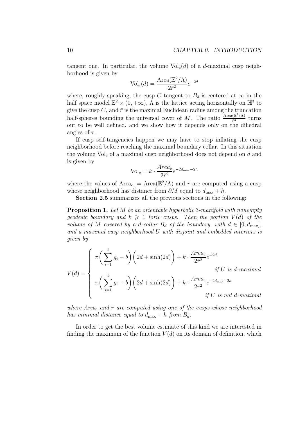tangent one. In particular, the volume  $\text{Vol}_{c}(d)$  of a d-maximal cusp neighborhood is given by

$$
Vol_c(d) = \frac{Area(\mathbb{E}^2/\Lambda)}{2\bar{r}^2}e^{-2d}
$$

where, roughly speaking, the cusp C tangent to  $B_d$  is centered at  $\infty$  in the half space model  $\mathbb{E}^2 \times (0, +\infty)$ ,  $\Lambda$  is the lattice acting horizontally on  $\mathbb{H}^3$  to give the cusp  $C$ , and  $\bar{r}$  is the maximal Euclidean radius among the truncation half-spheres bounding the universal cover of M. The ratio  $\frac{\text{Area}(\mathbb{E}^2/\Lambda)}{\bar{r}^2}$  turns not to be well defined, and we show how it depends only on the dihedral angles of  $\tau$ .

If cusp self-tangencies happen we may have to stop inflating the cusp neighborhood before reaching the maximal boundary collar. In this situation the volume  $\text{Vol}_c$  of a maximal cusp neighborhood does not depend on d and is given by

$$
\text{Vol}_c = k \cdot \frac{\text{Area}_c}{2\bar{r}^2} e^{-2d_{\text{max}} - 2h}
$$

where the values of Area<sub>c</sub> := Area( $\mathbb{E}^2/\Lambda$ ) and  $\bar{r}$  are computed using a cusp whose neighborhood has distance from  $\partial M$  equal to  $d_{\text{max}} + h$ .

Section 2.5 summarizes all the previous sections in the following:

Proposition 1. Let M be an orientable hyperbolic 3-manifold with nonempty qeodesic boundary and  $k \geq 1$  toric cusps. Then the portion  $V(d)$  of the volume of M covered by a d-collar  $B_d$  of the boundary, with  $d \in [0, d_{\text{max}}]$ , and a maximal cusp neighborhood U with disjoint and embedded interiors is given by

$$
V(d) = \begin{cases} \pi \left( \sum_{i=1}^{b} g_i - b \right) \left( 2d + \sinh(2d) \right) + k \cdot \frac{Area_c}{2\bar{r}^2} e^{-2d} \\ \pi \left( \sum_{i=1}^{b} g_i - b \right) \left( 2d + \sinh(2d) \right) + k \cdot \frac{Area_c}{2\bar{r}^2} e^{-2d_{\text{max}} - 2h} \\ \text{if } U \text{ is not } d\text{-maximal} \end{cases}
$$

where Area<sub>c</sub> and  $\bar{r}$  are computed using one of the cusps whose neighborhood has minimal distance equal to  $d_{\text{max}} + h$  from  $B_d$ .

In order to get the best volume estimate of this kind we are interested in finding the maximum of the function  $V(d)$  on its domain of definition, which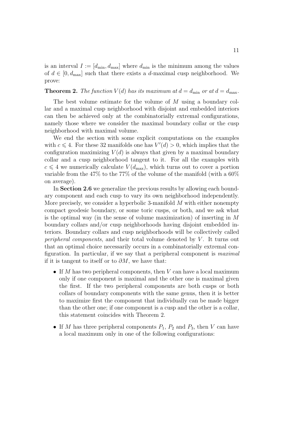is an interval  $I := [d_{\min}, d_{\max}]$  where  $d_{\min}$  is the minimum among the values of  $d \in [0, d_{\text{max}}]$  such that there exists a d-maximal cusp neighborhood. We prove:

#### **Theorem 2.** The function  $V(d)$  has its maximum at  $d = d_{\min}$  or at  $d = d_{\max}$ .

The best volume estimate for the volume of M using a boundary collar and a maximal cusp neighborhood with disjoint and embedded interiors can then be achieved only at the combinatorially extremal configurations, namely those where we consider the maximal boundary collar or the cusp neighborhood with maximal volume.

We end the section with some explicit computations on the examples with  $c \leq 4$ . For these 32 manifolds one has  $V'(d) > 0$ , which implies that the configuration maximizing  $V(d)$  is always that given by a maximal boundary collar and a cusp neighborhood tangent to it. For all the examples with  $c \leq 4$  we numerically calculate  $V(d_{\text{max}})$ , which turns out to cover a portion variable from the  $47\%$  to the  $77\%$  of the volume of the manifold (with a  $60\%$ ) on average).

In Section 2.6 we generalize the previous results by allowing each boundary component and each cusp to vary its own neighborhood independently. More precisely, we consider a hyperbolic 3-manifold  $M$  with either nonempty compact geodesic boundary, or some toric cusps, or both, and we ask what is the optimal way (in the sense of volume maximization) of inserting in M boundary collars and/or cusp neighborhoods having disjoint embedded interiors. Boundary collars and cusp neighborhoods will be collectively called peripheral components, and their total volume denoted by  $V$ . It turns out that an optimal choice necessarily occurs in a combinatorially extremal configuration. In particular, if we say that a peripheral component is maximal if it is tangent to itself or to  $\partial M$ , we have that:

- If  $M$  has two peripheral components, then  $V$  can have a local maximum only if one component is maximal and the other one is maximal given the first. If the two peripheral components are both cusps or both collars of boundary components with the same genus, then it is better to maximize first the component that individually can be made bigger than the other one; if one component is a cusp and the other is a collar, this statement coincides with Theorem 2.
- If M has three peripheral components  $P_1$ ,  $P_2$  and  $P_3$ , then V can have a local maximum only in one of the following configurations: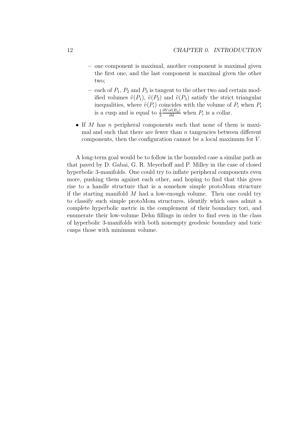- one component is maximal, another component is maximal given the first one, and the last component is maximal given the other two;
- each of  $P_1$ ,  $P_2$  and  $P_3$  is tangent to the other two and certain modified volumes  $\tilde{v}(P_1)$ ,  $\tilde{v}(P_2)$  and  $\tilde{v}(P_3)$  satisfy the strict triangular inequalities, where  $\tilde{v}(P_i)$  coincides with the volume of  $P_i$  when  $P_i$ is a cusp and is equal to  $\frac{1}{2}$  $\frac{\partial Vol(B_d)}{\partial d}$  when  $P_i$  is a collar.
- If M has n peripheral components such that none of them is maximal and such that there are fewer than  $n$  tangencies between different components, then the configuration cannot be a local maximum for V .

A long-term goal would be to follow in the bounded case a similar path as that paved by D. Gabai, G. R. Meyerhoff and P. Milley in the case of closed hyperbolic 3-manifolds. One could try to inflate peripheral components even more, pushing them against each other, and hoping to find that this gives rise to a handle structure that is a somehow simple protoMom structure if the starting manifold  $M$  had a low-enough volume. Then one could try to classify such simple protoMom structures, identify which ones admit a complete hyperbolic metric in the complement of their boundary tori, and enumerate their low-volume Dehn fillings in order to find even in the class of hyperbolic 3-manifolds with both nonempty geodesic boundary and toric cusps those with minimum volume.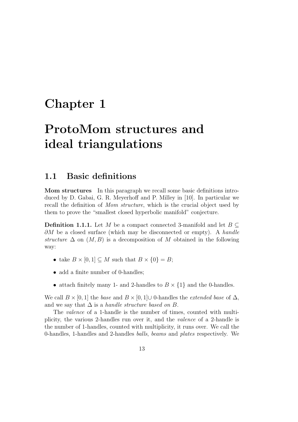# Chapter 1

# ProtoMom structures and ideal triangulations

### 1.1 Basic definitions

Mom structures In this paragraph we recall some basic definitions introduced by D. Gabai, G. R. Meyerhoff and P. Milley in [10]. In particular we recall the definition of Mom structure, which is the crucial object used by them to prove the "smallest closed hyperbolic manifold" conjecture.

**Definition 1.1.1.** Let M be a compact connected 3-manifold and let  $B \subset$  $\partial M$  be a closed surface (which may be disconnected or empty). A handle structure  $\Delta$  on  $(M, B)$  is a decomposition of M obtained in the following way:

- take  $B \times [0,1] \subseteq M$  such that  $B \times \{0\} = B$ ;
- add a finite number of 0-handles;
- attach finitely many 1- and 2-handles to  $B \times \{1\}$  and the 0-handles.

We call  $B \times [0, 1]$  the base and  $B \times [0, 1] \cup 0$ -handles the *extended base* of  $\Delta$ , and we say that  $\Delta$  is a handle structure based on B.

The valence of a 1-handle is the number of times, counted with multiplicity, the various 2-handles run over it, and the valence of a 2-handle is the number of 1-handles, counted with multiplicity, it runs over. We call the 0-handles, 1-handles and 2-handles balls, beams and plates respectively. We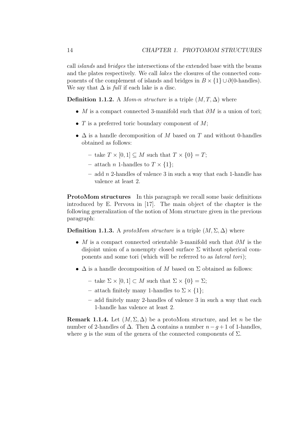call islands and bridges the intersections of the extended base with the beams and the plates respectively. We call lakes the closures of the connected components of the complement of islands and bridges in  $B \times \{1\} \cup \partial$  (0-handles). We say that  $\Delta$  is *full* if each lake is a disc.

**Definition 1.1.2.** A Mom-n structure is a triple  $(M, T, \Delta)$  where

- M is a compact connected 3-manifold such that  $\partial M$  is a union of tori;
- $T$  is a preferred toric boundary component of  $M$ ;
- $\Delta$  is a handle decomposition of M based on T and without 0-handles obtained as follows:
	- take  $T \times [0, 1] \subset M$  such that  $T \times \{0\} = T$ ;
	- attach n 1-handles to  $T \times \{1\}$ ;
	- $-$  add n 2-handles of valence 3 in such a way that each 1-handle has valence at least 2.

**ProtoMom structures** In this paragraph we recall some basic definitions introduced by E. Pervova in [17]. The main object of the chapter is the following generalization of the notion of Mom structure given in the previous paragraph:

**Definition 1.1.3.** A protoMom structure is a triple  $(M, \Sigma, \Delta)$  where

- M is a compact connected orientable 3-manifold such that  $\partial M$  is the disjoint union of a nonempty closed surface  $\Sigma$  without spherical components and some tori (which will be referred to as lateral tori);
- $\Delta$  is a handle decomposition of M based on  $\Sigma$  obtained as follows:
	- take  $\Sigma \times [0,1] \subset M$  such that  $\Sigma \times \{0\} = \Sigma$ ;
	- attach finitely many 1-handles to  $\Sigma \times \{1\};$
	- add finitely many 2-handles of valence 3 in such a way that each 1-handle has valence at least 2.

**Remark 1.1.4.** Let  $(M, \Sigma, \Delta)$  be a protoMom structure, and let n be the number of 2-handles of  $\Delta$ . Then  $\Delta$  contains a number  $n-q+1$  of 1-handles, where g is the sum of the genera of the connected components of  $\Sigma$ .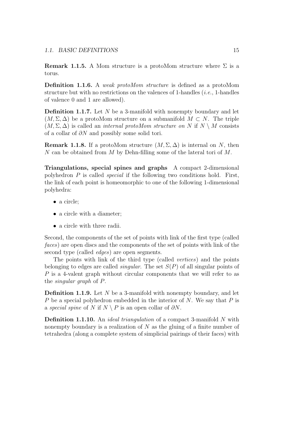**Remark 1.1.5.** A Mom structure is a protoMom structure where  $\Sigma$  is a torus.

Definition 1.1.6. A weak protoMom structure is defined as a protoMom structure but with no restrictions on the valences of 1-handles  $(i.e., 1$ -handles of valence 0 and 1 are allowed).

**Definition 1.1.7.** Let  $N$  be a 3-manifold with nonempty boundary and let  $(M, \Sigma, \Delta)$  be a protoMom structure on a submanifold  $M \subset N$ . The triple  $(M, \Sigma, \Delta)$  is called an *internal protoMom structure on* N if  $N \setminus M$  consists of a collar of  $\partial N$  and possibly some solid tori.

**Remark 1.1.8.** If a protoMom structure  $(M, \Sigma, \Delta)$  is internal on N, then N can be obtained from M by Dehn-filling some of the lateral tori of  $M$ .

Triangulations, special spines and graphs A compact 2-dimensional polyhedron  $P$  is called *special* if the following two conditions hold. First, the link of each point is homeomorphic to one of the following 1-dimensional polyhedra:

- a circle;
- a circle with a diameter;
- a circle with three radii.

Second, the components of the set of points with link of the first type (called faces) are open discs and the components of the set of points with link of the second type (called edges) are open segments.

The points with link of the third type (called vertices) and the points belonging to edges are called *singular*. The set  $S(P)$  of all singular points of P is a 4-valent graph without circular components that we will refer to as the singular graph of P.

**Definition 1.1.9.** Let  $N$  be a 3-manifold with nonempty boundary, and let P be a special polyhedron embedded in the interior of  $N$ . We say that  $P$  is a special spine of N if  $N \setminus P$  is an open collar of  $\partial N$ .

Definition 1.1.10. An ideal triangulation of a compact 3-manifold N with nonempty boundary is a realization of  $N$  as the gluing of a finite number of tetrahedra (along a complete system of simplicial pairings of their faces) with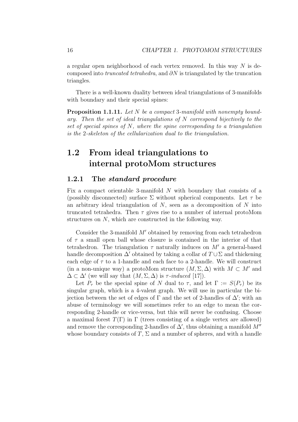a regular open neighborhood of each vertex removed. In this way  $N$  is decomposed into *truncated tetrahedra*, and  $\partial N$  is triangulated by the truncation triangles.

There is a well-known duality between ideal triangulations of 3-manifolds with boundary and their special spines:

Proposition 1.1.11. Let N be a compact 3-manifold with nonempty boundary. Then the set of ideal triangulations of N correspond bijectively to the set of special spines of  $N$ , where the spine corresponding to a triangulation is the 2-skeleton of the cellularization dual to the triangulation.

### 1.2 From ideal triangulations to internal protoMom structures

#### 1.2.1 The standard procedure

Fix a compact orientable 3-manifold N with boundary that consists of a (possibly disconnected) surface  $\Sigma$  without spherical components. Let  $\tau$  be an arbitrary ideal triangulation of  $N$ , seen as a decomposition of  $N$  into truncated tetrahedra. Then  $\tau$  gives rise to a number of internal protoMom structures on N, which are constructed in the following way.

Consider the 3-manifold  $M'$  obtained by removing from each tetrahedron of  $\tau$  a small open ball whose closure is contained in the interior of that tetrahedron. The triangulation  $\tau$  naturally induces on M' a general-based handle decomposition  $\Delta'$  obtained by taking a collar of  $T \cup \Sigma$  and thickening each edge of  $\tau$  to a 1-handle and each face to a 2-handle. We will construct (in a non-unique way) a protoMom structure  $(M, \Sigma, \Delta)$  with  $M \subset M'$  and  $\Delta \subset \Delta'$  (we will say that  $(M, \Sigma, \Delta)$  is  $\tau$ -induced [17]).

Let  $P_{\tau}$  be the special spine of N dual to  $\tau$ , and let  $\Gamma := S(P_{\tau})$  be its singular graph, which is a 4-valent graph. We will use in particular the bijection between the set of edges of  $\Gamma$  and the set of 2-handles of  $\Delta'$ ; with an abuse of terminology we will sometimes refer to an edge to mean the corresponding 2-handle or vice-versa, but this will never be confusing. Choose a maximal forest  $T(\Gamma)$  in  $\Gamma$  (trees consisting of a single vertex are allowed) and remove the corresponding 2-handles of  $\Delta'$ , thus obtaining a manifold  $M''$ whose boundary consists of  $T$ ,  $\Sigma$  and a number of spheres, and with a handle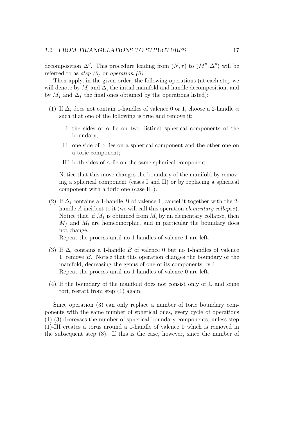decomposition  $\Delta''$ . This procedure leading from  $(N, \tau)$  to  $(M'', \Delta'')$  will be referred to as *step*  $(0)$  or *operation*  $(0)$ .

Then apply, in the given order, the following operations (at each step we will denote by  $M_i$  and  $\Delta_i$  the initial manifold and handle decomposition, and by  $M_f$  and  $\Delta_f$  the final ones obtained by the operations listed):

- (1) If  $\Delta_i$  does not contain 1-handles of valence 0 or 1, choose a 2-handle  $\alpha$ such that one of the following is true and remove it:
	- I the sides of  $\alpha$  lie on two distinct spherical components of the boundary;
	- II one side of  $\alpha$  lies on a spherical component and the other one on a toric component;
	- III both sides of  $\alpha$  lie on the same spherical component.

Notice that this move changes the boundary of the manifold by removing a spherical component (cases I and II) or by replacing a spherical component with a toric one (case III).

(2) If  $\Delta_i$  contains a 1-handle B of valence 1, cancel it together with the 2handle A incident to it (we will call this operation *elementary collapse*). Notice that, if  $M_f$  is obtained from  $M_i$  by an elementary collapse, then  $M_f$  and  $M_i$  are homeomorphic, and in particular the boundary does not change.

Repeat the process until no 1-handles of valence 1 are left.

- (3) If  $\Delta_i$  contains a 1-handle B of valence 0 but no 1-handles of valence 1, remove B. Notice that this operation changes the boundary of the manifold, decreasing the genus of one of its components by 1. Repeat the process until no 1-handles of valence 0 are left.
- (4) If the boundary of the manifold does not consist only of  $\Sigma$  and some tori, restart from step (1) again.

Since operation (3) can only replace a number of toric boundary components with the same number of spherical ones, every cycle of operations (1)-(3) decreases the number of spherical boundary components, unless step (1)-III creates a torus around a 1-handle of valence 0 which is removed in the subsequent step (3). If this is the case, however, since the number of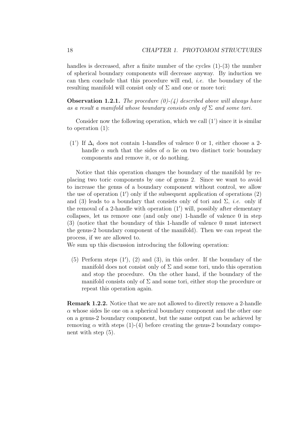handles is decreased, after a finite number of the cycles  $(1)-(3)$  the number of spherical boundary components will decrease anyway. By induction we can then conclude that this procedure will end, i.e. the boundary of the resulting manifold will consist only of  $\Sigma$  and one or more tori:

**Observation 1.2.1.** The procedure  $(0)-(4)$  described above will always have as a result a manifold whose boundary consists only of  $\Sigma$  and some tori.

Consider now the following operation, which we call  $(1')$  since it is similar to operation (1):

(1') If  $\Delta_i$  does not contain 1-handles of valence 0 or 1, either choose a 2handle  $\alpha$  such that the sides of  $\alpha$  lie on two distinct toric boundary components and remove it, or do nothing.

Notice that this operation changes the boundary of the manifold by replacing two toric components by one of genus 2. Since we want to avoid to increase the genus of a boundary component without control, we allow the use of operation (1′ ) only if the subsequent application of operations (2) and (3) leads to a boundary that consists only of tori and  $\Sigma$ , *i.e.* only if the removal of a 2-handle with operation (1′ ) will, possibly after elementary collapses, let us remove one (and only one) 1-handle of valence 0 in step (3) (notice that the boundary of this 1-handle of valence 0 must intersect the genus-2 boundary component of the manifold). Then we can repeat the process, if we are allowed to.

We sum up this discussion introducing the following operation:

(5) Perform steps (1′ ), (2) and (3), in this order. If the boundary of the manifold does not consist only of  $\Sigma$  and some tori, undo this operation and stop the procedure. On the other hand, if the boundary of the manifold consists only of  $\Sigma$  and some tori, either stop the procedure or repeat this operation again.

Remark 1.2.2. Notice that we are not allowed to directly remove a 2-handle  $\alpha$  whose sides lie one on a spherical boundary component and the other one on a genus-2 boundary component, but the same output can be achieved by removing  $\alpha$  with steps (1)-(4) before creating the genus-2 boundary component with step (5).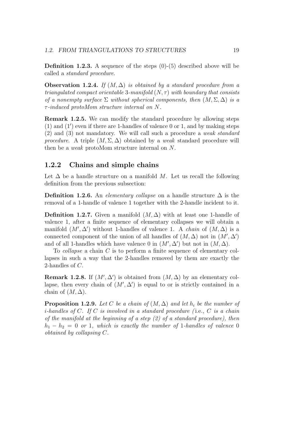**Definition 1.2.3.** A sequence of the steps  $(0)$ - $(5)$  described above will be called a standard procedure.

**Observation 1.2.4.** If  $(M, \Delta)$  is obtained by a standard procedure from a triangulated compact orientable 3-manifold  $(N, \tau)$  with boundary that consists of a nonempty surface  $\Sigma$  without spherical components, then  $(M, \Sigma, \Delta)$  is a  $\tau$ -induced protoMom structure internal on N.

Remark 1.2.5. We can modify the standard procedure by allowing steps (1) and (1′ ) even if there are 1-handles of valence 0 or 1, and by making steps (2) and (3) not mandatory. We will call such a procedure a weak standard procedure. A triple  $(M, \Sigma, \Delta)$  obtained by a weak standard procedure will then be a weak protoMom structure internal on N.

### 1.2.2 Chains and simple chains

Let  $\Delta$  be a handle structure on a manifold M. Let us recall the following definition from the previous subsection:

Definition 1.2.6. An *elementary collapse* on a handle structure  $\Delta$  is the removal of a 1-handle of valence 1 together with the 2-handle incident to it.

Definition 1.2.7. Given a manifold  $(M, \Delta)$  with at least one 1-handle of valence 1, after a finite sequence of elementary collapses we will obtain a manifold  $(M', \Delta')$  without 1-handles of valence 1. A *chain* of  $(M, \Delta)$  is a connected component of the union of all handles of  $(M, \Delta)$  not in  $(M', \Delta')$ and of all 1-handles which have valence 0 in  $(M', \Delta')$  but not in  $(M, \Delta)$ .

To collapse a chain C is to perform a finite sequence of elementary collapses in such a way that the 2-handles removed by them are exactly the 2-handles of C.

**Remark 1.2.8.** If  $(M', \Delta')$  is obtained from  $(M, \Delta)$  by an elementary collapse, then every chain of  $(M', \Delta')$  is equal to or is strictly contained in a chain of  $(M, \Delta)$ .

**Proposition 1.2.9.** Let C be a chain of  $(M, \Delta)$  and let  $h_i$  be the number of *i*-handles of  $C$ . If  $C$  is involved in a standard procedure (i.e.,  $C$  is a chain of the manifold at the beginning of a step  $(2)$  of a standard procedure), then  $h_1 - h_2 = 0$  or 1, which is exactly the number of 1-handles of valence 0 obtained by collapsing C.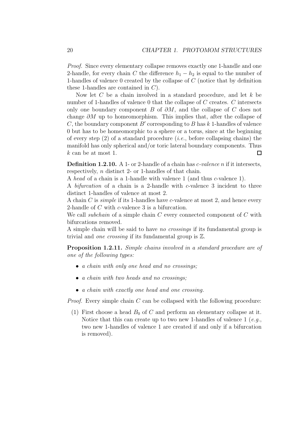Proof. Since every elementary collapse removes exactly one 1-handle and one 2-handle, for every chain C the difference  $h_1 - h_2$  is equal to the number of 1-handles of valence 0 created by the collapse of C (notice that by definition these 1-handles are contained in C).

Now let  $C$  be a chain involved in a standard procedure, and let  $k$  be number of 1-handles of valence 0 that the collapse of C creates. C intersects only one boundary component B of  $\partial M$ , and the collapse of C does not change  $\partial M$  up to homeomorphism. This implies that, after the collapse of C, the boundary component B' corresponding to B has  $k$  1-handles of valence 0 but has to be homeomorphic to a sphere or a torus, since at the beginning of every step  $(2)$  of a standard procedure *(i.e.*, before collapsing chains) the manifold has only spherical and/or toric lateral boundary components. Thus k can be at most 1.  $\Box$ 

Definition 1.2.10. A 1- or 2-handle of a chain has *c*-valence n if it intersects, respectively,  $n$  distinct 2- or 1-handles of that chain.

A head of a chain is a 1-handle with valence 1 (and thus c-valence 1).

A bifurcation of a chain is a 2-handle with c-valence 3 incident to three distinct 1-handles of valence at most 2.

A chain  $C$  is *simple* if its 1-handles have  $c$ -valence at most 2, and hence every 2-handle of C with c-valence 3 is a bifurcation.

We call *subchain* of a simple chain  $C$  every connected component of  $C$  with bifurcations removed.

A simple chain will be said to have no crossings if its fundamental group is trivial and one crossing if its fundamental group is Z.

Proposition 1.2.11. Simple chains involved in a standard procedure are of one of the following types:

- a chain with only one head and no crossings:
- a chain with two heads and no crossings:
- a chain with exactly one head and one crossing.

*Proof.* Every simple chain  $C$  can be collapsed with the following procedure:

(1) First choose a head  $B_0$  of C and perform an elementary collapse at it. Notice that this can create up to two new 1-handles of valence  $1$  (e.g., two new 1-handles of valence 1 are created if and only if a bifurcation is removed).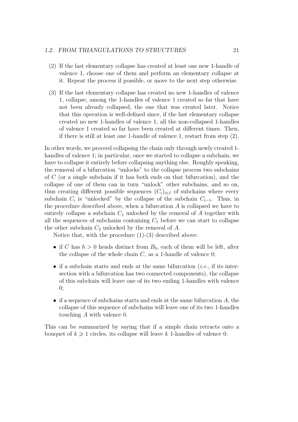- (2) If the last elementary collapse has created at least one new 1-handle of valence 1, choose one of them and perform an elementary collapse at it. Repeat the process if possible, or move to the next step otherwise.
- (3) If the last elementary collapse has created no new 1-handles of valence 1, collapse, among the 1-handles of valence 1 created so far that have not been already collapsed, the one that was created later. Notice that this operation is well-defined since, if the last elementary collapse created no new 1-handles of valence 1, all the non-collapsed 1-handles of valence 1 created so far have been created at different times. Then, if there is still at least one 1-handle of valence 1, restart from step (2).

In other words, we proceed collapsing the chain only through newly created 1 handles of valence 1; in particular, once we started to collapse a subchain, we have to collapse it entirely before collapsing anything else. Roughly speaking, the removal of a bifurcation "unlocks" to the collapse process two subchains of C (or a single subchain if it has both ends on that bifurcation), and the collapse of one of them can in turn "unlock" other subchains, and so on, thus creating different possible sequences  $(C_i)_{i\in I}$  of subchains where every subchain  $C_i$  is "unlocked" by the collapse of the subchain  $C_{i-1}$ . Thus, in the procedure described above, when a bifurcation  $A$  is collapsed we have to entirely collapse a subchain  $C_1$  unlocked by the removal of A together with all the sequences of subchains containing  $C_1$  before we can start to collapse the other subchain  $C_2$  unlocked by the removal of A.

Notice that, with the procedure (1)-(3) described above:

- if C has  $h > 0$  heads distinct from  $B_0$ , each of them will be left, after the collapse of the whole chain  $C$ , as a 1-handle of valence 0;
- if a subchain starts and ends at the same bifurcation  $(i.e.,$  if its intersection with a bifurcation has two connected components), the collapse of this subchain will leave one of its two ending 1-handles with valence 0;
- if a sequence of subchains starts and ends at the same bifurcation  $A$ , the collapse of this sequence of subchains will leave one of its two 1-handles touching A with valence 0.

This can be summarized by saying that if a simple chain retracts onto a bouquet of  $k \geq 1$  circles, its collapse will leave k 1-handles of valence 0.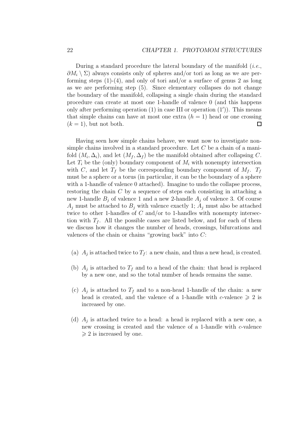During a standard procedure the lateral boundary of the manifold  $(i.e.,$  $\partial M_i \setminus \Sigma$  always consists only of spheres and/or tori as long as we are performing steps  $(1)-(4)$ , and only of tori and/or a surface of genus 2 as long as we are performing step (5). Since elementary collapses do not change the boundary of the manifold, collapsing a single chain during the standard procedure can create at most one 1-handle of valence 0 (and this happens only after performing operation (1) in case III or operation (1′ )). This means that simple chains can have at most one extra  $(h = 1)$  head or one crossing  $(k = 1)$ , but not both.  $\Box$ 

Having seen how simple chains behave, we want now to investigate nonsimple chains involved in a standard procedure. Let C be a chain of a manifold  $(M_i, \Delta_i)$ , and let  $(M_f, \Delta_f)$  be the manifold obtained after collapsing C. Let  $T_i$  be the (only) boundary component of  $M_i$  with nonempty intersection with C, and let  $T_f$  be the corresponding boundary component of  $M_f$ .  $T_f$ must be a sphere or a torus (in particular, it can be the boundary of a sphere with a 1-handle of valence 0 attached). Imagine to undo the collapse process, restoring the chain  $C$  by a sequence of steps each consisting in attaching a new 1-handle  $B_i$  of valence 1 and a new 2-handle  $A_i$  of valence 3. Of course  $A_j$  must be attached to  $B_j$  with valence exactly 1;  $A_j$  must also be attached twice to other 1-handles of C and/or to 1-handles with nonempty intersection with  $T_f$ . All the possible cases are listed below, and for each of them we discuss how it changes the number of heads, crossings, bifurcations and valences of the chain or chains "growing back" into C:

- (a)  $A_j$  is attached twice to  $T_f$ : a new chain, and thus a new head, is created.
- (b)  $A_j$  is attached to  $T_f$  and to a head of the chain: that head is replaced by a new one, and so the total number of heads remains the same.
- (c)  $A_j$  is attached to  $T_f$  and to a non-head 1-handle of the chain: a new head is created, and the valence of a 1-handle with c-valence  $\geq 2$  is increased by one.
- (d)  $A_j$  is attached twice to a head: a head is replaced with a new one, a new crossing is created and the valence of a 1-handle with c-valence  $\geqslant$  2 is increased by one.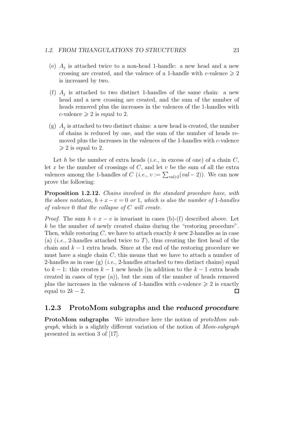- (e)  $A_j$  is attached twice to a non-head 1-handle: a new head and a new crossing are created, and the valence of a 1-handle with c-valence  $\geq 2$ is increased by two.
- (f)  $A_j$  is attached to two distinct 1-handles of the same chain: a new head and a new crossing are created, and the sum of the number of heads removed plus the increases in the valences of the 1-handles with c-valence  $\geqslant 2$  is equal to 2.
- (g)  $A_j$  is attached to two distinct chains: a new head is created, the number of chains is reduced by one, and the sum of the number of heads removed plus the increases in the valences of the 1-handles with c-valence  $\geqslant$  2 is equal to 2.

Let h be the number of extra heads (*i.e.*, in excess of one) of a chain  $C$ , let x be the number of crossings of  $C$ , and let  $v$  be the sum of all the extra valences among the 1-handles of  $C$  (*i.e.*,  $v := \sum_{val \geqslant 2} (val - 2)$ ). We can now prove the following:

Proposition 1.2.12. Chains involved in the standard procedure have, with the above notation,  $h + x - v = 0$  or 1, which is also the number of 1-handles of valence 0 that the collapse of C will create.

*Proof.* The sum  $h + x - v$  is invariant in cases (b)-(f) described above. Let k be the number of newly created chains during the "restoring procedure". Then, while restoring  $C$ , we have to attach exactly k new 2-handles as in case (a) (*i.e.*, 2-handles attached twice to T), thus creating the first head of the chain and  $k - 1$  extra heads. Since at the end of the restoring procedure we must have a single chain  $C$ , this means that we have to attach a number of 2-handles as in case  $(g)$  (*i.e.*, 2-handles attached to two distinct chains) equal to  $k-1$ : this creates  $k-1$  new heads (in addition to the  $k-1$  extra heads created in cases of type  $(a)$ , but the sum of the number of heads removed plus the increases in the valences of 1-handles with c-valence  $\geq 2$  is exactly equal to  $2k - 2$ .  $\Box$ 

### 1.2.3 ProtoMom subgraphs and the *reduced procedure*

ProtoMom subgraphs We introduce here the notion of protoMom subgraph, which is a slightly different variation of the notion of Mom-subgraph presented in section 3 of [17].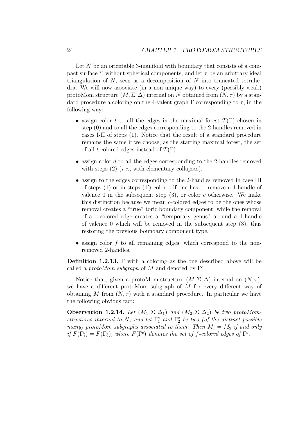Let  $N$  be an orientable 3-manifold with boundary that consists of a compact surface  $\Sigma$  without spherical components, and let  $\tau$  be an arbitrary ideal triangulation of  $N$ , seen as a decomposition of  $N$  into truncated tetrahedra. We will now associate (in a non-unique way) to every (possibly weak) protoMom structure  $(M, \Sigma, \Delta)$  internal on N obtained from  $(N, \tau)$  by a standard procedure a coloring on the 4-valent graph  $\Gamma$  corresponding to  $\tau$ , in the following way:

- assign color t to all the edges in the maximal forest  $T(\Gamma)$  chosen in step (0) and to all the edges corresponding to the 2-handles removed in cases I-II of steps (1). Notice that the result of a standard procedure remains the same if we choose, as the starting maximal forest, the set of all t-colored edges instead of  $T(\Gamma)$ .
- $\bullet$  assign color d to all the edges corresponding to the 2-handles removed with steps  $(2)$  (*i.e.*, with elementary collapses).
- assign to the edges corresponding to the 2-handles removed in case III of steps  $(1)$  or in steps  $(1')$  color z if one has to remove a 1-handle of valence 0 in the subsequent step  $(3)$ , or color c otherwise. We make this distinction because we mean c-colored edges to be the ones whose removal creates a "true" toric boundary component, while the removal of a z-colored edge creates a "temporary genus" around a 1-handle of valence 0 which will be removed in the subsequent step (3), thus restoring the previous boundary component type.
- assign color  $f$  to all remaining edges, which correspond to the nonremoved 2-handles.

Definition 1.2.13. Γ with a coloring as the one described above will be called a *protoMom subgraph* of M and denoted by  $\Gamma^c$ .

Notice that, given a protoMom-structure  $(M, \Sigma, \Delta)$  internal on  $(N, \tau)$ , we have a different protoMom subgraph of M for every different way of obtaining M from  $(N, \tau)$  with a standard procedure. In particular we have the following obvious fact:

**Observation 1.2.14.** Let  $(M_1, \Sigma, \Delta_1)$  and  $(M_2, \Sigma, \Delta_2)$  be two protoMomstructures internal to N, and let  $\Gamma_1^c$  and  $\Gamma_2^c$  be two (of the distinct possible many) protoMom subgraphs associated to them. Then  $M_1 = M_2$  if and only if  $F(\Gamma_1^c) = F(\Gamma_2^c)$ , where  $F(\Gamma^c)$  denotes the set of f-colored edges of  $\Gamma^c$ .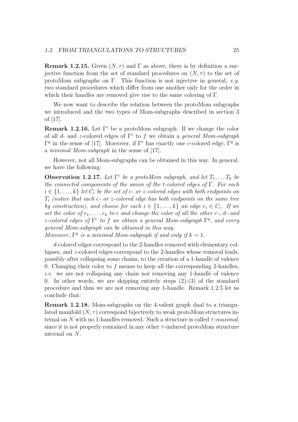**Remark 1.2.15.** Given  $(N, \tau)$  and  $\Gamma$  as above, there is by definition a surjective function from the set of standard procedures on  $(N, \tau)$  to the set of protoMom subgraphs on Γ. This function is not injective in general, e.g. two standard procedures which differ from one another only for the order in which their handles are removed give rise to the same coloring of Γ.

We now want to describe the relation between the protoMom subgraphs we introduced and the two types of Mom-subgraphs described in section 3 of [17].

**Remark 1.2.16.** Let  $\Gamma^c$  be a protoMom subgraph. If we change the color of all d- and z-colored edges of  $\Gamma^c$  to f we obtain a general Mom-subgraph Γ<sup>*g*</sup> in the sense of [17]. Moreover, if Γ<sup>*c*</sup> has exactly one *c*-colored edge, Γ<sup>*g*</sup> is a minimal Mom-subgraph in the sense of [17].

However, not all Mom-subgraphs can be obtained in this way. In general, we have the following:

**Observation 1.2.17.** Let  $\Gamma^c$  be a protoMom subgraph, and let  $T_1, \ldots, T_k$  be the connected components of the union of the t-colored edges of  $\Gamma$ . For each  $i \in \{1, \ldots, k\}$  let  $C_i$  be the set of c- or z-colored edges with both endpoints on  $T_i$  (notice that each c- or z-colored edge has both endpoints on the same tree by construction), and choose for each  $i \in \{1, ..., k\}$  an edge  $e_i \in C_i$ . If we set the color of  $e_1, \ldots, e_k$  to c and change the color of all the other c-, d- and z-colored edges of  $\Gamma^c$  to f we obtain a general Mom-subgraph  $\Gamma^g$ , and every general Mom-subgraph can be obtained in this way.

Moreover,  $\Gamma^g$  is a minimal Mom-subgraph if and only if  $k = 1$ .

d-colored edges correspond to the 2-handles removed with elementary collapses, and z-colored edges correspond to the 2-handles whose removal leads, possibly after collapsing some chains, to the creation of a 1-handle of valence 0. Changing their color to  $f$  means to keep all the corresponding 2-handles, i.e. we are not collapsing any chain nor removing any 1-handle of valence 0. In other words, we are skipping entirely steps  $(2)-(3)$  of the standard procedure and thus we are not removing any 1-handle. Remark 1.2.5 let us conclude that:

Remark 1.2.18. Mom-subgraphs on the 4-valent graph dual to a triangulated manifold  $(N, \tau)$  correspond bijectively to weak protoMom structures internal on N with no 1-handles removed. Such a structure is called  $\tau$ -maximal, since it is not properly contained in any other  $\tau$ -induced protoMom structure internal on N.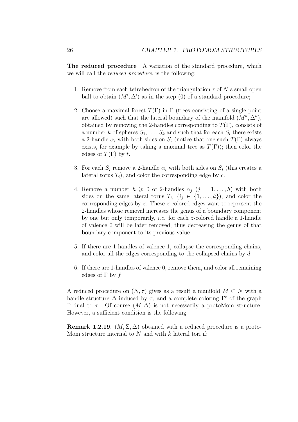The reduced procedure A variation of the standard procedure, which we will call the reduced procedure, is the following:

- 1. Remove from each tetrahedron of the triangulation  $\tau$  of N a small open ball to obtain  $(M', \Delta')$  as in the step (0) of a standard procedure;
- 2. Choose a maximal forest  $T(\Gamma)$  in  $\Gamma$  (trees consisting of a single point are allowed) such that the lateral boundary of the manifold  $(M'', \Delta'')$ , obtained by removing the 2-handles corresponding to  $T(\Gamma)$ , consists of a number k of spheres  $S_1, \ldots, S_k$  and such that for each  $S_i$  there exists a 2-handle  $\alpha_i$  with both sides on  $S_i$  (notice that one such  $T(\Gamma)$  always exists, for example by taking a maximal tree as  $T(\Gamma)$ ; then color the edges of  $T(\Gamma)$  by t.
- 3. For each  $S_i$  remove a 2-handle  $\alpha_i$  with both sides on  $S_i$  (this creates a lateral torus  $T_i$ ), and color the corresponding edge by  $c$ .
- 4. Remove a number  $h \geq 0$  of 2-handles  $\alpha_i$   $(j = 1, ..., h)$  with both sides on the same lateral torus  $T_{i_j}$   $(i_j \in \{1, ..., k\})$ , and color the corresponding edges by z. These z-colored edges want to represent the 2-handles whose removal increases the genus of a boundary component by one but only temporarily, i.e. for each z-colored handle a 1-handle of valence 0 will be later removed, thus decreasing the genus of that boundary component to its previous value.
- 5. If there are 1-handles of valence 1, collapse the corresponding chains, and color all the edges corresponding to the collapsed chains by d.
- 6. If there are 1-handles of valence 0, remove them, and color all remaining edges of  $\Gamma$  by f.

A reduced procedure on  $(N, \tau)$  gives as a result a manifold  $M \subset N$  with a handle structure  $\Delta$  induced by  $\tau$ , and a complete coloring  $\Gamma^c$  of the graph Γ dual to τ. Of course  $(M, Δ)$  is not necessarily a protoMom structure. However, a sufficient condition is the following:

**Remark 1.2.19.**  $(M, \Sigma, \Delta)$  obtained with a reduced procedure is a proto-Mom structure internal to  $N$  and with  $k$  lateral tori if: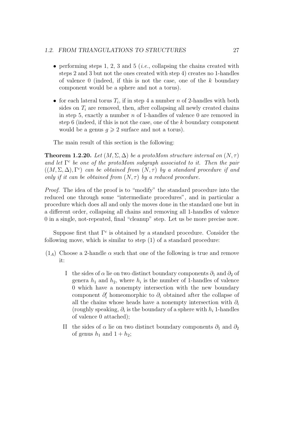#### 1.2. FROM TRIANGULATIONS TO STRUCTURES 27

- performing steps 1, 2, 3 and 5 (*i.e.*, collapsing the chains created with steps 2 and 3 but not the ones created with step 4) creates no 1-handles of valence  $0$  (indeed, if this is not the case, one of the k boundary component would be a sphere and not a torus).
- for each lateral torus  $T_i$ , if in step 4 a number n of 2-handles with both sides on  $T_i$  are removed, then, after collapsing all newly created chains in step 5, exactly a number  $n$  of 1-handles of valence 0 are removed in step 6 (indeed, if this is not the case, one of the  $k$  boundary component would be a genus  $q \geq 2$  surface and not a torus).

The main result of this section is the following:

**Theorem 1.2.20.** Let  $(M, \Sigma, \Delta)$  be a protoMom structure internal on  $(N, \tau)$ and let  $\Gamma^c$  be one of the protoMom subgraph associated to it. Then the pair  $((M, \Sigma, \Delta), \Gamma^c)$  can be obtained from  $(N, \tau)$  by a standard procedure if and only if it can be obtained from  $(N, \tau)$  by a reduced procedure.

Proof. The idea of the proof is to "modify" the standard procedure into the reduced one through some "intermediate procedures", and in particular a procedure which does all and only the moves done in the standard one but in a different order, collapsing all chains and removing all 1-handles of valence 0 in a single, not-repeated, final "cleanup" step. Let us be more precise now.

Suppose first that  $\Gamma^c$  is obtained by a standard procedure. Consider the following move, which is similar to step (1) of a standard procedure:

- $(1_A)$  Choose a 2-handle  $\alpha$  such that one of the following is true and remove it:
	- I the sides of  $\alpha$  lie on two distinct boundary components  $\partial_1$  and  $\partial_2$  of genera  $h_1$  and  $h_2$ , where  $h_i$  is the number of 1-handles of valence 0 which have a nonempty intersection with the new boundary component  $\partial_i'$  homeomorphic to  $\partial_i$  obtained after the collapse of all the chains whose heads have a nonempty intersection with  $\partial_i$ (roughly speaking,  $\partial_i$  is the boundary of a sphere with  $h_i$  1-handles of valence 0 attached);
	- II the sides of  $\alpha$  lie on two distinct boundary components  $\partial_1$  and  $\partial_2$ of genus  $h_1$  and  $1 + h_2$ ;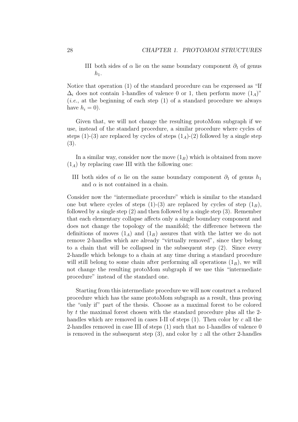III both sides of  $\alpha$  lie on the same boundary component  $\partial_1$  of genus  $h_1$ .

Notice that operation (1) of the standard procedure can be expressed as "If  $\Delta_i$  does not contain 1-handles of valence 0 or 1, then perform move  $(1_A)$ " (*i.e.*, at the beginning of each step  $(1)$  of a standard procedure we always have  $h_i = 0$ ).

Given that, we will not change the resulting protoMom subgraph if we use, instead of the standard procedure, a similar procedure where cycles of steps (1)-(3) are replaced by cycles of steps  $(1_A)-(2)$  followed by a single step (3).

In a similar way, consider now the move  $(1_B)$  which is obtained from move  $(1_A)$  by replacing case III with the following one:

III both sides of  $\alpha$  lie on the same boundary component  $\partial_1$  of genus  $h_1$ and  $\alpha$  is not contained in a chain.

Consider now the "intermediate procedure" which is similar to the standard one but where cycles of steps  $(1)-(3)$  are replaced by cycles of step  $(1_B)$ , followed by a single step (2) and then followed by a single step (3). Remember that each elementary collapse affects only a single boundary component and does not change the topology of the manifold; the difference between the definitions of moves  $(1_A)$  and  $(1_B)$  assures that with the latter we do not remove 2-handles which are already "virtually removed", since they belong to a chain that will be collapsed in the subsequent step (2). Since every 2-handle which belongs to a chain at any time during a standard procedure will still belong to some chain after performing all operations  $(1_B)$ , we will not change the resulting protoMom subgraph if we use this "intermediate procedure" instead of the standard one.

Starting from this intermediate procedure we will now construct a reduced procedure which has the same protoMom subgraph as a result, thus proving the "only if" part of the thesis. Choose as a maximal forest to be colored by t the maximal forest chosen with the standard procedure plus all the 2 handles which are removed in cases I-II of steps  $(1)$ . Then color by c all the 2-handles removed in case III of steps (1) such that no 1-handles of valence 0 is removed in the subsequent step  $(3)$ , and color by z all the other 2-handles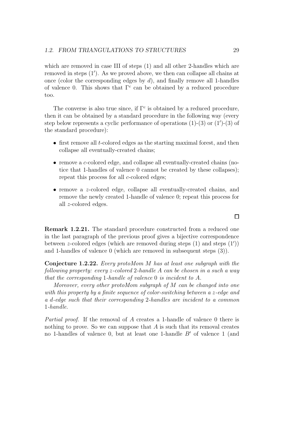which are removed in case III of steps  $(1)$  and all other 2-handles which are removed in steps (1′ ). As we proved above, we then can collapse all chains at once (color the corresponding edges by  $d$ ), and finally remove all 1-handles of valence 0. This shows that  $\Gamma^c$  can be obtained by a reduced procedure too.

The converse is also true since, if  $\Gamma^c$  is obtained by a reduced procedure, then it can be obtained by a standard procedure in the following way (every step below represents a cyclic performance of operations (1)-(3) or (1′ )-(3) of the standard procedure):

- first remove all *t*-colored edges as the starting maximal forest, and then collapse all eventually-created chains;
- remove a c-colored edge, and collapse all eventually-created chains (notice that 1-handles of valence 0 cannot be created by these collapses); repeat this process for all c-colored edges;
- remove a z-colored edge, collapse all eventually-created chains, and remove the newly created 1-handle of valence 0; repeat this process for all z-colored edges.

Remark 1.2.21. The standard procedure constructed from a reduced one in the last paragraph of the previous proof gives a bijective correspondence between z-colored edges (which are removed during steps (1) and steps (1′ )) and 1-handles of valence 0 (which are removed in subsequent steps (3)).

Conjecture 1.2.22. Every protoMom M has at least one subgraph with the following property: every z-colored 2-handle A can be chosen in a such a way that the corresponding 1-handle of valence 0 is incident to A.

Moreover, every other protoMom subgraph of M can be changed into one with this property by a finite sequence of color-switching between a z-edge and a d-edge such that their corresponding 2-handles are incident to a common 1-handle.

Partial proof. If the removal of A creates a 1-handle of valence 0 there is nothing to prove. So we can suppose that  $A$  is such that its removal creates no 1-handles of valence 0, but at least one 1-handle B′ of valence 1 (and

 $\Box$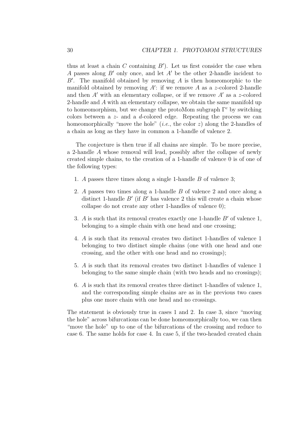thus at least a chain C containing  $B'$ ). Let us first consider the case when A passes along B′ only once, and let A′ be the other 2-handle incident to  $B'$ . The manifold obtained by removing A is then homeomorphic to the manifold obtained by removing  $A'$ : if we remove A as a z-colored 2-handle and then  $A'$  with an elementary collapse, or if we remove  $A'$  as a z-colored 2-handle and A with an elementary collapse, we obtain the same manifold up to homeomorphism, but we change the protoMom subgraph  $\Gamma^c$  by switching colors between a  $z$ - and a d-colored edge. Repeating the process we can homeomorphically "move the hole" (*i.e.*, the color  $z$ ) along the 2-handles of a chain as long as they have in common a 1-handle of valence 2.

The conjecture is then true if all chains are simple. To be more precise, a 2-handle A whose removal will lead, possibly after the collapse of newly created simple chains, to the creation of a 1-handle of valence 0 is of one of the following types:

- 1. A passes three times along a single 1-handle B of valence 3;
- 2. A passes two times along a 1-handle B of valence 2 and once along a distinct 1-handle  $B'$  (if  $B'$  has valence 2 this will create a chain whose collapse do not create any other 1-handles of valence 0);
- 3. A is such that its removal creates exactly one 1-handle  $B'$  of valence 1, belonging to a simple chain with one head and one crossing;
- 4. A is such that its removal creates two distinct 1-handles of valence 1 belonging to two distinct simple chains (one with one head and one crossing, and the other with one head and no crossings);
- 5. A is such that its removal creates two distinct 1-handles of valence 1 belonging to the same simple chain (with two heads and no crossings);
- 6. A is such that its removal creates three distinct 1-handles of valence 1, and the corresponding simple chains are as in the previous two cases plus one more chain with one head and no crossings.

The statement is obviously true in cases 1 and 2. In case 3, since "moving the hole" across bifurcations can be done homeomorphically too, we can then "move the hole" up to one of the bifurcations of the crossing and reduce to case 6. The same holds for case 4. In case 5, if the two-headed created chain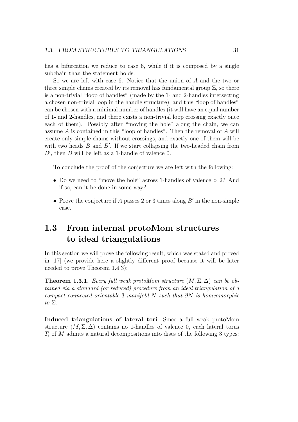has a bifurcation we reduce to case 6, while if it is composed by a single subchain than the statement holds.

So we are left with case 6. Notice that the union of A and the two or three simple chains created by its removal has fundamental group  $\mathbb{Z}$ , so there is a non-trivial "loop of handles" (made by the 1- and 2-handles intersecting a chosen non-trivial loop in the handle structure), and this "loop of handles" can be chosen with a minimal number of handles (it will have an equal number of 1- and 2-handles, and there exists a non-trivial loop crossing exactly once each of them). Possibly after "moving the hole" along the chain, we can assume A is contained in this "loop of handles". Then the removal of A will create only simple chains without crossings, and exactly one of them will be with two heads  $B$  and  $B'$ . If we start collapsing the two-headed chain from  $B'$ , then  $B$  will be left as a 1-handle of valence 0.

To conclude the proof of the conjecture we are left with the following:

- Do we need to "move the hole" across 1-handles of valence > 2? And if so, can it be done in some way?
- Prove the conjecture if A passes 2 or 3 times along  $B'$  in the non-simple case.

### 1.3 From internal protoMom structures to ideal triangulations

In this section we will prove the following result, which was stated and proved in [17] (we provide here a slightly different proof because it will be later needed to prove Theorem 1.4.3):

**Theorem 1.3.1.** Every full weak protoMom structure  $(M, \Sigma, \Delta)$  can be obtained via a standard (or reduced) procedure from an ideal triangulation of a compact connected orientable 3-manifold  $N$  such that  $\partial N$  is homeomorphic to  $\Sigma$ .

Induced triangulations of lateral tori Since a full weak protoMom structure  $(M, \Sigma, \Delta)$  contains no 1-handles of valence 0, each lateral torus  $T_i$  of M admits a natural decompositions into discs of the following 3 types: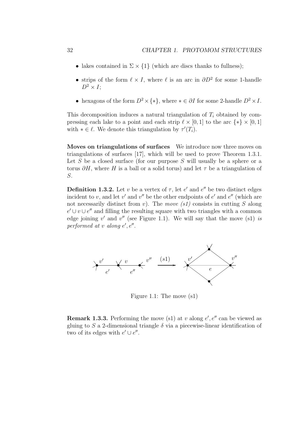- lakes contained in  $\Sigma \times \{1\}$  (which are discs thanks to fullness);
- strips of the form  $\ell \times I$ , where  $\ell$  is an arc in  $\partial D^2$  for some 1-handle  $D^2 \times I$ ;
- hexagons of the form  $D^2 \times \{*\}$ , where  $*\in \partial I$  for some 2-handle  $D^2 \times I$ .

This decomposition induces a natural triangulation of  $T_i$  obtained by compressing each lake to a point and each strip  $\ell \times [0,1]$  to the arc  $\{*\} \times [0,1]$ with  $*\in \ell$ . We denote this triangulation by  $\tau'(T_i)$ .

Moves on triangulations of surfaces We introduce now three moves on triangulations of surfaces [17], which will be used to prove Theorem 1.3.1. Let  $S$  be a closed surface (for our purpose  $S$  will usually be a sphere or a torus  $\partial H$ , where H is a ball or a solid torus) and let  $\tau$  be a triangulation of S.

**Definition 1.3.2.** Let v be a vertex of  $\tau$ , let e' and e'' be two distinct edges incident to v, and let v' and v'' be the other endpoints of  $e'$  and  $e''$  (which are not necessarily distinct from v). The move  $(s1)$  consists in cutting S along  $e' \cup v \cup e''$  and filling the resulting square with two triangles with a common edge joining  $v'$  and  $v''$  (see Figure 1.1). We will say that the move (s1) is performed at  $v$  along  $e', e''$ .



Figure 1.1: The move (s1)

**Remark 1.3.3.** Performing the move (s1) at v along  $e', e''$  can be viewed as gluing to S a 2-dimensional triangle  $\delta$  via a piecewise-linear identification of two of its edges with  $e' \cup e''$ .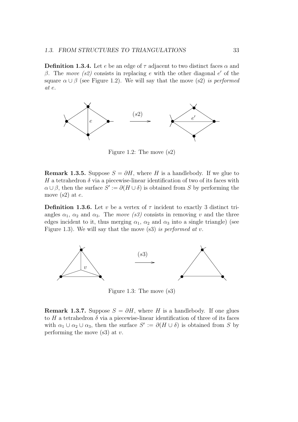**Definition 1.3.4.** Let e be an edge of  $\tau$  adjacent to two distinct faces  $\alpha$  and β. The move (s2) consists in replacing e with the other diagonal  $e'$  of the square  $\alpha \cup \beta$  (see Figure 1.2). We will say that the move (s2) is performed at e.



Figure 1.2: The move (s2)

**Remark 1.3.5.** Suppose  $S = \partial H$ , where H is a handlebody. If we glue to H a tetrahedron  $\delta$  via a piecewise-linear identification of two of its faces with  $\alpha \cup \beta$ , then the surface  $S' := \partial(H \cup \delta)$  is obtained from S by performing the move (s2) at  $e$ .

**Definition 1.3.6.** Let v be a vertex of  $\tau$  incident to exactly 3 distinct triangles  $\alpha_1$ ,  $\alpha_2$  and  $\alpha_3$ . The *move* (s<sup>3</sup>) consists in removing v and the three edges incident to it, thus merging  $\alpha_1$ ,  $\alpha_2$  and  $\alpha_3$  into a single triangle) (see Figure 1.3). We will say that the move  $(s3)$  is performed at v.



Figure 1.3: The move (s3)

**Remark 1.3.7.** Suppose  $S = \partial H$ , where H is a handlebody. If one glues to H a tetrahedron  $\delta$  via a piecewise-linear identification of three of its faces with  $\alpha_1 \cup \alpha_2 \cup \alpha_3$ , then the surface  $S' := \partial(H \cup \delta)$  is obtained from S by performing the move  $(s3)$  at v.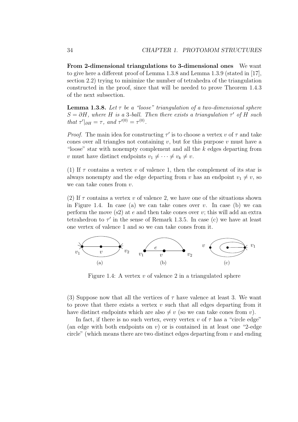From 2-dimensional triangulations to 3-dimensional ones We want to give here a different proof of Lemma 1.3.8 and Lemma 1.3.9 (stated in [17], section 2.2) trying to minimize the number of tetrahedra of the triangulation constructed in the proof, since that will be needed to prove Theorem 1.4.3 of the next subsection.

**Lemma 1.3.8.** Let  $\tau$  be a "loose" triangulation of a two-dimensional sphere  $S = \partial H$ , where H is a 3-ball. Then there exists a triangulation  $\tau'$  of H such that  $\tau'|_{\partial H} = \tau$ , and  $\tau'^{(0)} = \tau^{(0)}$ .

*Proof.* The main idea for constructing  $\tau'$  is to choose a vertex v of  $\tau$  and take cones over all triangles not containing v, but for this purpose v must have a "loose" star with nonempty complement and all the k edges departing from v must have distinct endpoints  $v_1 \neq \cdots \neq v_k \neq v$ .

(1) If  $\tau$  contains a vertex v of valence 1, then the complement of its star is always nonempty and the edge departing from v has an endpoint  $v_1 \neq v$ , so we can take cones from  $v$ .

(2) If  $\tau$  contains a vertex v of valence 2, we have one of the situations shown in Figure 1.4. In case (a) we can take cones over  $v$ . In case (b) we can perform the move  $(s2)$  at e and then take cones over v; this will add an extra tetrahedron to  $\tau'$  in the sense of Remark 1.3.5. In case (c) we have at least one vertex of valence 1 and so we can take cones from it.



Figure 1.4: A vertex  $v$  of valence 2 in a triangulated sphere

(3) Suppose now that all the vertices of  $\tau$  have valence at least 3. We want to prove that there exists a vertex  $v$  such that all edges departing from it have distinct endpoints which are also  $\neq v$  (so we can take cones from v).

In fact, if there is no such vertex, every vertex v of  $\tau$  has a "circle edge" (an edge with both endpoints on  $v$ ) or is contained in at least one "2-edge" circle" (which means there are two distinct edges departing from  $v$  and ending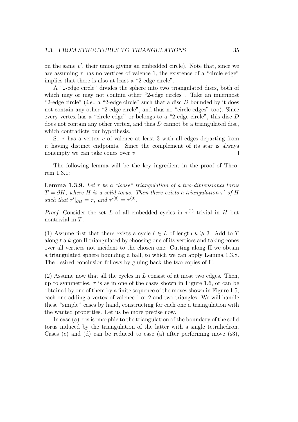on the same v ′ , their union giving an embedded circle). Note that, since we are assuming  $\tau$  has no vertices of valence 1, the existence of a "circle edge" implies that there is also at least a "2-edge circle".

A "2-edge circle" divides the sphere into two triangulated discs, both of which may or may not contain other "2-edge circles". Take an innermost "2-edge circle" (*i.e.*, a "2-edge circle" such that a disc  $D$  bounded by it does not contain any other "2-edge circle", and thus no "circle edges" too). Since every vertex has a "circle edge" or belongs to a "2-edge circle", this disc D does not contain any other vertex, and thus D cannot be a triangulated disc, which contradicts our hypothesis.

So  $\tau$  has a vertex v of valence at least 3 with all edges departing from it having distinct endpoints. Since the complement of its star is always nonempty we can take cones over  $v$ . П

The following lemma will be the key ingredient in the proof of Theorem 1.3.1:

**Lemma 1.3.9.** Let  $\tau$  be a "loose" triangulation of a two-dimensional torus  $T = \partial H$ , where H is a solid torus. Then there exists a triangulation  $\tau'$  of H such that  $\tau'|_{\partial H} = \tau$ , and  $\tau'^{(0)} = \tau^{(0)}$ .

*Proof.* Consider the set L of all embedded cycles in  $\tau^{(1)}$  trivial in H but nontrivial in T.

(1) Assume first that there exists a cycle  $\ell \in L$  of length  $k \geq 3$ . Add to T along  $\ell$  a k-gon  $\Pi$  triangulated by choosing one of its vertices and taking cones over all vertices not incident to the chosen one. Cutting along  $\Pi$  we obtain a triangulated sphere bounding a ball, to which we can apply Lemma 1.3.8. The desired conclusion follows by gluing back the two copies of Π.

 $(2)$  Assume now that all the cycles in L consist of at most two edges. Then, up to symmetries,  $\tau$  is as in one of the cases shown in Figure 1.6, or can be obtained by one of them by a finite sequence of the moves shown in Figure 1.5, each one adding a vertex of valence 1 or 2 and two triangles. We will handle these "simple" cases by hand, constructing for each one a triangulation with the wanted properties. Let us be more precise now.

In case (a)  $\tau$  is isomorphic to the triangulation of the boundary of the solid torus induced by the triangulation of the latter with a single tetrahedron. Cases (c) and (d) can be reduced to case (a) after performing move  $(s3)$ ,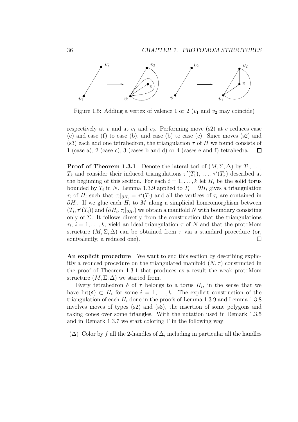

Figure 1.5: Adding a vertex of valence 1 or 2  $(v_1$  and  $v_2$  may coincide)

respectively at v and at  $v_1$  and  $v_2$ . Performing move (s2) at e reduces case (e) and case (f) to case (b), and case (b) to case (c). Since moves (s2) and (s3) each add one tetrahedron, the triangulation  $\tau$  of H we found consists of 1 (case a), 2 (case c), 3 (cases b and d) or 4 (cases e and f) tetrahedra.  $\Box$ 

**Proof of Theorem 1.3.1** Denote the lateral tori of  $(M, \Sigma, \Delta)$  by  $T_1, \ldots,$  $T_k$  and consider their induced triangulations  $\tau'(T_1), \ldots, \tau'(T_k)$  described at the beginning of this section. For each  $i = 1, \ldots, k$  let  $H_i$  be the solid torus bounded by  $T_i$  in N. Lemma 1.3.9 applied to  $T_i = \partial H_i$  gives a triangulation  $\tau_i$  of  $H_i$  such that  $\tau_i|_{\partial H_i} = \tau'(T_i)$  and all the vertices of  $\tau_i$  are contained in  $\partial H_i$ . If we glue each  $H_i$  to M along a simplicial homeomorphism between  $(T_i, \tau'(T_i))$  and  $(\partial H_i, \tau_i |_{\partial H_i})$  we obtain a manifold N with boundary consisting only of  $\Sigma$ . It follows directly from the construction that the triangulations  $\tau_i, i = 1, \ldots, k$ , yield an ideal triangulation  $\tau$  of N and that the protoMom structure  $(M, \Sigma, \Delta)$  can be obtained from  $\tau$  via a standard procedure (or, equivalently, a reduced one).

An explicit procedure We want to end this section by describing explicitly a reduced procedure on the triangulated manifold  $(N, \tau)$  constructed in the proof of Theorem 1.3.1 that produces as a result the weak protoMom structure  $(M, \Sigma, \Delta)$  we started from.

Every tetrahedron  $\delta$  of  $\tau$  belongs to a torus  $H_i$ , in the sense that we have  $\text{Int}(\delta) \subset H_i$  for some  $i = 1, ..., k$ . The explicit construction of the triangulation of each  $H_i$  done in the proofs of Lemma 1.3.9 and Lemma 1.3.8 involves moves of types (s2) and (s3), the insertion of some polygons and taking cones over some triangles. With the notation used in Remark 1.3.5 and in Remark 1.3.7 we start coloring  $\Gamma$  in the following way:

 $(\Delta)$  Color by f all the 2-handles of  $\Delta$ , including in particular all the handles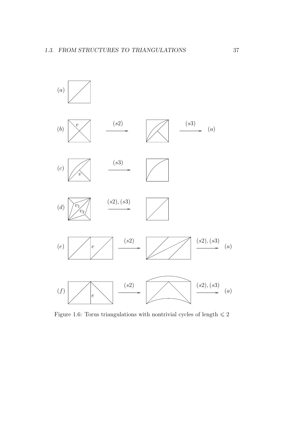

Figure 1.6: Torus triangulations with nontrivial cycles of length  $\leqslant 2$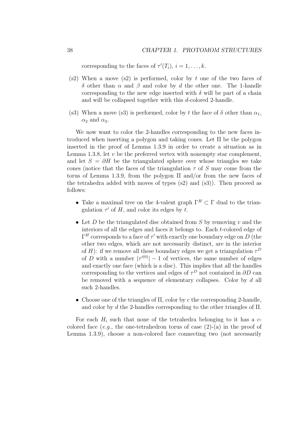corresponding to the faces of  $\tau'(T_i)$ ,  $i = 1, \ldots, k$ .

- $(s2)$  When a move  $(s2)$  is performed, color by t one of the two faces of δ other than α and β and color by d the other one. The 1-handle corresponding to the new edge inserted with  $\delta$  will be part of a chain and will be collapsed together with this d-colored 2-handle.
- (s3) When a move (s3) is performed, color by t the face of  $\delta$  other than  $\alpha_1$ ,  $\alpha_2$  and  $\alpha_3$ .

We now want to color the 2-handles corresponding to the new faces introduced when inserting a polygon and taking cones. Let Π be the polygon inserted in the proof of Lemma 1.3.9 in order to create a situation as in Lemma 1.3.8, let  $v$  be the preferred vertex with nonempty star complement, and let  $S = \partial H$  be the triangulated sphere over whose triangles we take cones (notice that the faces of the triangulation  $\tau$  of S may come from the torus of Lemma 1.3.9, from the polygon Π and/or from the new faces of the tetrahedra added with moves of types  $(s2)$  and  $(s3)$ ). Then proceed as follows:

- Take a maximal tree on the 4-valent graph  $\Gamma^H \subset \Gamma$  dual to the triangulation  $\tau'$  of H, and color its edges by t.
- Let D be the triangulated disc obtained from S by removing  $v$  and the interiors of all the edges and faces it belongs to. Each t-colored edge of  $\Gamma^H$  corresponds to a face of  $\tau'$  with exactly one boundary edge on D (the other two edges, which are not necessarily distinct, are in the interior of H): if we remove all these boundary edges we get a triangulation  $\tau^D$ of D with a number  $|\tau^{(0)}| - 1$  of vertices, the same number of edges and exactly one face (which is a disc). This implies that all the handles corresponding to the vertices and edges of  $\tau^D$  not contained in  $\partial D$  can be removed with a sequence of elementary collapses. Color by d all such 2-handles.
- Choose one of the triangles of  $\Pi$ , color by c the corresponding 2-handle, and color by d the 2-handles corresponding to the other triangles of  $\Pi$ .

For each  $H_i$  such that none of the tetrahedra belonging to it has a  $c$ colored face  $(e.g., the one-tetrahedron torus of case (2)-(a) in the proof of$ Lemma 1.3.9), choose a non-colored face connecting two (not necessarily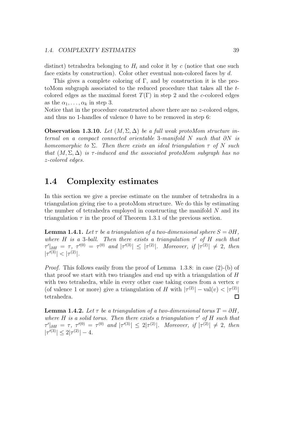distinct) tetrahedra belonging to  $H_i$  and color it by c (notice that one such face exists by construction). Color other eventual non-colored faces by d.

This gives a complete coloring of Γ, and by construction it is the protoMom subgraph associated to the reduced procedure that takes all the tcolored edges as the maximal forest  $T(\Gamma)$  in step 2 and the c-colored edges as the  $\alpha_1, \ldots, \alpha_k$  in step 3.

Notice that in the procedure constructed above there are no z-colored edges, and thus no 1-handles of valence 0 have to be removed in step 6:

**Observation 1.3.10.** Let  $(M, \Sigma, \Delta)$  be a full weak protoMom structure internal on a compact connected orientable 3-manifold N such that  $\partial N$  is homeomorphic to  $\Sigma$ . Then there exists an ideal triangulation  $\tau$  of N such that  $(M, \Sigma, \Delta)$  is  $\tau$ -induced and the associated protoMom subgraph has no z-colored edges.

# 1.4 Complexity estimates

In this section we give a precise estimate on the number of tetrahedra in a triangulation giving rise to a protoMom structure. We do this by estimating the number of tetrahedra employed in constructing the manifold  $N$  and its triangulation  $\tau$  in the proof of Theorem 1.3.1 of the previous section.

**Lemma 1.4.1.** Let  $\tau$  be a triangulation of a two-dimensional sphere  $S = \partial H$ . where H is a 3-ball. Then there exists a triangulation  $\tau'$  of H such that  $\tau' |_{\partial H} = \tau, \tau'^{(0)} = \tau^{(0)}$  and  $|\tau'^{(3)}| \leq |\tau^{(2)}|$ . Moreover, if  $|\tau^{(2)}| \neq 2$ , then  $|\tau'^{(3)}| < |\tau^{(2)}|.$ 

Proof. This follows easily from the proof of Lemma 1.3.8: in case (2)-(b) of that proof we start with two triangles and end up with a triangulation of  $H$ with two tetrahedra, while in every other case taking cones from a vertex  $v$ (of valence 1 or more) give a triangulation of H with  $|\tau^{(2)}|$  – val $(v) < |\tau^{(2)}|$ tetrahedra.

**Lemma 1.4.2.** Let  $\tau$  be a triangulation of a two-dimensional torus  $T = \partial H$ . where H is a solid torus. Then there exists a triangulation  $\tau'$  of H such that  $\tau'|_{\partial H} = \tau, \tau'^{(0)} = \tau^{(0)}$  and  $|\tau'^{(3)}| \leq 2|\tau^{(2)}|$ . Moreover, if  $|\tau^{(2)}| \neq 2$ , then  $|\tau'^{(3)}| \leq 2|\tau^{(2)}|-4.$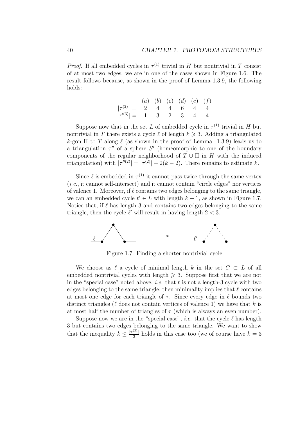*Proof.* If all embedded cycles in  $\tau^{(1)}$  trivial in H but nontrivial in T consist of at most two edges, we are in one of the cases shown in Figure 1.6. The result follows because, as shown in the proof of Lemma 1.3.9, the following holds:

$$
|\tau^{(2)}| = \begin{array}{ccccc} (a) & (b) & (c) & (d) & (e) & (f) \\ 1 & 2 & 4 & 4 & 6 & 4 & 4 \\ 1 & 3 & 2 & 3 & 4 & 4 \end{array}
$$

Suppose now that in the set L of embedded cycle in  $\tau^{(1)}$  trivial in H but nontrivial in T there exists a cycle  $\ell$  of length  $k \geq 3$ . Adding a triangulated k-gon  $\Pi$  to T along  $\ell$  (as shown in the proof of Lemma 1.3.9) leads us to a triangulation  $\tau''$  of a sphere S' (homeomorphic to one of the boundary components of the regular neighborhood of  $T \cup \Pi$  in H with the induced triangulation) with  $|\tau''^{(2)}| = |\tau^{(2)}| + 2(k-2)$ . There remains to estimate k.

Since  $\ell$  is embedded in  $\tau^{(1)}$  it cannot pass twice through the same vertex  $(i.e., it cannot self-intersect)$  and it cannot contain "circle edges" nor vertices of valence 1. Moreover, if  $\ell$  contains two edges belonging to the same triangle, we can an embedded cycle  $\ell' \in L$  with length  $k - 1$ , as shown in Figure 1.7. Notice that, if  $\ell$  has length 3 and contains two edges belonging to the same triangle, then the cycle  $\ell'$  will result in having length  $2 < 3$ .



Figure 1.7: Finding a shorter nontrivial cycle

We choose as  $\ell$  a cycle of minimal length k in the set  $C \subset L$  of all embedded nontrivial cycles with length  $\geqslant$  3. Suppose first that we are not in the "special case" noted above, *i.e.* that  $\ell$  is not a length-3 cycle with two edges belonging to the same triangle; then minimality implies that  $\ell$  contains at most one edge for each triangle of  $\tau$ . Since every edge in  $\ell$  bounds two distinct triangles ( $\ell$  does not contain vertices of valence 1) we have that k is at most half the number of triangles of  $\tau$  (which is always an even number).

Suppose now we are in the "special case", *i.e.* that the cycle  $\ell$  has length 3 but contains two edges belonging to the same triangle. We want to show that the inequality  $k \leq \frac{|\tau^{(2)}|}{2}$  holds in this case too (we of course have  $k = 3$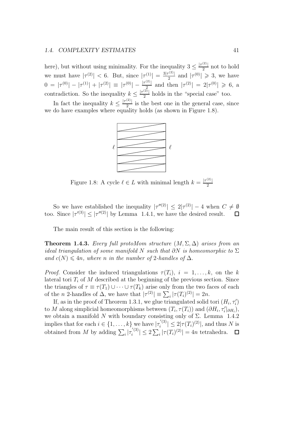#### 1.4. COMPLEXITY ESTIMATES 41

here), but without using minimality. For the inequality  $3 \leq \frac{|\tau^{(2)}|}{2}$  not to hold we must have  $|\tau^{(2)}| < 6$ . But, since  $|\tau^{(1)}| = \frac{3|\tau^{(2)}|}{2}$  and  $|\tau^{(0)}| \geq 3$ , we have  $0 = |\tau^{(0)}| - |\tau^{(1)}| + |\tau^{(2)}| \equiv |\tau^{(0)}| - \frac{|\tau^{(2)}|}{r^2}$  and then  $|\tau^{(2)}| = 2|\tau^{(0)}| \geq 6$ , a contradiction. So the inequality  $k \leq \frac{|\tau^{(2)}|}{2}$  holds in the "special case" too.

In fact the inequality  $k \leq \frac{|\tau^{(2)}|}{2}$  is the best one in the general case, since we do have examples where equality holds (as shown in Figure 1.8).



Figure 1.8: A cycle  $\ell \in L$  with minimal length  $k = \frac{|\tau^{(2)}|}{2}$ 

So we have established the inequality  $|\tau''^{(2)}| \leq 2|\tau^{(2)}| - 4$  when  $C \neq \emptyset$ too. Since  $|\tau''^{(3)}| \leq |\tau'''^{(2)}|$  by Lemma 1.4.1, we have the desired result.

The main result of this section is the following:

**Theorem 1.4.3.** Every full protoMom structure  $(M, \Sigma, \Delta)$  arises from an ideal triangulation of some manifold N such that  $\partial N$  is homeomorphic to  $\Sigma$ and  $c(N) \leq 4n$ , where n in the number of 2-handles of  $\Delta$ .

*Proof.* Consider the induced triangulations  $\tau(T_i)$ ,  $i = 1, \ldots, k$ , on the k lateral tori  $T_i$  of M described at the beginning of the previous section. Since the triangles of  $\tau \equiv \tau(T_1) \cup \cdots \cup \tau(T_k)$  arise only from the two faces of each of the *n* 2-handles of  $\Delta$ , we have that  $|\tau^{(2)}| \equiv \sum_i |\tau(T_i)^{(2)}| = 2n$ .

If, as in the proof of Theorem 1.3.1, we glue triangulated solid tori  $(H_i, \tau'_i)$ to M along simplicial homeomorphisms between  $(T_i, \tau(T_i))$  and  $(\partial H_i, \tau'_i|_{\partial H_i}),$ we obtain a manifold N with boundary consisting only of  $\Sigma$ . Lemma 1.4.2 implies that for each  $i \in \{1, \ldots, k\}$  we have  $|\tau_i^{(3)}\rangle$  $|f_i^{(3)}| \leq 2|\tau(T_i)^{(2)}|$ , and thus N is obtained from M by adding  $\sum_i |\tau_i^{(3)}|$  $|f_i^{(3)}| \leq 2 \sum_i |\tau(T_i)^{(2)}| = 4n \text{ tetrahedra.}$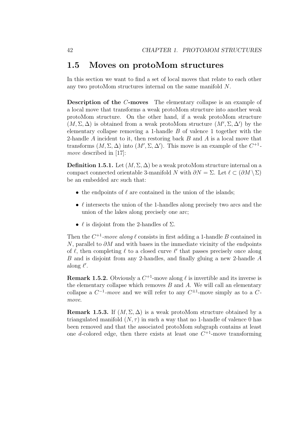# 1.5 Moves on protoMom structures

In this section we want to find a set of local moves that relate to each other any two protoMom structures internal on the same manifold N.

Description of the C-moves The elementary collapse is an example of a local move that transforms a weak protoMom structure into another weak protoMom structure. On the other hand, if a weak protoMom structure  $(M, \Sigma, \Delta)$  is obtained from a weak protoMom structure  $(M', \Sigma, \Delta')$  by the elementary collapse removing a 1-handle  $B$  of valence 1 together with the 2-handle  $A$  incident to it, then restoring back  $B$  and  $A$  is a local move that transforms  $(M, \Sigma, \Delta)$  into  $(M', \Sigma, \Delta')$ . This move is an example of the  $C^{+1}$ move described in [17]:

**Definition 1.5.1.** Let  $(M, \Sigma, \Delta)$  be a weak protoMom structure internal on a compact connected orientable 3-manifold N with  $\partial N = \Sigma$ . Let  $\ell \subset (\partial M \setminus \Sigma)$ be an embedded arc such that:

- the endpoints of  $\ell$  are contained in the union of the islands;
- $\ell$  intersects the union of the 1-handles along precisely two arcs and the union of the lakes along precisely one arc;
- $\ell$  is disjoint from the 2-handles of  $\Sigma$ .

Then the  $C^{+1}$ -move along  $\ell$  consists in first adding a 1-handle B contained in N, parallel to  $\partial M$  and with bases in the immediate vicinity of the endpoints of  $\ell$ , then completing  $\ell$  to a closed curve  $\ell'$  that passes precisely once along B and is disjoint from any 2-handles, and finally gluing a new 2-handle A along  $\ell'$ .

**Remark 1.5.2.** Obviously a  $C^{+1}$ -move along  $\ell$  is invertible and its inverse is the elementary collapse which removes  $B$  and  $A$ . We will call an elementary collapse a  $C^{-1}$ -move and we will refer to any  $C^{\pm 1}$ -move simply as to a  $C$ move.

**Remark 1.5.3.** If  $(M, \Sigma, \Delta)$  is a weak protoMom structure obtained by a triangulated manifold  $(N, \tau)$  in such a way that no 1-handle of valence 0 has been removed and that the associated protoMom subgraph contains at least one d-colored edge, then there exists at least one  $C^{+1}$ -move transforming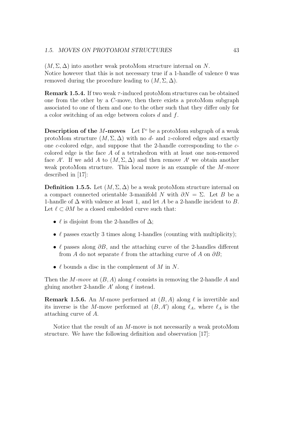$(M, \Sigma, \Delta)$  into another weak protoMom structure internal on N. Notice however that this is not necessary true if a 1-handle of valence 0 was removed during the procedure leading to  $(M, \Sigma, \Delta)$ .

**Remark 1.5.4.** If two weak  $\tau$ -induced protoMom structures can be obtained one from the other by a C-move, then there exists a protoMom subgraph associated to one of them and one to the other such that they differ only for a color switching of an edge between colors d and f.

**Description of the M-moves** Let  $\Gamma^c$  be a protoMom subgraph of a weak protoMom structure  $(M, \Sigma, \Delta)$  with no d- and z-colored edges and exactly one c-colored edge, and suppose that the 2-handle corresponding to the ccolored edge is the face A of a tetrahedron with at least one non-removed face A'. If we add A to  $(M, \Sigma, \Delta)$  and then remove A' we obtain another weak protoMom structure. This local move is an example of the M-move described in [17]:

**Definition 1.5.5.** Let  $(M, \Sigma, \Delta)$  be a weak protoMom structure internal on a compact connected orientable 3-manifold N with  $\partial N = \Sigma$ . Let B be a 1-handle of  $\Delta$  with valence at least 1, and let A be a 2-handle incident to B. Let  $\ell \subset \partial M$  be a closed embedded curve such that:

- $\ell$  is disjoint from the 2-handles of  $\Delta$ ;
- $\ell$  passes exactly 3 times along 1-handles (counting with multiplicity);
- $\ell$  passes along  $\partial B$ , and the attaching curve of the 2-handles different from A do not separate  $\ell$  from the attaching curve of A on  $\partial B$ ;
- $\ell$  bounds a disc in the complement of M in N.

Then the M-move at  $(B, A)$  along  $\ell$  consists in removing the 2-handle A and gluing another 2-handle  $A'$  along  $\ell$  instead.

**Remark 1.5.6.** An M-move performed at  $(B, A)$  along  $\ell$  is invertible and its inverse is the M-move performed at  $(B, A')$  along  $\ell_A$ , where  $\ell_A$  is the attaching curve of A.

Notice that the result of an M-move is not necessarily a weak protoMom structure. We have the following definition and observation [17]: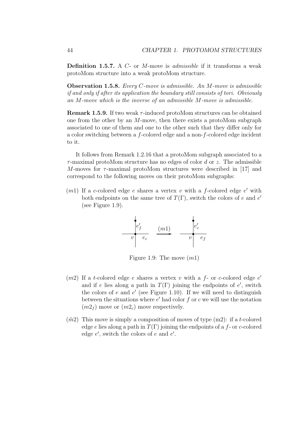**Definition 1.5.7.** A  $C$ - or M-move is *admissible* if it transforms a weak protoMom structure into a weak protoMom structure.

Observation 1.5.8. Every C-move is admissible. An M-move is admissible if and only if after its application the boundary still consists of tori. Obviously an M-move which is the inverse of an admissible M-move is admissible.

**Remark 1.5.9.** If two weak  $\tau$ -induced protoMom structures can be obtained one from the other by an  $M$ -move, then there exists a proto $M$ om subgraph associated to one of them and one to the other such that they differ only for a color switching between a f-colored edge and a non-f-colored edge incident to it.

It follows from Remark 1.2.16 that a protoMom subgraph associated to a  $\tau$ -maximal protoMom structure has no edges of color d or z. The admissible M-moves for  $\tau$ -maximal protoMom structures were described in [17] and correspond to the following moves on their protoMom subgraphs:

 $(m1)$  If a c-colored edge e shares a vertex v with a f-colored edge e' with both endpoints on the same tree of  $T(\Gamma)$ , switch the colors of e and e' (see Figure 1.9).



Figure 1.9: The move  $(m1)$ 

- $(m2)$  If a t-colored edge e shares a vertex v with a f- or c-colored edge e' and if e lies along a path in  $T(\Gamma)$  joining the endpoints of e', switch the colors of  $e$  and  $e'$  (see Figure 1.10). If we will need to distinguish between the situations where  $e'$  had color  $f$  or  $c$  we will use the notation  $(m2<sub>f</sub>)$  move or  $(m2<sub>c</sub>)$  move respectively.
- $(m2)$  This move is simply a composition of moves of type  $(m2)$ : if a t-colored edge e lies along a path in  $T(\Gamma)$  joining the endpoints of a f- or c-colored edge  $e'$ , switch the colors of  $e$  and  $e'$ .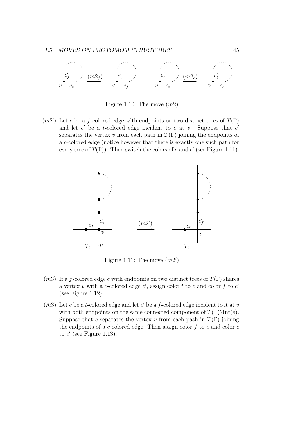

Figure 1.10: The move  $(m2)$ 

 $(m2')$  Let e be a f-colored edge with endpoints on two distinct trees of  $T(\Gamma)$ and let  $e'$  be a t-colored edge incident to e at v. Suppose that  $e'$ separates the vertex v from each path in  $T(\Gamma)$  joining the endpoints of a c-colored edge (notice however that there is exactly one such path for every tree of  $T(\Gamma)$ ). Then switch the colors of e and e' (see Figure 1.11).



Figure 1.11: The move  $(m2')$ 

- $(m3)$  If a f-colored edge e with endpoints on two distinct trees of  $T(\Gamma)$  shares a vertex v with a c-colored edge  $e'$ , assign color t to e and color f to  $e'$ (see Figure 1.12).
- $(m3)$  Let e be a t-colored edge and let e' be a f-colored edge incident to it at v with both endpoints on the same connected component of  $T(\Gamma)\setminus Int(e)$ . Suppose that e separates the vertex v from each path in  $T(\Gamma)$  joining the endpoints of a c-colored edge. Then assign color  $f$  to  $e$  and color  $c$ to  $e'$  (see Figure 1.13).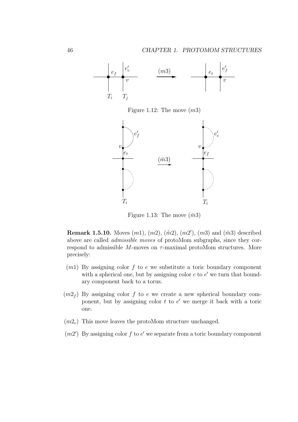

Figure 1.12: The move  $(m3)$ 



Figure 1.13: The move  $(\bar{m}3)$ 

**Remark 1.5.10.** Moves  $(m1)$ ,  $(m2)$ ,  $(\tilde{m}2)$ ,  $(m2')$ ,  $(m3)$  and  $(\bar{m}3)$  described above are called admissible moves of protoMom subgraphs, since they correspond to admissible M-moves on  $\tau$ -maximal protoMom structures. More precisely:

- $(m1)$  By assigning color f to e we substitute a toric boundary component with a spherical one, but by assigning color  $c$  to  $e'$  we turn that boundary component back to a torus.
- $(m2<sub>f</sub>)$  By assigning color f to e we create a new spherical boundary component, but by assigning color  $t$  to  $e'$  we merge it back with a toric one.
- $(m2<sub>c</sub>)$  This move leaves the protoMom structure unchanged.
- $(m2')$  By assigning color f to e' we separate from a toric boundary component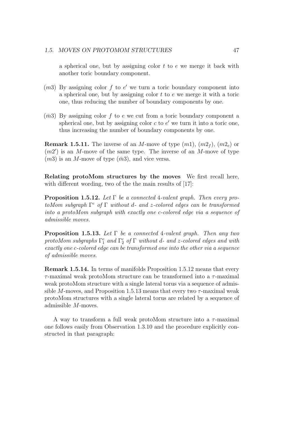a spherical one, but by assigning color  $t$  to  $e$  we merge it back with another toric boundary component.

- $(m3)$  By assigning color f to e' we turn a toric boundary component into a spherical one, but by assigning color  $t$  to  $e$  we merge it with a toric one, thus reducing the number of boundary components by one.
- $(\bar{m}3)$  By assigning color f to e we cut from a toric boundary component a spherical one, but by assigning color  $c$  to  $e'$  we turn it into a toric one, thus increasing the number of boundary components by one.

**Remark 1.5.11.** The inverse of an M-move of type  $(m1)$ ,  $(m2<sub>f</sub>)$ ,  $(m2<sub>c</sub>)$  or  $(m2')$  is an M-move of the same type. The inverse of an M-move of type  $(m3)$  is an M-move of type  $(\bar{m}3)$ , and vice versa.

Relating protoMom structures by the moves We first recall here, with different wording, two of the the main results of [17]:

**Proposition 1.5.12.** Let  $\Gamma$  be a connected 4-valent graph. Then every pro $to Mom$  subgraph  $\Gamma^c$  of  $\Gamma$  without d- and z-colored edges can be transformed into a protoMom subgraph with exactly one c-colored edge via a sequence of admissible moves.

**Proposition 1.5.13.** Let  $\Gamma$  be a connected 4-valent graph. Then any two protoMom subgraphs  $\Gamma_1^c$  and  $\Gamma_2^c$  of  $\Gamma$  without d- and z-colored edges and with exactly one c-colored edge can be transformed one into the other via a sequence of admissible moves.

Remark 1.5.14. In terms of manifolds Proposition 1.5.12 means that every  $\tau$ -maximal weak protoMom structure can be transformed into a  $\tau$ -maximal weak protoMom structure with a single lateral torus via a sequence of admissible M-moves, and Proposition 1.5.13 means that every two  $\tau$ -maximal weak protoMom structures with a single lateral torus are related by a sequence of admissible M-moves.

A way to transform a full weak protoMom structure into a  $\tau$ -maximal one follows easily from Observation 1.3.10 and the procedure explicitly constructed in that paragraph: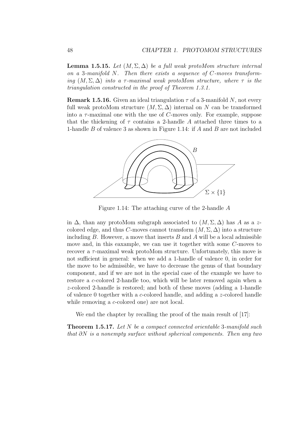**Lemma 1.5.15.** Let  $(M, \Sigma, \Delta)$  be a full weak protoMom structure internal on a 3-manifold  $N$ . Then there exists a sequence of  $C$ -moves transforming  $(M, \Sigma, \Delta)$  into a  $\tau$ -maximal weak protoMom structure, where  $\tau$  is the triangulation constructed in the proof of Theorem 1.3.1.

**Remark 1.5.16.** Given an ideal triangulation  $\tau$  of a 3-manifold N, not every full weak protoMom structure  $(M, \Sigma, \Delta)$  internal on N can be transformed into a  $\tau$ -maximal one with the use of C-moves only. For example, suppose that the thickening of  $\tau$  contains a 2-handle A attached three times to a 1-handle B of valence 3 as shown in Figure 1.14: if A and B are not included



Figure 1.14: The attaching curve of the 2-handle A

in  $\Delta$ , than any protoMom subgraph associated to  $(M, \Sigma, \Delta)$  has A as a zcolored edge, and thus C-moves cannot transform  $(M, \Sigma, \Delta)$  into a structure including  $B$ . However, a move that inserts  $B$  and  $A$  will be a local admissible move and, in this eaxample, we can use it together with some C-moves to recover a  $\tau$ -maximal weak protoMom structure. Unfortunately, this move is not sufficient in general: when we add a 1-handle of valence 0, in order for the move to be admissible, we have to decrease the genus of that boundary component, and if we are not in the special case of the example we have to restore a c-colored 2-handle too, which will be later removed again when a z-colored 2-handle is restored; and both of these moves (adding a 1-handle of valence 0 together with a c-colored handle, and adding a z-colored handle while removing a c-colored one) are not local.

We end the chapter by recalling the proof of the main result of [17]:

Theorem 1.5.17. Let N be a compact connected orientable 3-manifold such that ∂N is a nonempty surface without spherical components. Then any two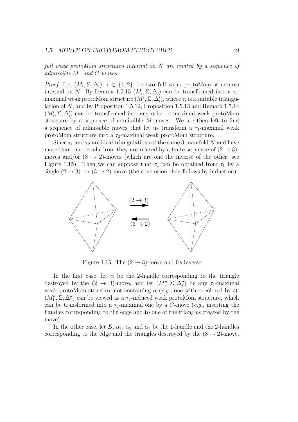full weak protoMom structures internal on N are related by a sequence of admissible M- and C-moves.

*Proof.* Let  $(M_i, \Sigma, \Delta_i)$ ,  $i \in \{1, 2\}$ , be two full weak protoMom structures internal on N. By Lemma 1.5.15  $(M_i, \Sigma, \Delta_i)$  can be transformed into a  $\tau_i$ maximal weak protoMom structure  $(M'_i, \Sigma, \Delta'_i)$ , where  $\tau_i$  is a suitable triangulation of N, and by Proposition 1.5.12, Proposition 1.5.13 and Remark 1.5.14  $(M'_i, \Sigma, \Delta'_i)$  can be transformed into any other  $\tau_i$ -maximal weak protoMom structure by a sequence of admissible M-moves. We are then left to find a sequence of admissible moves that let us transform a  $\tau_1$ -maximal weak protoMom structure into a  $\tau_2$ -maximal weak protoMom structure.

Since  $\tau_1$  and  $\tau_2$  are ideal triangulations of the same 3-manifold N and have more than one tetrahedron, they are related by a finite sequence of  $(2 \rightarrow 3)$ moves and/or  $(3 \rightarrow 2)$ -moves (which are one the inverse of the other; see Figure 1.15). Then we can suppose that  $\tau_2$  can be obtained from  $\tau_1$  by a single  $(2 \rightarrow 3)$ - or  $(3 \rightarrow 2)$ -move (the conclusion then follows by induction).



Figure 1.15: The  $(2 \rightarrow 3)$ -move and its inverse

In the first case, let  $\alpha$  be the 2-handle corresponding to the triangle destroyed by the  $(2 \rightarrow 3)$ -move, and let  $(M''_1, \Sigma, \Delta''_1)$  be any  $\tau_1$ -maximal weak protoMom structure not containing  $\alpha$  (e.g., one with  $\alpha$  colored by t).  $(M''_1, \Sigma, \Delta''_1)$  can be viewed as a  $\tau_2$ -induced weak protoMom structure, which can be transformed into a  $\tau_2$ -maximal one by a C-move (e.g., inserting the handles corresponding to the edge and to one of the triangles created by the move).

In the other case, let B,  $\alpha_1$ ,  $\alpha_2$  and  $\alpha_3$  be the 1-handle and the 2-handles corresponding to the edge and the triangles destroyed by the  $(3 \rightarrow 2)$ -move,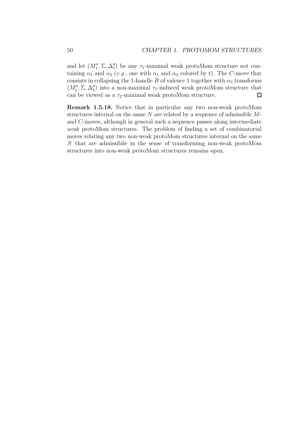and let  $(M''_1, \Sigma, \Delta''_1)$  be any  $\tau_1$ -maximal weak protoMom structure not containing  $\alpha_1$  and  $\alpha_2$  (e.g., one with  $\alpha_1$  and  $\alpha_2$  colored by t). The C-move that consists in collapsing the 1-handle B of valence 1 together with  $\alpha_3$  transforms  $(M''_1, \Sigma, \Delta''_1)$  into a non-maximal  $\tau_1$ -induced weak protoMom structure that can be viewed as a  $\tau_2$ -maximal weak protoMom structure.  $\Box$ 

Remark 1.5.18. Notice that in particular any two non-weak protoMom structures internal on the same  $N$  are related by a sequence of admissible  $M$ and C-moves, although in general such a sequence passes along intermediate weak protoMom structures. The problem of finding a set of combinatorial moves relating any two non-weak protoMom structures internal on the same N that are admissibile in the sense of transforming non-weak protoMom structures into non-weak protoMom structures remains open.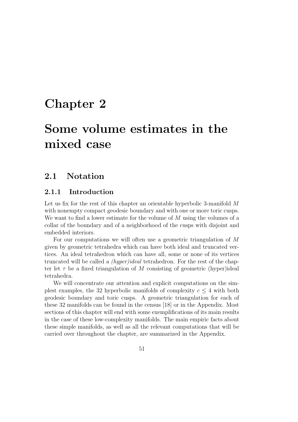# Chapter 2

# Some volume estimates in the mixed case

# 2.1 Notation

## 2.1.1 Introduction

Let us fix for the rest of this chapter an orientable hyperbolic 3-manifold M with nonempty compact geodesic boundary and with one or more toric cusps. We want to find a lower estimate for the volume of M using the volumes of a collar of the boundary and of a neighborhood of the cusps with disjoint and embedded interiors.

For our computations we will often use a geometric triangulation of M given by geometric tetrahedra which can have both ideal and truncated vertices. An ideal tetrahedron which can have all, some or none of its vertices truncated will be called a (hyper)ideal tetrahedron. For the rest of the chapter let  $\tau$  be a fixed triangulation of M consisting of geometric (hyper)ideal tetrahedra.

We will concentrate our attention and explicit computations on the simplest examples, the 32 hyperbolic manifolds of complexity  $c \leq 4$  with both geodesic boundary and toric cusps. A geometric triangulation for each of these 32 manifolds can be found in the census [18] or in the Appendix. Most sections of this chapter will end with some exemplifications of its main results in the case of these low-complexity manifolds. The main empiric facts about these simple manifolds, as well as all the relevant computations that will be carried over throughout the chapter, are summarized in the Appendix.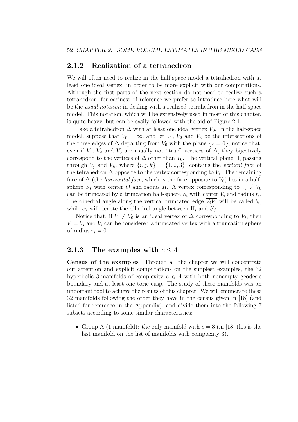### 2.1.2 Realization of a tetrahedron

We will often need to realize in the half-space model a tetrahedron with at least one ideal vertex, in order to be more explicit with our computations. Although the first parts of the next section do not need to realize such a tetrahedron, for easiness of reference we prefer to introduce here what will be the usual notation in dealing with a realized tetrahedron in the half-space model. This notation, which will be extensively used in most of this chapter, is quite heavy, but can be easily followed with the aid of Figure 2.1.

Take a tetrahedron  $\Delta$  with at least one ideal vertex  $V_0$ . In the half-space model, suppose that  $V_0 = \infty$ , and let  $V_1$ ,  $V_2$  and  $V_3$  be the intersections of the three edges of  $\Delta$  departing from  $V_0$  with the plane  $\{z=0\}$ ; notice that, even if  $V_1$ ,  $V_2$  and  $V_3$  are usually not "true" vertices of  $\Delta$ , they bijectively correspond to the vertices of  $\Delta$  other than  $V_0$ . The vertical plane  $\Pi_i$  passing through  $V_i$  and  $V_k$ , where  $\{i, j, k\} = \{1, 2, 3\}$ , contains the vertical face of the tetrahedron  $\Delta$  opposite to the vertex corresponding to  $V_i$ . The remaining face of  $\Delta$  (the *horizontal face*, which is the face opposite to  $V_0$ ) lies in a halfsphere  $S_f$  with center O and radius R. A vertex corresponding to  $V_i \neq V_0$ can be truncated by a truncation half-sphere  $S_i$  with center  $V_i$  and radius  $r_i$ . The dihedral angle along the vertical truncated edge  $V_iV_0$  will be called  $\theta_i$ , while  $\alpha_i$  will denote the dihedral angle between  $\Pi_i$  and  $S_f$ .

Notice that, if  $V \neq V_0$  is an ideal vertex of  $\Delta$  corresponding to  $V_i$ , then  $V = V_i$  and  $V_i$  can be considered a truncated vertex with a truncation sphere of radius  $r_i = 0$ .

### 2.1.3 The examples with  $c < 4$

Census of the examples Through all the chapter we will concentrate our attention and explicit computations on the simplest examples, the 32 hyperbolic 3-manifolds of complexity  $c \leq 4$  with both nonempty geodesic boundary and at least one toric cusp. The study of these manifolds was an important tool to achieve the results of this chapter. We will enumerate these 32 manifolds following the order they have in the census given in [18] (and listed for reference in the Appendix), and divide them into the following 7 subsets according to some similar characteristics:

• Group A (1 manifold): the only manifold with  $c = 3$  (in [18] this is the last manifold on the list of manifolds with complexity 3).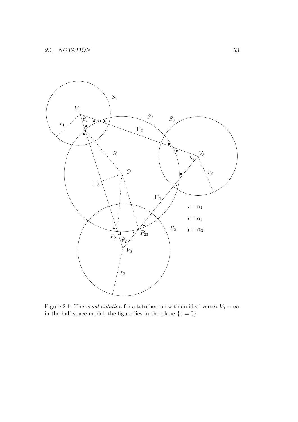

Figure 2.1: The *usual notation* for a tetrahedron with an ideal vertex  $V_0 = \infty$ in the half-space model; the figure lies in the plane  $\{z=0\}$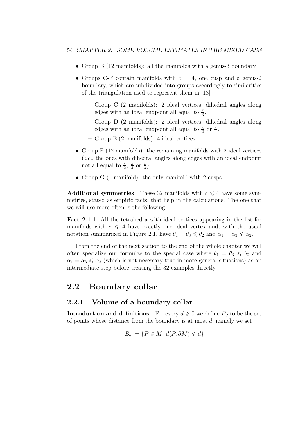- Group B (12 manifolds): all the manifolds with a genus-3 boundary.
- Groups C-F contain manifolds with  $c = 4$ , one cusp and a genus-2 boundary, which are subdivided into groups accordingly to similarities of the triangulation used to represent them in [18]:
	- Group C (2 manifolds): 2 ideal vertices, dihedral angles along edges with an ideal endpoint all equal to  $\frac{\pi}{3}$ .
	- Group D (2 manifolds): 2 ideal vertices, dihedral angles along edges with an ideal endpoint all equal to  $\frac{\pi}{2}$  or  $\frac{\pi}{4}$ .
	- Group E (2 manifolds): 4 ideal vertices.
- Group F (12 manifolds): the remaining manifolds with 2 ideal vertices (i.e., the ones with dihedral angles along edges with an ideal endpoint not all equal to  $\frac{\pi}{2}$ ,  $\frac{\pi}{4}$  $\frac{\pi}{4}$  or  $\frac{\pi}{3}$ ).
- Group G (1 manifold): the only manifold with 2 cusps.

Additional symmetries These 32 manifolds with  $c \leq 4$  have some symmetries, stated as empiric facts, that help in the calculations. The one that we will use more often is the following:

Fact 2.1.1. All the tetrahedra with ideal vertices appearing in the list for manifolds with  $c \leq 4$  have exactly one ideal vertex and, with the usual notation summarized in Figure 2.1, have  $\theta_1 = \theta_3 \leq \theta_2$  and  $\alpha_1 = \alpha_3 \leq \alpha_2$ .

From the end of the next section to the end of the whole chapter we will often specialize our formulae to the special case where  $\theta_1 = \theta_3 \leq \theta_2$  and  $\alpha_1 = \alpha_3 \leq \alpha_2$  (which is not necessary true in more general situations) as an intermediate step before treating the 32 examples directly.

## 2.2 Boundary collar

### 2.2.1 Volume of a boundary collar

**Introduction and definitions** For every  $d \geq 0$  we define  $B_d$  to be the set of points whose distance from the boundary is at most d, namely we set

$$
B_d := \{ P \in M | \ d(P, \partial M) \leq d \}
$$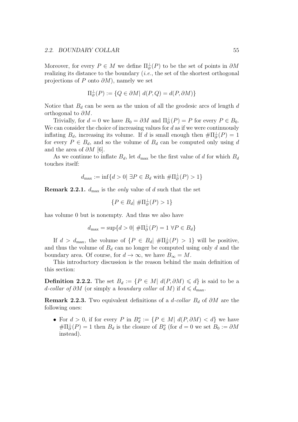#### 2.2. BOUNDARY COLLAR 55

Moreover, for every  $P \in M$  we define  $\Pi_{\partial}^{\perp}(P)$  to be the set of points in  $\partial M$ realizing its distance to the boundary  $(i.e.,$  the set of the shortest orthogonal projections of P onto  $\partial M$ ), namely we set

$$
\Pi_{\partial}^{\perp}(P) := \{ Q \in \partial M | \ d(P, Q) = d(P, \partial M) \}
$$

Notice that  $B_d$  can be seen as the union of all the geodesic arcs of length  $d$ orthogonal to  $\partial M$ .

Trivially, for  $d = 0$  we have  $B_0 = \partial M$  and  $\Pi_{\partial}^{\perp}(P) = P$  for every  $P \in B_0$ . We can consider the choice of increasing values for  $d$  as if we were continuously inflating  $B_d$ , increasing its volume. If d is small enough then  $\#\Pi_{\partial}^{\perp}(P) = 1$ for every  $P \in B_d$ , and so the volume of  $B_d$  can be computed only using d and the area of  $\partial M$  [6].

As we continue to inflate  $B_d$ , let  $d_{\text{max}}$  be the first value of d for which  $B_d$ touches itself:

$$
d_{\max} := \inf\{d > 0 | \exists P \in B_d \text{ with } \#\Pi_{\partial}^{\perp}(P) > 1\}
$$

**Remark 2.2.1.**  $d_{\text{max}}$  is the *only* value of d such that the set

$$
\{P \in B_d | \# \Pi_{\partial}^{\perp}(P) > 1\}
$$

has volume 0 but is nonempty. And thus we also have

$$
d_{\max} = \sup\{d > 0 | \# \Pi_{\partial}^{\perp}(P) = 1 \ \forall P \in B_d\}
$$

If  $d > d_{\text{max}}$ , the volume of  $\{P \in B_d | \# \Pi_{\partial}^{\perp}(P) > 1\}$  will be positive, and thus the volume of  $B_d$  can no longer be computed using only d and the boundary area. Of course, for  $d \to \infty$ , we have  $B_{\infty} = M$ .

This introductory discussion is the reason behind the main definition of this section:

**Definition 2.2.2.** The set  $B_d := \{P \in M | d(P, \partial M) \leq d\}$  is said to be a d-collar of ∂M (or simply a boundary collar of M) if  $d \le d_{\text{max}}$ .

**Remark 2.2.3.** Two equivalent definitions of a d-collar  $B_d$  of  $\partial M$  are the following ones:

• For  $d > 0$ , if for every P in  $B_d^o := \{P \in M | d(P, \partial M) < d\}$  we have  $\#\Pi_{\partial}^{\perp}(P) = 1$  then  $B_d$  is the closure of  $B_d^o$  (for  $d = 0$  we set  $B_0 := \partial M$ instead).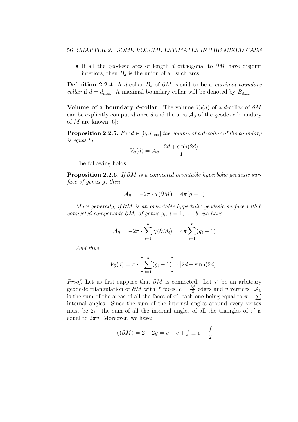• If all the geodesic arcs of length d orthogonal to  $\partial M$  have disjoint interiors, then  $B_d$  is the union of all such arcs.

**Definition 2.2.4.** A d-collar  $B_d$  of  $\partial M$  is said to be a maximal boundary *collar* if  $d = d_{\text{max}}$ . A maximal boundary collar will be denoted by  $B_{d_{\text{max}}}$ .

Volume of a boundary d-collar The volume  $V_{\partial}(d)$  of a d-collar of  $\partial M$ can be explicitly computed once d and the area  $A_{\partial}$  of the geodesic boundary of M are known [6]:

**Proposition 2.2.5.** For  $d \in [0, d_{\text{max}}]$  the volume of a d-collar of the boundary is equal to

$$
V_{\partial}(d) = \mathcal{A}_{\partial} \cdot \frac{2d + \sinh(2d)}{4}
$$

The following holds:

Proposition 2.2.6. If ∂M is a connected orientable hyperbolic geodesic surface of genus g, then

$$
\mathcal{A}_{\partial} = -2\pi \cdot \chi(\partial M) = 4\pi (g - 1)
$$

More generally, if  $\partial M$  is an orientable hyperbolic geodesic surface with b connected components  $\partial M_i$  of genus  $g_i$ ,  $i = 1, \ldots, b$ , we have

$$
\mathcal{A}_{\partial} = -2\pi \cdot \sum_{i=1}^{b} \chi(\partial M_i) = 4\pi \sum_{i=1}^{b} (g_i - 1)
$$

And thus

$$
V_{\partial}(d) = \pi \cdot \left[ \sum_{i=1}^{b} (g_i - 1) \right] \cdot \left[ 2d + \sinh(2d) \right]
$$

*Proof.* Let us first suppose that  $\partial M$  is connected. Let  $\tau'$  be an arbitrary geodesic triangulation of  $\partial M$  with f faces,  $e = \frac{3f}{2}$  $\frac{\delta f}{2}$  edges and v vertices.  $\mathcal{A}_{\partial}$ is the sum of the areas of all the faces of  $\tau'$ , each one being equal to  $\pi - \sum$ internal angles. Since the sum of the internal angles around every vertex must be  $2\pi$ , the sum of all the internal angles of all the triangles of  $\tau'$  is equal to  $2\pi v$ . Moreover, we have:

$$
\chi(\partial M) = 2 - 2g = v - e + f \equiv v - \frac{f}{2}
$$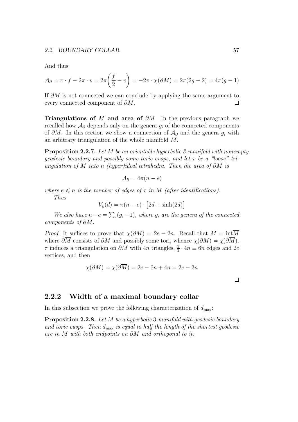#### 2.2. BOUNDARY COLLAR 57

And thus

$$
\mathcal{A}_{\partial} = \pi \cdot f - 2\pi \cdot v = 2\pi \left(\frac{f}{2} - v\right) = -2\pi \cdot \chi(\partial M) = 2\pi (2g - 2) = 4\pi (g - 1)
$$

If  $\partial M$  is not connected we can conclude by applying the same argument to every connected component of  $\partial M$ .  $\Box$ 

Triangulations of M and area of  $\partial M$  In the previous paragraph we recalled how  $\mathcal{A}_{\partial}$  depends only on the genera  $g_i$  of the connected components of  $\partial M$ . In this section we show a connection of  $\mathcal{A}_{\partial}$  and the genera  $g_i$  with an arbitrary triangulation of the whole manifold M.

**Proposition 2.2.7.** Let M be an orientable hyperbolic 3-manifold with nonempty qeodesic boundary and possibly some toric cusps, and let  $\tau$  be a "loose" triangulation of M into n (hyper)ideal tetrahedra. Then the area of  $\partial M$  is

$$
\mathcal{A}_{\partial} = 4\pi (n - e)
$$

where  $e \leq n$  is the number of edges of  $\tau$  in M (after identifications).

Thus

$$
V_{\partial}(d) = \pi(n - e) \cdot \left[2d + \sinh(2d)\right]
$$

We also have  $n-e = \sum_i (g_i-1)$ , where  $g_i$  are the genera of the connected components of ∂M.

*Proof.* It suffices to prove that  $\chi(\partial M) = 2e - 2n$ . Recall that  $M = \text{int}\overline{M}$ where  $\partial \overline{M}$  consists of  $\partial M$  and possibly some tori, whence  $\chi(\partial M) = \chi(\partial \overline{M})$ .  $\tau$  induces a triangulation on  $\partial \overline{M}$  with 4n triangles,  $\frac{3}{2} \cdot 4n \equiv 6n$  edges and 2e vertices, and then

$$
\chi(\partial M) = \chi(\partial M) = 2e - 6n + 4n = 2e - 2n
$$

 $\Box$ 

### 2.2.2 Width of a maximal boundary collar

In this subsection we prove the following characterization of  $d_{\text{max}}$ :

Proposition 2.2.8. Let M be a hyperbolic 3-manifold with geodesic boundary and toric cusps. Then  $d_{\text{max}}$  is equal to half the length of the shortest geodesic arc in M with both endpoints on ∂M and orthogonal to it.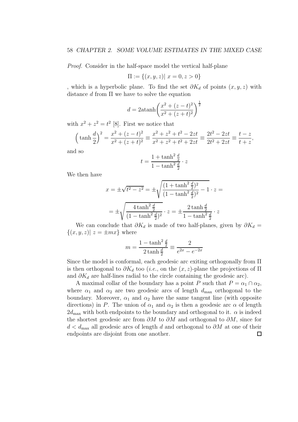Proof. Consider in the half-space model the vertical half-plane

$$
\Pi := \{(x, y, z) | x = 0, z > 0\}
$$

, which is a hyperbolic plane. To find the set  $\partial K_d$  of points  $(x, y, z)$  with distance  $d$  from  $\Pi$  we have to solve the equation

$$
d = 2 \operatorname{atanh}\left(\frac{x^2 + (z - t)^2}{x^2 + (z + t)^2}\right)^{\frac{1}{2}}
$$

with  $x^2 + z^2 = t^2$  [8]. First we notice that

$$
\left(\tanh\frac{d}{2}\right)^2 = \frac{x^2 + (z - t)^2}{x^2 + (z + t)^2} \equiv \frac{x^2 + z^2 + t^2 - 2zt}{x^2 + z^2 + t^2 + 2zt} \equiv \frac{2t^2 - 2zt}{2t^2 + 2zt} \equiv \frac{t - z}{t + z},
$$

and so

$$
t = \frac{1 + \tanh^2 \frac{d}{2}}{1 - \tanh^2 \frac{d}{2}} \cdot z
$$

We then have

$$
x = \pm \sqrt{t^2 - z^2} = \pm \sqrt{\frac{(1 + \tanh^2 \frac{d}{2})^2}{(1 - \tanh^2 \frac{d}{2})^2} - 1} \cdot z =
$$

$$
= \pm \sqrt{\frac{4 \tanh^2 \frac{d}{2}}{(1 - \tanh^2 \frac{d}{2})^2}} \cdot z = \pm \frac{2 \tanh \frac{d}{2}}{1 - \tanh^2 \frac{d}{2}} \cdot z
$$

We can conclude that  $\partial K_d$  is made of two half-planes, given by  $\partial K_d =$  $\{(x, y, z)| z = \pm mx\}$  where

$$
m = \frac{1 - \tanh^2 \frac{d}{2}}{2 \tanh \frac{d}{2}} \equiv \frac{2}{e^{2x} - e^{-2x}}
$$

Since the model is conformal, each geodesic arc exiting orthogonally from Π is then orthogonal to  $\partial K_d$  too (*i.e.*, on the  $(x, z)$ -plane the projections of  $\Pi$ and  $\partial K_d$  are half-lines radial to the circle containing the geodesic arc).

A maximal collar of the boundary has a point P such that  $P = \alpha_1 \cap \alpha_2$ , where  $\alpha_1$  and  $\alpha_2$  are two geodesic arcs of length  $d_{\text{max}}$  orthogonal to the boundary. Moreover,  $\alpha_1$  and  $\alpha_2$  have the same tangent line (with opposite directions) in P. The union of  $\alpha_1$  and  $\alpha_2$  is then a geodesic arc  $\alpha$  of length  $2d_{\text{max}}$  with both endpoints to the boundary and orthogonal to it.  $\alpha$  is indeed the shortest geodesic arc from  $\partial M$  to  $\partial M$  and orthogonal to  $\partial M$ , since for  $d < d_{\text{max}}$  all geodesic arcs of length d and orthogonal to  $\partial M$  at one of their endpoints are disjoint from one another. $\Box$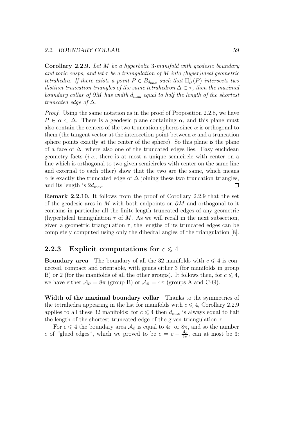#### 2.2. BOUNDARY COLLAR 59

Corollary 2.2.9. Let M be a hyperbolic 3-manifold with geodesic boundary and toric cusps, and let  $\tau$  be a triangulation of M into (hyper)ideal geometric tetrahedra. If there exists a point  $P \in B_{d_{\text{max}}}$  such that  $\Pi_{\partial}^{\perp}(P)$  intersects two distinct truncation triangles of the same tetrahedron  $\Delta \in \tau$ , then the maximal boundary collar of  $\partial M$  has width d<sub>max</sub> equal to half the length of the shortest truncated edge of  $\Delta$ .

Proof. Using the same notation as in the proof of Proposition 2.2.8, we have  $P \in \alpha \subset \Delta$ . There is a geodesic plane containing  $\alpha$ , and this plane must also contain the centers of the two truncation spheres since  $\alpha$  is orthogonal to them (the tangent vector at the intersection point between  $\alpha$  and a truncation sphere points exactly at the center of the sphere). So this plane is the plane of a face of  $\Delta$ , where also one of the truncated edges lies. Easy euclidean geometry facts (i.e., there is at most a unique semicircle with center on a line which is orthogonal to two given semicircles with center on the same line and external to each other) show that the two are the same, which means  $\alpha$  is exactly the truncated edge of  $\Delta$  joining these two truncation triangles, and its length is  $2d_{\text{max}}$ .  $\Box$ 

Remark 2.2.10. It follows from the proof of Corollary 2.2.9 that the set of the geodesic arcs in M with both endpoints on  $\partial M$  and orthogonal to it contains in particular all the finite-length truncated edges of any geometric (hyper)ideal triangulation  $\tau$  of M. As we will recall in the next subsection, given a geometric triangulation  $\tau$ , the lengths of its truncated edges can be completely computed using only the dihedral angles of the triangulation [8].

# **2.2.3** Explicit computations for  $c \leq 4$

**Boundary area** The boundary of all the 32 manifolds with  $c \leq 4$  is connected, compact and orientable, with genus either 3 (for manifolds in group B) or 2 (for the manifolds of all the other groups). It follows then, for  $c \leq 4$ , we have either  $\mathcal{A}_{\partial} = 8\pi$  (group B) or  $\mathcal{A}_{\partial} = 4\pi$  (groups A and C-G).

Width of the maximal boundary collar Thanks to the symmetries of the tetrahedra appearing in the list for manifolds with  $c \leq 4$ , Corollary 2.2.9 applies to all these 32 manifolds: for  $c \leq 4$  then  $d_{\text{max}}$  is always equal to half the length of the shortest truncated edge of the given triangulation  $\tau$ .

For  $c \leq 4$  the boundary area  $\mathcal{A}_{\partial}$  is equal to  $4\pi$  or  $8\pi$ , and so the number e of "glued edges", which we proved to be  $e = c - \frac{A_{\partial}}{4\pi}$ , can at most be 3: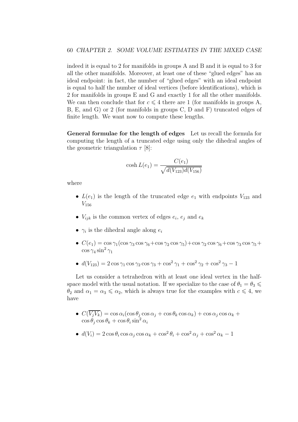indeed it is equal to 2 for manifolds in groups A and B and it is equal to 3 for all the other manifolds. Moreover, at least one of these "glued edges" has an ideal endpoint: in fact, the number of "glued edges" with an ideal endpoint is equal to half the number of ideal vertices (before identifications), which is 2 for manifolds in groups E and G and exactly 1 for all the other manifolds. We can then conclude that for  $c \leq 4$  there are 1 (for manifolds in groups A, B, E, and G) or 2 (for manifolds in groups C, D and F) truncated edges of finite length. We want now to compute these lengths.

General formulae for the length of edges Let us recall the formula for computing the length of a truncated edge using only the dihedral angles of the geometric triangulation  $\tau$  [8]:

$$
\cosh L(e_1) = \frac{C(e_1)}{\sqrt{d(V_{123})d(V_{156})}}
$$

where

- $L(e_1)$  is the length of the truncated edge  $e_1$  with endpoints  $V_{123}$  and  $V_{156}$
- $V_{ijk}$  is the common vertex of edges  $e_i$ ,  $e_j$  and  $e_k$
- $\gamma_i$  is the dihedral angle along  $e_i$
- $C(e_1) = \cos \gamma_1(\cos \gamma_3 \cos \gamma_6 + \cos \gamma_2 \cos \gamma_5) + \cos \gamma_2 \cos \gamma_6 + \cos \gamma_3 \cos \gamma_5 +$  $\cos\gamma_4\sin^2\gamma_1$
- $d(V_{123}) = 2 \cos \gamma_1 \cos \gamma_2 \cos \gamma_3 + \cos^2 \gamma_1 + \cos^2 \gamma_2 + \cos^2 \gamma_3 1$

Let us consider a tetrahedron with at least one ideal vertex in the halfspace model with the usual notation. If we specialize to the case of  $\theta_1 = \theta_3 \leq$  $\theta_2$  and  $\alpha_1 = \alpha_3 \leq \alpha_2$ , which is always true for the examples with  $c \leq 4$ , we have

- $C(V_jV_k) = \cos \alpha_i(\cos \theta_j \cos \alpha_j + \cos \theta_k \cos \alpha_k) + \cos \alpha_j \cos \alpha_k +$  $\cos \theta_j \cos \theta_k + \cos \theta_i \sin^2 \alpha_i$
- $d(V_i) = 2\cos\theta_i\cos\alpha_j\cos\alpha_k + \cos^2\theta_i + \cos^2\alpha_j + \cos^2\alpha_k 1$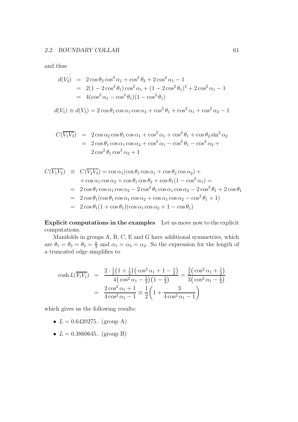and thus

$$
d(V_2) = 2 \cos \theta_2 \cos^2 \alpha_1 + \cos^2 \theta_2 + 2 \cos^2 \alpha_1 - 1
$$
  
= 2(1 - 2 \cos^2 \theta\_1) \cos^2 \alpha\_1 + (1 - 2 \cos^2 \theta\_1)^2 + 2 \cos^2 \alpha\_1 - 1  
= 4(\cos^2 \alpha\_1 - \cos^2 \theta\_1)(1 - \cos^2 \theta\_1)

$$
d(V_1) \equiv d(V_3) = 2\cos\theta_1\cos\alpha_1\cos\alpha_2 + \cos^2\theta_1 + \cos^2\alpha_1 + \cos^2\alpha_2 - 1
$$

$$
C(\overline{V_1V_3}) = 2 \cos \alpha_2 \cos \theta_1 \cos \alpha_1 + \cos^2 \alpha_1 + \cos^2 \theta_1 + \cos \theta_2 \sin^2 \alpha_2
$$
  
= 2 \cos \theta\_1 \cos \alpha\_1 \cos \alpha\_2 + \cos^2 \alpha\_1 - \cos^2 \theta\_1 - \cos^2 \alpha\_2 +  
2 \cos^2 \theta\_1 \cos^2 \alpha\_2 + 1

$$
C(\overline{V_1V_2}) \equiv C(\overline{V_2V_3}) = \cos \alpha_1(\cos \theta_1 \cos \alpha_1 + \cos \theta_2 \cos \alpha_2) +
$$
  
+  $\cos \alpha_1 \cos \alpha_2 + \cos \theta_1 \cos \theta_2 + \cos \theta_1 (1 - \cos^2 \alpha_1) =$   
=  $2 \cos \theta_1 \cos \alpha_1 \cos \alpha_2 - 2 \cos^2 \theta_1 \cos \alpha_1 \cos \alpha_2 - 2 \cos^3 \theta_1 + 2 \cos \theta_1$   
=  $2 \cos \theta_1(\cos \theta_1 \cos \alpha_1 \cos \alpha_2 + \cos \alpha_1 \cos \alpha_2 - \cos^2 \theta_1 + 1)$   
=  $2 \cos \theta_1 (1 + \cos \theta_1)(\cos \alpha_1 \cos \alpha_2 + 1 - \cos \theta_1)$ 

Explicit computations in the examples Let us move now to the explicit computations.

Manifolds in groups A, B, C, E and G have additional symmetries, which are  $\theta_1 = \theta_3 = \theta_2 = \frac{\pi}{3}$  $\frac{\pi}{3}$  and  $\alpha_1 = \alpha_3 = \alpha_2$ . So the expression for the length of a truncated edge simplifies to

$$
\cosh L(\overline{V_i V_j}) = \frac{2 \cdot \frac{1}{2} \left(1 + \frac{1}{2}\right) \left(\cos^2 \alpha_1 + 1 - \frac{1}{2}\right)}{4 \left(\cos^2 \alpha_1 - \frac{1}{4}\right) \left(1 - \frac{1}{4}\right)} = \frac{\frac{3}{2} \left(\cos^2 \alpha_1 + \frac{1}{2}\right)}{3 \left(\cos^2 \alpha_1 - \frac{1}{4}\right)}
$$

$$
= \frac{2 \cos^2 \alpha_1 + 1}{4 \cos^2 \alpha_1 - 1} = \frac{1}{2} \left(1 + \frac{3}{4 \cos^2 \alpha_1 - 1}\right)
$$

which gives us the following results:

- $L = 0.6420275$ .. (group A)
- $L = 0.3860645$ .. (group B)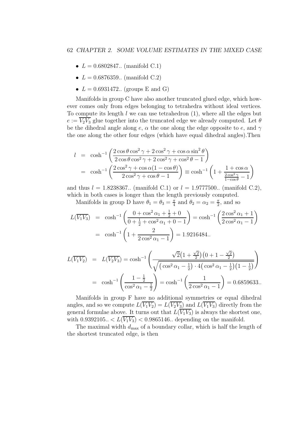- $L = 0.6802847$ .. (manifold C.1)
- $L = 0.6876359...$  (manifold C.2)
- $L = 0.6931472$ .. (groups E and G)

Manifolds in group C have also another truncated glued edge, which however comes only from edges belonging to tetrahedra without ideal vertices. To compute its length  $l$  we can use tetrahedron  $(1)$ , where all the edges but  $e := \overline{V_2V_3}$  glue together into the truncated edge we already computed. Let  $\theta$ be the dihedral angle along e,  $\alpha$  the one along the edge opposite to e, and  $\gamma$ the one along the other four edges (which have equal dihedral angles).Then

$$
l = \cosh^{-1}\left(\frac{2\cos\theta\cos^2\gamma + 2\cos^2\gamma + \cos\alpha\sin^2\theta}{2\cos\theta\cos^2\gamma + 2\cos^2\gamma + \cos^2\theta - 1}\right)
$$
  
=  $\cosh^{-1}\left(\frac{2\cos^2\gamma + \cos\alpha(1 - \cos\theta)}{2\cos^2\gamma + \cos\theta - 1}\right) \equiv \cosh^{-1}\left(1 + \frac{1 + \cos\alpha}{\frac{2\cos^2\gamma}{1 - \cos\theta} - 1}\right)$ 

and thus  $l = 1.8238367$ .. (manifold C.1) or  $l = 1.9777500$ .. (manifold C.2), which in both cases is longer than the length previously computed.

Manifolds in group D have  $\theta_1 = \theta_3 = \frac{\pi}{4}$  $\frac{\pi}{4}$  and  $\theta_2 = \alpha_2 = \frac{\pi}{2}$  $\frac{\pi}{2}$ , and so

$$
L(\overline{V_1 V_3}) = \cosh^{-1}\left(\frac{0 + \cos^2\alpha_1 + \frac{1}{2} + 0}{0 + \frac{1}{2} + \cos^2\alpha_1 + 0 - 1}\right) = \cosh^{-1}\left(\frac{2\cos^2\alpha_1 + 1}{2\cos^2\alpha_1 - 1}\right)
$$
  
=  $\cosh^{-1}\left(1 + \frac{2}{2\cos^2\alpha_1 - 1}\right) = 1.9216484...$ 

$$
L(\overline{V_1V_2}) = L(\overline{V_2V_3}) = \cosh^{-1}\left(\frac{\sqrt{2}\left(1+\frac{\sqrt{2}}{2}\right)\left(0+1-\frac{\sqrt{2}}{2}\right)}{\sqrt{\left(\cos^2\alpha_1-\frac{1}{2}\right)\cdot4\left(\cos^2\alpha_1-\frac{1}{2}\right)\left(1-\frac{1}{2}\right)}}\right)
$$
  
=  $\cosh^{-1}\left(\frac{1-\frac{1}{2}}{\cos^2\alpha_1-\frac{1}{2}}\right) = \cosh^{-1}\left(\frac{1}{2\cos^2\alpha_1-1}\right) = 0.6859633...$ 

Manifolds in group F have no additional symmetries or equal dihedral angles, and so we compute  $L(\overline{V_1V_2}) = L(\overline{V_2V_3})$  and  $L(\overline{V_1V_3})$  directly from the general formulae above. It turns out that  $L(\overline{V_1V_3})$  is always the shortest one, with  $0.9392105... < L(\overline{V_1V_3}) < 0.9865146...$  depending on the manifold.

The maximal width  $d_{\text{max}}$  of a boundary collar, which is half the length of the shortest truncated edge, is then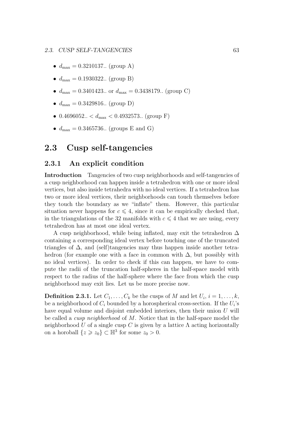- $d_{\text{max}} = 0.3210137$ .. (group A)
- $d_{\text{max}} = 0.1930322...$  (group B)
- $d_{\text{max}} = 0.3401423...$  or  $d_{\text{max}} = 0.3438179...$  (group C)
- $d_{\text{max}} = 0.3429816.$  (group D)
- 0.4696052..  $d_{\text{max}} < 0.4932573$ .. (group F)
- $d_{\text{max}} = 0.3465736.$  (groups E and G)

# 2.3 Cusp self-tangencies

### 2.3.1 An explicit condition

Introduction Tangencies of two cusp neighborhoods and self-tangencies of a cusp neighborhood can happen inside a tetrahedron with one or more ideal vertices, but also inside tetrahedra with no ideal vertices. If a tetrahedron has two or more ideal vertices, their neighborhoods can touch themselves before they touch the boundary as we "inflate" them. However, this particular situation never happens for  $c \leq 4$ , since it can be empirically checked that, in the triangulations of the 32 manifolds with  $c \leq 4$  that we are using, every tetrahedron has at most one ideal vertex.

A cusp neighborhood, while being inflated, may exit the tetrahedron  $\Delta$ containing a corresponding ideal vertex before touching one of the truncated triangles of  $\Delta$ , and (self)tangencies may thus happen inside another tetrahedron (for example one with a face in common with  $\Delta$ , but possibly with no ideal vertices). In order to check if this can happen, we have to compute the radii of the truncation half-spheres in the half-space model with respect to the radius of the half-sphere where the face from which the cusp neighborhood may exit lies. Let us be more precise now.

**Definition 2.3.1.** Let  $C_1, \ldots, C_k$  be the cusps of M and let  $U_i$ ,  $i = 1, \ldots, k$ , be a neighborhood of  $C_i$  bounded by a horospherical cross-section. If the  $U_i$ 's have equal volume and disjoint embedded interiors, then their union U will be called a cusp neighborhood of M. Notice that in the half-space model the neighborhood U of a single cusp C is given by a lattice  $\Lambda$  acting horizontally on a horoball  $\{z \geq z_0\} \subset \mathbb{H}^3$  for some  $z_0 > 0$ .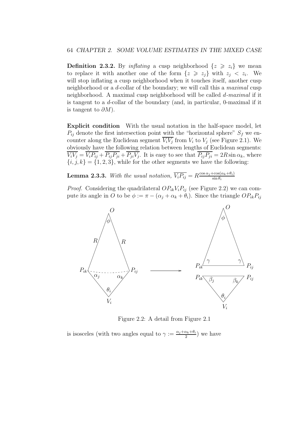**Definition 2.3.2.** By inflating a cusp neighborhood  $\{z \geq z_i\}$  we mean to replace it with another one of the form  $\{z \geq z_j\}$  with  $z_j < z_i$ . We will stop inflating a cusp neighborhood when it touches itself, another cusp neighborhood or a d-collar of the boundary; we will call this a maximal cusp neighborhood. A maximal cusp neighborhood will be called d-maximal if it is tangent to a d-collar of the boundary (and, in particular, 0-maximal if it is tangent to  $\partial M$ ).

Explicit condition With the usual notation in the half-space model, let  $P_{ij}$  denote the first intersection point with the "horizontal sphere"  $S_f$  we encounter along the Euclidean segment  $V_i V_j$  from  $V_i$  to  $V_j$  (see Figure 2.1). We obviously have the following relation between lengths of Euclidean segments:  $V_i V_j = V_i P_{ij} + P_{ij} P_{ji} + P_{ji} V_j$ . It is easy to see that  $P_{ij} P_{ji} = 2R \sin \alpha_k$ , where  ${i, j, k} = {1, 2, 3}$ , while for the other segments we have the following:

**Lemma 2.3.3.** With the usual notation,  $\overline{V_i P_{ij}} = R^{\cos \alpha_j + \cos(\alpha_k + \theta_i)}$  $\sin \theta_i$ 

*Proof.* Considering the quadrilateral  $OP_{ik}V_iP_{ij}$  (see Figure 2.2) we can compute its angle in O to be  $\phi := \pi - (\alpha_i + \alpha_k + \theta_i)$ . Since the triangle  $OP_{ik}P_{ij}$ 



Figure 2.2: A detail from Figure 2.1

is isosceles (with two angles equal to  $\gamma := \frac{\alpha_j + \alpha_k + \theta_i}{2}$  $\frac{x_k + \sigma_i}{2}$  we have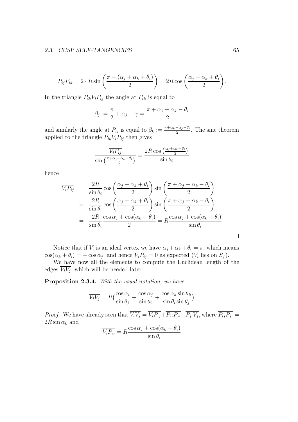#### 2.3. CUSP SELF-TANGENCIES 65

$$
\overline{P_{ij}P_{ik}} = 2 \cdot R \sin\left(\frac{\pi - (\alpha_j + \alpha_k + \theta_i)}{2}\right) = 2R \cos\left(\frac{\alpha_j + \alpha_k + \theta_i}{2}\right).
$$

In the triangle  $P_{ik}V_iP_{ij}$  the angle at  $P_{ik}$  is equal to

$$
\beta_j := \frac{\pi}{2} + \alpha_j - \gamma = \frac{\pi + \alpha_j - \alpha_k - \theta_i}{2}
$$

and similarly the angle at  $P_{ij}$  is equal to  $\beta_k := \frac{\pi + \alpha_k - \alpha_j - \theta_i}{2}$ . The sine theorem applied to the triangle  $P_{ik}V_iP_{ij}$  then gives

$$
\frac{\overline{V_i P_{ij}}}{\sin\left(\frac{\pi + \alpha_j - \alpha_k - \theta_i}{2}\right)} = \frac{2R\cos\left(\frac{\alpha_j + \alpha_k + \theta_i}{2}\right)}{\sin\theta_i}
$$

hence

$$
\overline{V_i P_{ij}} = \frac{2R}{\sin \theta_i} \cos \left( \frac{\alpha_j + \alpha_k + \theta_i}{2} \right) \sin \left( \frac{\pi + \alpha_j - \alpha_k - \theta_i}{2} \right)
$$
  
= 
$$
\frac{2R}{\sin \theta_i} \cos \left( \frac{\alpha_j + \alpha_k + \theta_i}{2} \right) \sin \left( \frac{\pi + \alpha_j - \alpha_k - \theta_i}{2} \right)
$$
  
= 
$$
\frac{2R}{\sin \theta_i} \frac{\cos \alpha_j + \cos(\alpha_k + \theta_i)}{2} = R \frac{\cos \alpha_j + \cos(\alpha_k + \theta_i)}{\sin \theta_i}
$$

Notice that if  $V_i$  is an ideal vertex we have  $\alpha_j + \alpha_k + \theta_i = \pi$ , which means  $\cos(\alpha_k + \theta_i) = -\cos \alpha_j$ , and hence  $V_i P_{ij} = 0$  as expected  $(V_i \text{ lies on } S_f)$ .

We have now all the elements to compute the Euclidean length of the edges  $V_i V_j$ , which will be needed later:

Proposition 2.3.4. With the usual notation, we have

$$
\overline{V_i V_j} = R \left( \frac{\cos \alpha_i}{\sin \theta_j} + \frac{\cos \alpha_j}{\sin \theta_i} + \frac{\cos \alpha_k \sin \theta_k}{\sin \theta_i \sin \theta_j} \right)
$$

*Proof.* We have already seen that  $V_i V_j = V_i P_{ij} + P_{ij} P_{ji} + P_{ji} V_j$ , where  $P_{ij} P_{ji} =$  $2R\sin\alpha_k$  and

$$
\overline{V_i P_{ij}} = R \frac{\cos \alpha_j + \cos(\alpha_k + \theta_i)}{\sin \theta_i}
$$

 $\Box$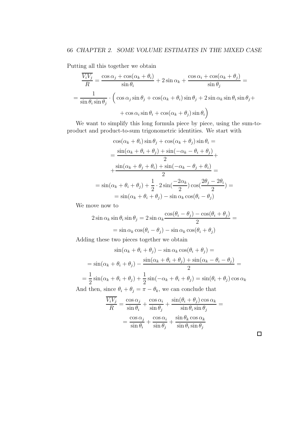Putting all this together we obtain

$$
\frac{\overline{V_i V_j}}{R} = \frac{\cos \alpha_j + \cos(\alpha_k + \theta_i)}{\sin \theta_i} + 2 \sin \alpha_k + \frac{\cos \alpha_i + \cos(\alpha_k + \theta_j)}{\sin \theta_j} =
$$

$$
= \frac{1}{\sin \theta_i \sin \theta_j} \cdot \left( \cos \alpha_j \sin \theta_j + \cos(\alpha_k + \theta_i) \sin \theta_j + 2 \sin \alpha_k \sin \theta_i \sin \theta_j + \cos \alpha_i \sin \theta_i + \cos(\alpha_k + \theta_j) \sin \theta_i \right)
$$

We want to simplify this long formula piece by piece, using the sum-toproduct and product-to-sum trigonometric identities. We start with

$$
\cos(\alpha_k + \theta_i)\sin\theta_j + \cos(\alpha_k + \theta_j)\sin\theta_i =
$$
  
= 
$$
\frac{\sin(\alpha_k + \theta_i + \theta_j) + \sin(-\alpha_k - \theta_i + \theta_j)}{2} +
$$
  
+ 
$$
\frac{\sin(\alpha_k + \theta_j + \theta_i) + \sin(-\alpha_k - \theta_j + \theta_i)}{2} =
$$
  
= 
$$
\sin(\alpha_k + \theta_i + \theta_j) + \frac{1}{2} \cdot 2\sin(\frac{-2\alpha_k}{2})\cos(\frac{2\theta_j - 2\theta_i}{2}) =
$$
  
= 
$$
\sin(\alpha_k + \theta_i + \theta_j) - \sin\alpha_k\cos(\theta_i - \theta_j)
$$

We move now to

$$
2\sin\alpha_k \sin\theta_i \sin\theta_j = 2\sin\alpha_k \frac{\cos(\theta_i - \theta_j) - \cos(\theta_i + \theta_j)}{2} =
$$

$$
= \sin\alpha_k \cos(\theta_i - \theta_j) - \sin\alpha_k \cos(\theta_i + \theta_j)
$$

Adding these two pieces together we obtain

$$
\sin(\alpha_k + \theta_i + \theta_j) - \sin \alpha_k \cos(\theta_i + \theta_j) =
$$
  
=  $\sin(\alpha_k + \theta_i + \theta_j) - \frac{\sin(\alpha_k + \theta_i + \theta_j) + \sin(\alpha_k - \theta_i - \theta_j)}{2} =$   
=  $\frac{1}{2}\sin(\alpha_k + \theta_i + \theta_j) + \frac{1}{2}\sin(-\alpha_k + \theta_i + \theta_j) = \sin(\theta_i + \theta_j)\cos \alpha_k$   
And then, since  $\theta_i + \theta_j = \pi - \theta_k$ , we can conclude that

$$
\frac{V_i V_j}{R} = \frac{\cos \alpha_j}{\sin \theta_i} + \frac{\cos \alpha_i}{\sin \theta_j} + \frac{\sin(\theta_i + \theta_j)\cos \alpha_k}{\sin \theta_i \sin \theta_j} =
$$

$$
= \frac{\cos \alpha_j}{\sin \theta_i} + \frac{\cos \alpha_i}{\sin \theta_j} + \frac{\sin \theta_k \cos \alpha_k}{\sin \theta_i \sin \theta_j}
$$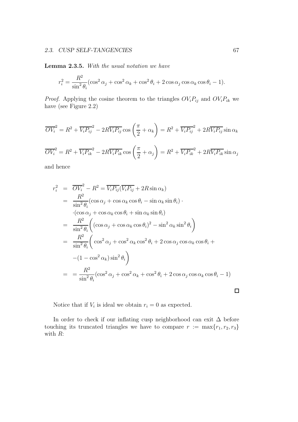#### 2.3. CUSP SELF-TANGENCIES 67

Lemma 2.3.5. With the usual notation we have

$$
r_i^2 = \frac{R^2}{\sin^2 \theta_i} (\cos^2 \alpha_j + \cos^2 \alpha_k + \cos^2 \theta_i + 2 \cos \alpha_j \cos \alpha_k \cos \theta_i - 1).
$$

*Proof.* Applying the cosine theorem to the triangles  $OV_iP_{ij}$  and  $OV_iP_{ik}$  we have (see Figure 2.2)

$$
\overline{OV_i}^2 = R^2 + \overline{V_i P_{ij}}^2 - 2R\overline{V_i P_{ij}} \cos\left(\frac{\pi}{2} + \alpha_k\right) = R^2 + \overline{V_i P_{ij}}^2 + 2R\overline{V_i P_{ij}} \sin\alpha_k
$$
  

$$
\overline{OV_i}^2 = R^2 + \overline{V_i P_{ik}}^2 - 2R\overline{V_i P_{ik}} \cos\left(\frac{\pi}{2} + \alpha_j\right) = R^2 + \overline{V_i P_{ik}}^2 + 2R\overline{V_i P_{ik}} \sin\alpha_j
$$

and hence

$$
r_i^2 = \overline{OV_i^2} - R^2 = \overline{V_i P_{ij}} (\overline{V_i P_{ij}} + 2R \sin \alpha_k)
$$
  
\n
$$
= \frac{R^2}{\sin^2 \theta_i} (\cos \alpha_j + \cos \alpha_k \cos \theta_i - \sin \alpha_k \sin \theta_i) \cdot
$$
  
\n
$$
\cdot (\cos \alpha_j + \cos \alpha_k \cos \theta_i + \sin \alpha_k \sin \theta_i)
$$
  
\n
$$
= \frac{R^2}{\sin^2 \theta_i} \left( (\cos \alpha_j + \cos \alpha_k \cos \theta_i)^2 - \sin^2 \alpha_k \sin^2 \theta_i \right)
$$
  
\n
$$
= \frac{R^2}{\sin^2 \theta_i} \left( \cos^2 \alpha_j + \cos^2 \alpha_k \cos^2 \theta_i + 2 \cos \alpha_j \cos \alpha_k \cos \theta_i + (-1 - \cos^2 \alpha_k) \sin^2 \theta_i \right)
$$
  
\n
$$
= \frac{R^2}{\sin^2 \theta_i} (\cos^2 \alpha_j + \cos^2 \alpha_k + \cos^2 \theta_i + 2 \cos \alpha_j \cos \alpha_k \cos \theta_i - 1)
$$

Notice that if  $V_i$  is ideal we obtain  $r_i = 0$  as expected.

In order to check if our inflating cusp neighborhood can exit  $\Delta$  before touching its truncated triangles we have to compare  $r := \max\{r_1, r_2, r_3\}$ with R:

 $\Box$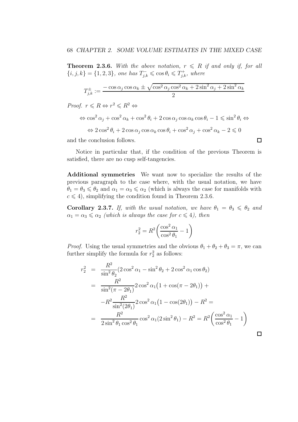**Theorem 2.3.6.** With the above notation,  $r \leq R$  if and only if, for all  $\{i, j, k\} = \{1, 2, 3\}$ , one has  $T_{j,k}^- \leqslant \cos \theta_i \leqslant T_{j,k}^+$ , where

$$
T_{j,k}^{\pm}:=\frac{-\cos\alpha_j\cos\alpha_k\pm\sqrt{\cos^2\alpha_j\cos^2\alpha_k+2\sin^2\alpha_j+2\sin^2\alpha_k}}{2}
$$

*Proof.*  $r \le R \Leftrightarrow r^2 \le R^2 \Leftrightarrow$ 

$$
\Leftrightarrow \cos^2 \alpha_j + \cos^2 \alpha_k + \cos^2 \theta_i + 2 \cos \alpha_j \cos \alpha_k \cos \theta_i - 1 \le \sin^2 \theta_i \Leftrightarrow
$$
  

$$
\Leftrightarrow 2 \cos^2 \theta_i + 2 \cos \alpha_j \cos \alpha_k \cos \theta_i + \cos^2 \alpha_j + \cos^2 \alpha_k - 2 \le 0
$$

 $\Box$ 

and the conclusion follows.

Notice in particular that, if the condition of the previous Theorem is satisfied, there are no cusp self-tangencies.

Additional symmetries We want now to specialize the results of the previous paragraph to the case where, with the usual notation, we have  $\theta_1 = \theta_3 \leq \theta_2$  and  $\alpha_1 = \alpha_3 \leq \alpha_2$  (which is always the case for manifolds with  $c \leq 4$ , simplifying the condition found in Theorem 2.3.6.

Corollary 2.3.7. If, with the usual notation, we have  $\theta_1 = \theta_3 \leq \theta_2$  and  $\alpha_1 = \alpha_3 \leq \alpha_2$  (which is always the case for  $c \leq 4$ ), then

$$
r_2^2 = R^2 \bigg( \frac{\cos^2 \alpha_1}{\cos^2 \theta_1} - 1 \bigg)
$$

*Proof.* Using the usual symmetries and the obvious  $\theta_1 + \theta_2 + \theta_3 = \pi$ , we can further simplify the formula for  $r_2^2$  as follows:

$$
r_2^2 = \frac{R^2}{\sin^2 \theta_2} (2 \cos^2 \alpha_1 - \sin^2 \theta_2 + 2 \cos^2 \alpha_1 \cos \theta_2)
$$
  
= 
$$
\frac{R^2}{\sin^2 (\pi - 2\theta_1)} 2 \cos^2 \alpha_1 (1 + \cos(\pi - 2\theta_1)) +
$$
  

$$
-R^2 \frac{R^2}{\sin^2 (2\theta_1)} 2 \cos^2 \alpha_1 (1 - \cos(2\theta_1)) - R^2 =
$$
  
= 
$$
\frac{R^2}{2 \sin^2 \theta_1 \cos^2 \theta_1} \cos^2 \alpha_1 (2 \sin^2 \theta_1) - R^2 = R^2 \left( \frac{\cos^2 \alpha_1}{\cos^2 \theta_1} - 1 \right)
$$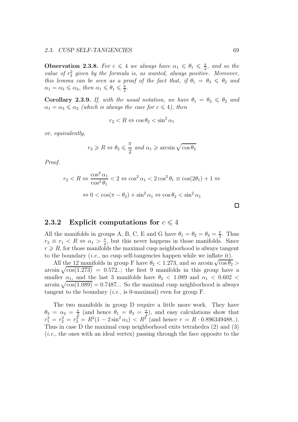**Observation 2.3.8.** For  $c \leq 4$  we always have  $\alpha_1 \leq \theta_1 \leq \frac{\pi}{2}$  $\frac{\pi}{2}$ , and so the value of  $r_2^2$  given by the formula is, as wanted, always positive. Moreover, this lemma can be seen as a proof of the fact that, if  $\theta_1 = \theta_3 \leq \theta_2$  and  $\alpha_1 = \alpha_3 \leqslant \alpha_2$ , then  $\alpha_1 \leqslant \theta_1 \leqslant \frac{\pi}{2}$  $\frac{\pi}{2}$ .

Corollary 2.3.9. If, with the usual notation, we have  $\theta_1 = \theta_3 \leq \theta_2$  and  $\alpha_1 = \alpha_3 \leq \alpha_2$  (which is always the case for  $c \leq 4$ ), then

$$
r_2 < R \Leftrightarrow \cos \theta_2 < \sin^2 \alpha_1
$$

or, equivalently,

$$
r_2 \ge R \Leftrightarrow \theta_2 \le \frac{\pi}{2}
$$
 and  $\alpha_1 \ge \arcsin \sqrt{\cos \theta_2}$ 

Proof.

$$
r_2 < R \Leftrightarrow \frac{\cos^2 \alpha_1}{\cos^2 \theta_1} < 2 \Leftrightarrow \cos^2 \alpha_1 < 2 \cos^2 \theta_1 \equiv \cos(2\theta_1) + 1 \Leftrightarrow
$$
\n
$$
\Leftrightarrow 0 < \cos(\pi - \theta_2) + \sin^2 \alpha_1 \Leftrightarrow \cos \theta_2 < \sin^2 \alpha_1
$$

 $\Box$ 

### 2.3.2 Explicit computations for  $c \leq 4$

All the manifolds in groups A, B, C, E and G have  $\theta_1 = \theta_2 = \theta_3 = \frac{\pi}{3}$  $\frac{\pi}{3}$ . Thus  $r_2 \equiv r_1 \leq R \Leftrightarrow \alpha_1 > \frac{\pi}{4}$  $\frac{\pi}{4}$ , but this never happens in those manifolds. Since  $r \geq R$ , for those manifolds the maximal cusp neighborhood is always tangent to the boundary  $(i.e.,$  no cusp self-tangencies happen while we inflate it).

All the 12 manifolds in group F have  $\theta_2 < 1.273$ , and so arcsin  $\sqrt{\cos \theta_2} >$ arcsin  $\sqrt{\cos(1.273)}$  = 0.572..; the first 9 manifolds in this group have a smaller  $\alpha_1$ , and the last 3 manifolds have  $\theta_2$  < 1.089 and  $\alpha_1$  < 0.602 < arcsin  $\sqrt{\cos(1.089)} = 0.7487...$  So the maximal cusp neighborhood is always tangent to the boundary (*i.e.*, is 0-maximal) even for group  $F$ .

The two manifolds in group D require a little more work. They have  $\theta_2 = \alpha_2 = \frac{\pi}{2}$  $\frac{\pi}{2}$  (and hence  $\theta_1 = \theta_3 = \frac{\pi}{4}$  $(\frac{\pi}{4})$ , and easy calculations show that  $r_1^2 = r_2^2 = r_3^2 = R^2(1 - 2\sin^2 \alpha_1) < R^2$  (and hence  $r = R \cdot 0.896349488...$ ). Thus in case D the maximal cusp neighborhood exits tetrahedra (2) and (3) (i.e., the ones with an ideal vertex) passing through the face opposite to the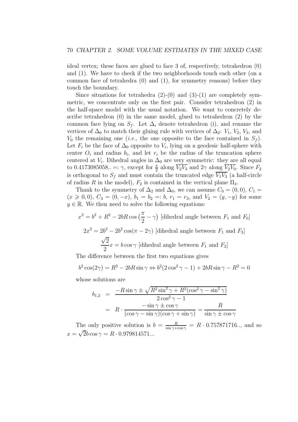ideal vertex; these faces are glued to face 3 of, respectively, tetrahedron (0) and (1). We have to check if the two neighborhoods touch each other (on a common face of tetrahedra (0) and (1), for symmetry reasons) before they touch the boundary.

Since situations for tetrahedra  $(2)-(0)$  and  $(3)-(1)$  are completely symmetric, we concentrate only on the first pair. Consider tetrahedron (2) in the half-space model with the usual notation. We want to concretely describe tetrahedron (0) in the same model, glued to tetrahedron (2) by the common face lying on  $S_f$ . Let  $\Delta_i$  denote tetrahedron (i), and rename the vertices of  $\Delta_0$  to match their gluing rule with vertices of  $\Delta_2$ :  $V_1$ ,  $V_2$ ,  $V_3$ , and  $V_0$  the remaining one (*i.e.*, the one opposite to the face contained in  $S_f$ ). Let  $F_i$  be the face of  $\Delta_0$  opposite to  $V_i$ , lying on a geodesic half-sphere with center  $O_i$  and radius  $b_i$ , and let  $r_i$  be the radius of the truncation sphere centered at  $V_i$ . Dihedral angles in  $\Delta_0$  are very symmetric: they are all equal to 0.4173085058.. =:  $\gamma$ , except for  $\frac{\pi}{2}$  along  $\overline{V_2V_3}$  and  $2\gamma$  along  $\overline{V_2V_0}$ . Since  $F_2$ is orthogonal to  $S_f$  and must contain the truncated edge  $\overline{V_1V_3}$  (a half-circle of radius R in the model),  $F_2$  is contained in the vertical plane  $\Pi_2$ .

Thank to the symmetry of  $\Delta_2$  and  $\Delta_0$ , we can assume  $C_0 = (0,0), C_1 =$  $(x \ge 0, 0), C_3 = (0, -x), b_1 = b_2 =: b, r_1 = r_3$ , and  $V_2 = (y, -y)$  for some  $y \in \mathbb{R}$ . We then need to solve the following equations:

$$
x^{2} = b^{2} + R^{2} - 2bR \cos\left(\frac{\pi}{2} - \gamma\right)
$$
 [dihedral angle between  $F_{1}$  and  $F_{0}$ ]  

$$
2x^{2} = 2b^{2} - 2b^{2} \cos(\pi - 2\gamma)
$$
 [dihedral angle between  $F_{1}$  and  $F_{3}$ ]  

$$
\frac{\sqrt{2}}{2}x = b \cos\gamma
$$
 [dihedral angle between  $F_{1}$  and  $F_{2}$ ]

The difference between the first two equations gives

$$
b2 cos(2\gamma) = R2 - 2bR sin \gamma \Leftrightarrow b2(2 cos2 \gamma - 1) + 2bR sin \gamma - R2 = 0
$$

whose solutions are

$$
b_{1,2} = \frac{-R\sin\gamma \pm \sqrt{R^2\sin^2\gamma + R^2(\cos^2\gamma - \sin^2\gamma)}}{2\cos^2\gamma - 1}
$$

$$
= R \cdot \frac{-\sin\gamma \pm \cos\gamma}{(\cos\gamma - \sin\gamma)(\cos\gamma + \sin\gamma)} = \frac{R}{\sin\gamma \pm \cos\gamma}
$$

The only positive solution is  $b = \frac{R}{\sin \gamma + \cos \gamma} = R \cdot 0.757871716...$ , and so  $x = \sqrt{2b} \cos \gamma = R \cdot 0.979814571...$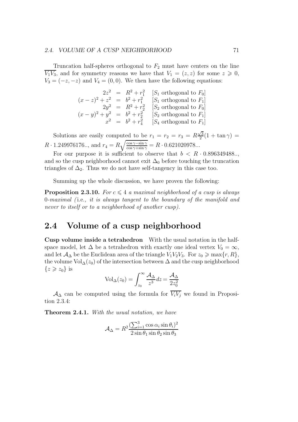#### 2.4. VOLUME OF A CUSP NEIGHBORHOOD 71

Truncation half-spheres orthogonal to  $F_2$  must have centers on the line  $\overline{V_1V_3}$ , and for symmetry reasons we have that  $V_1 = (z, z)$  for some  $z \geq 0$ ,  $V_3 = (-z, -z)$  and  $V_4 = (0, 0)$ . We then have the following equations:

$$
2z^{2} = R^{2} + r_{1}^{2} \quad [S_{1} \text{ orthogonal to } F_{0}]
$$
  
\n
$$
(x - z)^{2} + z^{2} = b^{2} + r_{1}^{2} \quad [S_{1} \text{ orthogonal to } F_{1}]
$$
  
\n
$$
2y^{2} = R^{2} + r_{2}^{2} \quad [S_{2} \text{ orthogonal to } F_{0}]
$$
  
\n
$$
(x - y)^{2} + y^{2} = b^{2} + r_{2}^{2} \quad [S_{2} \text{ orthogonal to } F_{1}]
$$
  
\n
$$
x^{2} = b^{2} + r_{4}^{2} \quad [S_{4} \text{ orthogonal to } F_{1}]
$$

Solutions are easily computed to be  $r_1 = r_2 = r_3 = R\frac{\sqrt{3}}{2}$  $\frac{\sqrt{3}}{2}(1 + \tan \gamma) =$  $R \cdot 1.249976176...$ , and  $r_4 = R \sqrt{\frac{\cos \gamma - \sin \gamma}{\cos \gamma + \sin \gamma}} = R \cdot 0.621020978...$ 

For our purpose it is sufficient to observe that  $b < R \cdot 0.896349488...$ and so the cusp neighborhood cannot exit  $\Delta_0$  before touching the truncation triangles of  $\Delta_2$ . Thus we do not have self-tangency in this case too.

Summing up the whole discussion, we have proven the following:

**Proposition 2.3.10.** For  $c \leq 4$  a maximal neighborhood of a cusp is always 0-maximal ( i.e., it is always tangent to the boundary of the manifold and never to itself or to a neighborhood of another cusp).

# 2.4 Volume of a cusp neighborhood

Cusp volume inside a tetrahedron With the usual notation in the halfspace model, let  $\Delta$  be a tetrahedron with exactly one ideal vertex  $V_0 = \infty$ , and let  $\mathcal{A}_{\Delta}$  be the Euclidean area of the triangle  $V_1V_2V_3$ . For  $z_0 \ge \max\{r, R\},$ the volume  $Vol_{\Delta}(z_0)$  of the intersection between  $\Delta$  and the cusp neighborhood  $\{z\geqslant z_0\}$  is

$$
Vol_{\Delta}(z_0) = \int_{z_0}^{\infty} \frac{\mathcal{A}_{\Delta}}{z^3} dz = \frac{\mathcal{A}_{\Delta}}{2z_0^2}
$$

 $\mathcal{A}_{\Delta}$  can be computed using the formula for  $\overline{V_i V_j}$  we found in Proposition 2.3.4:

Theorem 2.4.1. With the usual notation, we have

$$
\mathcal{A}_{\Delta} = R^2 \frac{(\sum_{i=1}^3 \cos \alpha_i \sin \theta_i)^2}{2 \sin \theta_1 \sin \theta_2 \sin \theta_3}
$$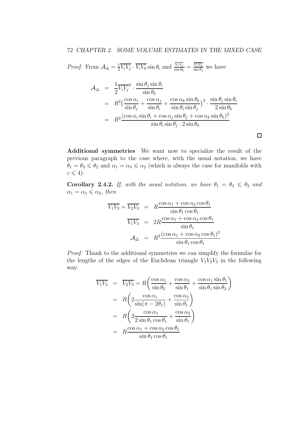*Proof.* From  $A_{\Delta} = \frac{1}{2}$  $\frac{1}{2}\overline{V_iV_j}\cdot\overline{V_iV_k}\sin\theta_i$  and  $\frac{V_iV_j}{\sin\theta_k}=\frac{\overline{V_iV_k}}{\sin\theta_j}$  $\frac{V_i V_k}{\sin \theta_j}$  we have

$$
\mathcal{A}_{\Delta} = \frac{1}{2} \overline{V_i V_j}^2 \cdot \frac{\sin \theta_j \sin \theta_i}{\sin \theta_k}
$$
  
\n
$$
= R^2 \left( \frac{\cos \alpha_i}{\sin \theta_j} + \frac{\cos \alpha_j}{\sin \theta_i} + \frac{\cos \alpha_k \sin \theta_k}{\sin \theta_i \sin \theta_j} \right)^2 \cdot \frac{\sin \theta_j \sin \theta_i}{2 \sin \theta_k}
$$
  
\n
$$
= R^2 \frac{(\cos \alpha_i \sin \theta_i + \cos \alpha_j \sin \theta_j + \cos \alpha_k \sin \theta_k)^2}{\sin \theta_i \sin \theta_j \cdot 2 \sin \theta_k}
$$

 $\Box$ 

Additional symmetries We want now to specialize the result of the previous paragraph to the case where, with the usual notation, we have  $\theta_1 = \theta_3 \le \theta_2$  and  $\alpha_1 = \alpha_3 \le \alpha_2$  (which is always the case for manifolds with  $c \leqslant 4$ :

Corollary 2.4.2. If, with the usual notation, we have  $\theta_1 = \theta_3 \leq \theta_2$  and  $\alpha_1 = \alpha_3 \leqslant \alpha_2$ , then

$$
\overline{V_1 V_2} = \overline{V_2 V_3} = R \frac{\cos \alpha_1 + \cos \alpha_2 \cos \theta_1}{\sin \theta_1 \cos \theta_1}
$$

$$
\overline{V_1 V_3} = 2R \frac{\cos \alpha_1 + \cos \alpha_2 \cos \theta_1}{\sin \theta_1}
$$

$$
\mathcal{A}_{\Delta} = R^2 \frac{(\cos \alpha_1 + \cos \alpha_2 \cos \theta_1)^2}{\sin \theta_1 \cos \theta_1}
$$

Proof. Thank to the additional symmetries we can simplify the formulae for the lengths of the edges of the Euclidean triangle  $V_1V_2V_3$  in the following way:

$$
\overline{V_1 V_2} = \overline{V_2 V_3} = R \left( \frac{\cos \alpha_1}{\sin \theta_2} + \frac{\cos \alpha_2}{\sin \theta_1} + \frac{\cos \alpha_1 \sin \theta_1}{\sin \theta_1 \sin \theta_2} \right)
$$
  
\n
$$
= R \left( 2 \frac{\cos \alpha_1}{\sin(\pi - 2\theta_1)} + \frac{\cos \alpha_2}{\sin \theta_1} \right)
$$
  
\n
$$
= R \left( 2 \frac{\cos \alpha_1}{2 \sin \theta_1 \cos \theta_1} + \frac{\cos \alpha_2}{\sin \theta_1} \right)
$$
  
\n
$$
= R \frac{\cos \alpha_1 + \cos \alpha_2 \cos \theta_1}{\sin \theta_1 \cos \theta_1}
$$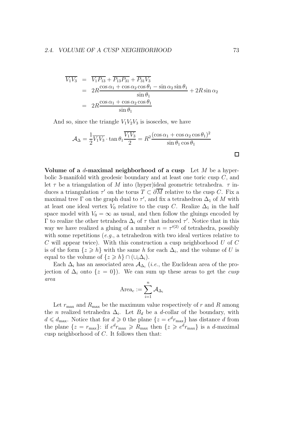$$
\overline{V_1 V_3} = \overline{V_1 P_{13}} + \overline{P_{13} P_{31}} + \overline{P_{31} V_3}
$$
  
= 
$$
2R \frac{\cos \alpha_1 + \cos \alpha_2 \cos \theta_1 - \sin \alpha_2 \sin \theta_1}{\sin \theta_1} + 2R \sin \alpha_2
$$
  
= 
$$
2R \frac{\cos \alpha_1 + \cos \alpha_2 \cos \theta_1}{\sin \theta_1}
$$

And so, since the triangle  $V_1V_2V_3$  is isosceles, we have

$$
\mathcal{A}_{\Delta} = \frac{1}{2} \overline{V_1 V_3} \cdot \tan \theta_1 \frac{\overline{V_1 V_3}}{2} = R^2 \frac{(\cos \alpha_1 + \cos \alpha_2 \cos \theta_1)^2}{\sin \theta_1 \cos \theta_1} \square
$$

Volume of a *d*-maximal neighborhood of a cusp Let  $M$  be a hyperbolic 3-manifold with geodesic boundary and at least one toric cusp C, and let  $\tau$  be a triangulation of M into (hyper)ideal geometric tetrahedra.  $\tau$  induces a triangulation  $\tau'$  on the torus  $T \subset \partial M$  relative to the cusp C. Fix a maximal tree  $\Gamma$  on the graph dual to  $\tau'$ , and fix a tetrahedron  $\Delta_1$  of M with at least one ideal vertex  $V_0$  relative to the cusp C. Realize  $\Delta_1$  in the half space model with  $V_0 = \infty$  as usual, and then follow the gluings encoded by  $\Gamma$  to realize the other tetrahedra  $\Delta_i$  of  $\tau$  that induced  $\tau'$ . Notice that in this way we have realized a gluing of a number  $n = \tau^{(2)}$  of tetrahedra, possibly with some repetitions  $(e.g., a tetrahedron with two ideal vertices relative to$ C will appear twice). With this construction a cusp neighborhood U of C is of the form  $\{z \geq h\}$  with the same h for each  $\Delta_i$ , and the volume of U is equal to the volume of  $\{z \geq h\} \cap (\cup_i \Delta_i)$ .

Each  $\Delta_i$  has an associated area  $\mathcal{A}_{\Delta_i}$  (*i.e.*, the Euclidean area of the projection of  $\Delta_i$  onto  $\{z = 0\}$ . We can sum up these areas to get the *cusp* area

$$
\mathrm{Area}_c:=\sum_{i=1}^n\mathcal{A}_{\Delta_i}
$$

Let  $r_{\text{max}}$  and  $R_{\text{max}}$  be the maximum value respectively of r and R among the *n* realized tetrahedra  $\Delta_i$ . Let  $B_d$  be a d-collar of the boundary, with  $d \leq d_{\text{max}}$ . Notice that for  $d \geq 0$  the plane  $\{z = e^{d}r_{\text{max}}\}$  has distance d from the plane  $\{z = r_{\text{max}}\}$ : if  $e^d r_{\text{max}} \ge R_{\text{max}}$  then  $\{z \ge e^d r_{\text{max}}\}$  is a d-maximal cusp neighborhood of C. It follows then that: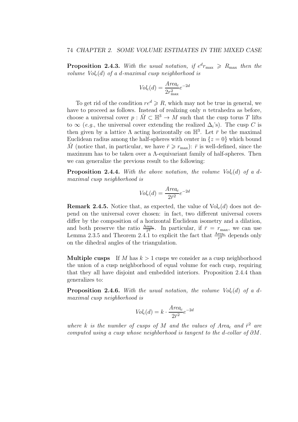**Proposition 2.4.3.** With the usual notation, if  $e^{d}r_{\text{max}} \ge R_{\text{max}}$  then the volume  $Vol<sub>c</sub>(d)$  of a d-maximal cusp neighborhood is

$$
Vol_c(d) = \frac{Area_c}{2r_{\text{max}}^2}e^{-2d}
$$

To get rid of the condition  $re^d \ge R$ , which may not be true in general, we have to proceed as follows. Instead of realizing only  $n$  tetrahedra as before, choose a universal cover  $p : \tilde{M} \subset \mathbb{H}^3 \to M$  such that the cusp torus T lifts to  $\infty$  (e.g., the universal cover extending the realized  $\Delta_i$ 's). The cusp C is then given by a lattice  $\Lambda$  acting horizontally on  $\mathbb{H}^3$ . Let  $\bar{r}$  be the maximal Euclidean radius among the half-spheres with center in  $\{z=0\}$  which bound M (notice that, in particular, we have  $\bar{r} \geq r_{\text{max}}$ ):  $\bar{r}$  is well-defined, since the maximum has to be taken over a Λ-equivariant family of half-spheres. Then we can generalize the previous result to the following:

**Proposition 2.4.4.** With the above notation, the volume  $Vol<sub>c</sub>(d)$  of a dmaximal cusp neighborhood is

$$
Vol_c(d) = \frac{Area_c}{2\bar{r}^2}e^{-2d}
$$

**Remark 2.4.5.** Notice that, as expected, the value of  $Vol<sub>c</sub>(d)$  does not depend on the universal cover chosen: in fact, two different universal covers differ by the composition of a horizontal Euclidean isometry and a dilation, and both preserve the ratio  $\frac{Area_c}{\bar{r}^2}$ . In particular, if  $\bar{r} = r_{\text{max}}$ , we can use Lemma 2.3.5 and Theorem 2.4.1 to explicit the fact that  $\frac{\text{Area}_c}{\bar{r}^2}$  depends only on the dihedral angles of the triangulation.

**Multiple cusps** If M has  $k > 1$  cusps we consider as a cusp neighborhood the union of a cusp neighborhood of equal volume for each cusp, requiring that they all have disjoint and embedded interiors. Proposition 2.4.4 than generalizes to:

**Proposition 2.4.6.** With the usual notation, the volume  $Vol<sub>c</sub>(d)$  of a dmaximal cusp neighborhood is

$$
Vol_c(d) = k \cdot \frac{Area_c}{2\bar{r}^2}e^{-2d}
$$

where k is the number of cusps of M and the values of Area<sub>c</sub> and  $\bar{r}^2$  are computed using a cusp whose neighborhood is tangent to the d-collar of  $\partial M$ .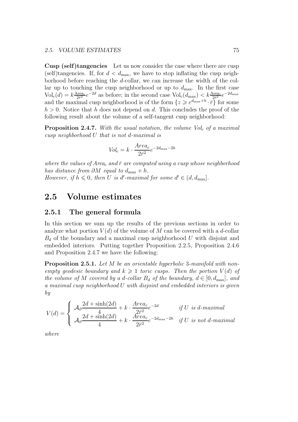Cusp (self)tangencies Let us now consider the case where there are cusp (self)tangencies. If, for  $d < d_{\text{max}}$ , we have to stop inflating the cusp neighborhood before reaching the d-collar, we can increase the width of the collar up to touching the cusp neighborhood or up to  $d_{\text{max}}$ . In the first case  $\text{Vol}_c(d) = k \frac{\text{Area}_c}{2 \bar{r}^2}$  $\frac{\text{area}_c}{2\bar{r}^2}e^{-2d}$  as before; in the second case  $\text{Vol}_c(d_{\text{max}}) < k\frac{\text{Area}_c}{2\bar{r}^2}e^{-2d_{\text{max}}}$ and the maximal cusp neighborhood is of the form  $\{z \geq e^{d_{\text{max}}+h} \cdot \bar{r}\}\)$  for some  $h > 0$ . Notice that h does not depend on d. This concludes the proof of the following result about the volume of a self-tangent cusp neighborhood:

**Proposition 2.4.7.** With the usual notation, the volume  $Vol_c$  of a maximal cusp neighborhood U that is not d-maximal is

$$
Vol_c = k \cdot \frac{Area_c}{2\bar{r}^2} e^{-2d_{\text{max}} - 2h}
$$

where the values of Area<sub>c</sub> and  $\bar{r}$  are computed using a cusp whose neighborhood has distance from  $\partial M$  equal to  $d_{\text{max}} + h$ . However, if  $h \leq 0$ , then U is d'-maximal for some  $d' \in (d, d_{\text{max}}]$ .

### 2.5 Volume estimates

#### 2.5.1 The general formula

In this section we sum up the results of the previous sections in order to analyze what portion  $V(d)$  of the volume of M can be covered with a d-collar  $B_d$  of the boundary and a maximal cusp neighborhood U with disjoint and embedded interiors. Putting together Proposition 2.2.5, Proposition 2.4.6 and Proposition 2.4.7 we have the following:

**Proposition 2.5.1.** Let M be an orientable hyperbolic 3-manifold with nonempty geodesic boundary and  $k \geq 1$  toric cusps. Then the portion  $V(d)$  of the volume of M covered by a d-collar  $B_d$  of the boundary,  $d \in [0, d_{\text{max}}]$ , and a maximal cusp neighborhood U with disjoint and embedded interiors is given by

$$
V(d) = \begin{cases} A_0 \frac{2d + \sinh(2d)}{4} + k \cdot \frac{Area_c}{2\bar{r}^2} e^{-2d} & \text{if } U \text{ is } d\text{-}maximal \\ A_0 \frac{2d + \sinh(2d)}{4} + k \cdot \frac{Area_c}{2\bar{r}^2} e^{-2d_{\text{max}} - 2h} & \text{if } U \text{ is not } d\text{-}maximal \end{cases}
$$

where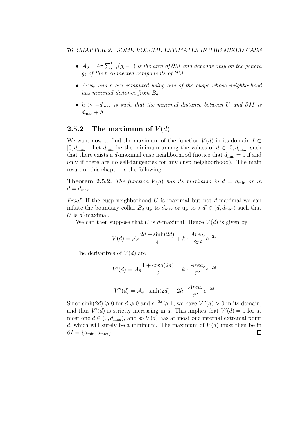#### 76 CHAPTER 2. SOME VOLUME ESTIMATES IN THE MIXED CASE

- $\mathcal{A}_{\partial} = 4\pi \sum_{i=1}^{b} (g_i-1)$  is the area of  $\partial M$  and depends only on the genera  $g_i$  of the b connected components of  $\partial M$
- Area<sub>c</sub> and  $\bar{r}$  are computed using one of the cusps whose neighborhood has minimal distance from  $B_d$
- $h > -d_{\text{max}}$  is such that the minimal distance between U and  $\partial M$  is  $d_{\text{max}} + h$

### 2.5.2 The maximum of  $V(d)$

We want now to find the maximum of the function  $V(d)$  in its domain  $I \subset$  $[0, d_{\text{max}}]$ . Let  $d_{\text{min}}$  be the minimum among the values of  $d \in [0, d_{\text{max}}]$  such that there exists a d-maximal cusp neighborhood (notice that  $d_{\min} = 0$  if and only if there are no self-tangencies for any cusp neighborhood). The main result of this chapter is the following:

**Theorem 2.5.2.** The function  $V(d)$  has its maximum in  $d = d_{\min}$  or in  $d = d_{\text{max}}$ .

*Proof.* If the cusp neighborhood U is maximal but not d-maximal we can inflate the boundary collar  $B_d$  up to  $d_{\text{max}}$  or up to a  $d' \in (d, d_{\text{max}})$  such that U is  $d'$ -maximal.

We can then suppose that U is d-maximal. Hence  $V(d)$  is given by

$$
V(d) = \mathcal{A}_{\partial} \frac{2d + \sinh(2d)}{4} + k \cdot \frac{Area_c}{2\bar{r}^2} e^{-2d}
$$

The derivatives of  $V(d)$  are

$$
V'(d) = \mathcal{A}_{\partial} \frac{1 + \cosh(2d)}{2} - k \cdot \frac{Area_c}{\bar{r}^2} e^{-2d}
$$

$$
V''(d) = \mathcal{A}_{\partial} \cdot \sinh(2d) + 2k \cdot \frac{Area_c}{\bar{r}^2} e^{-2d}
$$

Since  $\sinh(2d) \ge 0$  for  $d \ge 0$  and  $e^{-2d} \ge 1$ , we have  $V''(d) > 0$  in its domain, and thus  $V'(d)$  is strictly increasing in d. This implies that  $V'(d) = 0$  for at most one  $\overline{d} \in (0, d_{\text{max}})$ , and so  $V(d)$  has at most one internal extremal point  $\overline{d}$ , which will surely be a minimum. The maximum of  $V(d)$  must then be in  $\partial I = \{d_{\min}, d_{\max}\}.$  $\Box$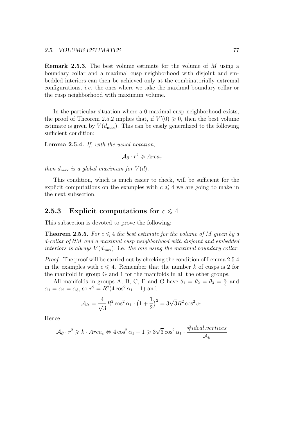Remark 2.5.3. The best volume estimate for the volume of M using a boundary collar and a maximal cusp neighborhood with disjoint and embedded interiors can then be achieved only at the combinatorially extremal configurations, *i.e.* the ones where we take the maximal boundary collar or the cusp neighborhood with maximum volume.

In the particular situation where a 0-maximal cusp neighborhood exists, the proof of Theorem 2.5.2 implies that, if  $V'(0) \geq 0$ , then the best volume estimate is given by  $V(d_{\text{max}})$ . This can be easily generalized to the following sufficient condition:

Lemma 2.5.4. If, with the usual notation,

 $\mathcal{A}_{\partial} \cdot \bar{r}^2 \geqslant Area_c$ 

then  $d_{\text{max}}$  is a global maximum for  $V(d)$ .

This condition, which is much easier to check, will be sufficient for the explicit computations on the examples with  $c \leq 4$  we are going to make in the next subsection.

#### 2.5.3 Explicit computations for  $c \leq 4$

This subsection is devoted to prove the following:

**Theorem 2.5.5.** For  $c \leq 4$  the best estimate for the volume of M given by a d-collar of ∂M and a maximal cusp neighborhood with disjoint and embedded interiors is always  $V(d_{\text{max}})$ , i.e. the one using the maximal boundary collar.

Proof. The proof will be carried out by checking the condition of Lemma 2.5.4 in the examples with  $c \leq 4$ . Remember that the number k of cusps is 2 for the manifold in group G and 1 for the manifolds in all the other groups.

All manifolds in groups A, B, C, E and G have  $\theta_1 = \theta_2 = \theta_3 = \frac{\pi}{3}$  $\frac{\pi}{3}$  and  $\alpha_1 = \alpha_2 = \alpha_3$ , so  $r^2 = R^2(4\cos^2{\alpha_1} - 1)$  and

$$
\mathcal{A}_{\Delta} = \frac{4}{\sqrt{3}} R^2 \cos^2 \alpha_1 \cdot \left(1 + \frac{1}{2}\right)^2 = 3\sqrt{3}R^2 \cos^2 \alpha_1
$$

Hence

$$
\mathcal{A}_{\partial} \cdot r^2 \geq k \cdot Area_c \Leftrightarrow 4 \cos^2 \alpha_1 - 1 \geq 3\sqrt{3} \cos^2 \alpha_1 \cdot \frac{\# ideal.vertices}{\mathcal{A}_{\partial}}
$$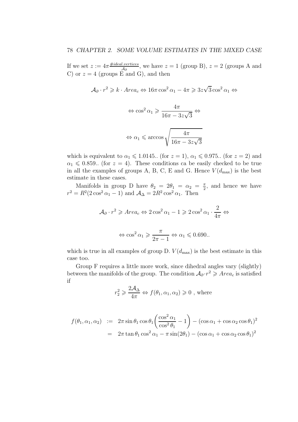If we set  $z := 4\pi \frac{\# ideal.vertices}{40}$  $\frac{Lvertices}{\mathcal{A}_{\partial}}$ , we have  $z = 1$  (group B),  $z = 2$  (groups A and C) or  $z = 4$  (groups E and G), and then

$$
\mathcal{A}_{\partial}\cdot r^2\geqslant k\cdot Area_c\Leftrightarrow 16\pi\cos^2\alpha_1-4\pi\geqslant 3z\sqrt{3}\cos^2\alpha_1\Leftrightarrow
$$

$$
\Leftrightarrow \cos^2 \alpha_1 \geqslant \frac{4\pi}{16\pi - 3z\sqrt{3}} \Leftrightarrow
$$
  

$$
\Leftrightarrow \alpha_1 \leqslant \arccos \sqrt{\frac{4\pi}{16\pi - 3z\sqrt{3}}}
$$

which is equivalent to  $\alpha_1 \leq 1.0145$ .. (for  $z = 1$ ),  $\alpha_1 \leq 0.975$ . (for  $z = 2$ ) and  $\alpha_1 \leq 0.859$ . (for  $z = 4$ ). These conditions ca be easily checked to be true in all the examples of groups A, B, C, E and G. Hence  $V(d_{\text{max}})$  is the best estimate in these cases.

Manifolds in group D have  $\theta_2 = 2\theta_1 = \alpha_2 = \frac{\pi}{2}$  $\frac{\pi}{2}$ , and hence we have  $r^2 = R^2(2\cos^2\alpha_1 - 1)$  and  $\mathcal{A}_{\Delta} = 2R^2\cos^2\alpha_1$ . Then

$$
\mathcal{A}_{\partial} \cdot r^2 \geqslant Area_c \Leftrightarrow 2\cos^2 \alpha_1 - 1 \geqslant 2\cos^2 \alpha_1 \cdot \frac{2}{4\pi} \Leftrightarrow
$$
  

$$
\Leftrightarrow \cos^2 \alpha_1 \geqslant \frac{\pi}{2\pi - 1} \Leftrightarrow \alpha_1 \leqslant 0.690..
$$

which is true in all examples of group D.  $V(d_{\text{max}})$  is the best estimate in this case too.

Group F requires a little more work, since dihedral angles vary (slightly) between the manifolds of the group. The condition  $\mathcal{A}_{\partial} \cdot r^2 \geqslant Area_c$  is satisfied if

$$
r_2^2 \geq \frac{2\mathcal{A}_{\Delta}}{4\pi} \Leftrightarrow f(\theta_1, \alpha_1, \alpha_2) \geq 0
$$
, where

$$
f(\theta_1, \alpha_1, \alpha_2) := 2\pi \sin \theta_1 \cos \theta_1 \left( \frac{\cos^2 \alpha_1}{\cos^2 \theta_1} - 1 \right) - (\cos \alpha_1 + \cos \alpha_2 \cos \theta_1)^2
$$
  
= 
$$
2\pi \tan \theta_1 \cos^2 \alpha_1 - \pi \sin(2\theta_1) - (\cos \alpha_1 + \cos \alpha_2 \cos \theta_1)^2
$$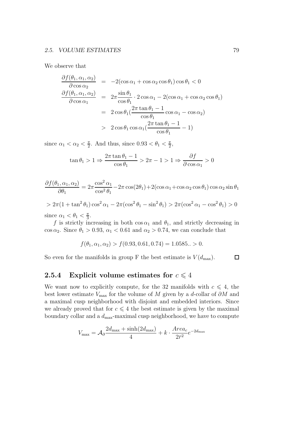We observe that

$$
\frac{\partial f(\theta_1, \alpha_1, \alpha_2)}{\partial \cos \alpha_2} = -2(\cos \alpha_1 + \cos \alpha_2 \cos \theta_1) \cos \theta_1 < 0
$$
  

$$
\frac{\partial f(\theta_1, \alpha_1, \alpha_2)}{\partial \cos \alpha_1} = 2\pi \frac{\sin \theta_1}{\cos \theta_1} \cdot 2 \cos \alpha_1 - 2(\cos \alpha_1 + \cos \alpha_2 \cos \theta_1)
$$
  

$$
= 2 \cos \theta_1 (\frac{2\pi \tan \theta_1 - 1}{\cos \theta_1} \cos \alpha_1 - \cos \alpha_2)
$$
  

$$
> 2 \cos \theta_1 \cos \alpha_1 (\frac{2\pi \tan \theta_1 - 1}{\cos \theta_1} - 1)
$$

since  $\alpha_1 < \alpha_2 < \frac{\pi}{2}$  $\frac{\pi}{2}$ . And thus, since  $0.93 < \theta_1 < \frac{\pi}{2}$  $\frac{\pi}{2}$ 

$$
\tan \theta_1 > 1 \Rightarrow \frac{2\pi \tan \theta_1 - 1}{\cos \theta_1} > 2\pi - 1 > 1 \Rightarrow \frac{\partial f}{\partial \cos \alpha_1} > 0
$$

$$
\frac{\partial f(\theta_1, \alpha_1, \alpha_2)}{\partial \theta_1} = 2\pi \frac{\cos^2 \alpha_1}{\cos^2 \theta_1} - 2\pi \cos(2\theta_1) + 2(\cos \alpha_1 + \cos \alpha_2 \cos \theta_1) \cos \alpha_2 \sin \theta_1
$$

$$
> 2\pi (1 + \tan^2 \theta_1) \cos^2 \alpha_1 - 2\pi (\cos^2 \theta_1 - \sin^2 \theta_1) > 2\pi (\cos^2 \alpha_1 - \cos^2 \theta_1) > 0
$$

since  $\alpha_1 < \theta_1 < \frac{\pi}{3}$  $\frac{\pi}{3}$ .

f is strictly increasing in both  $\cos \alpha_1$  and  $\theta_1$ , and strictly decreasing in  $\cos \alpha_2$ . Since  $\theta_1 > 0.93$ ,  $\alpha_1 < 0.61$  and  $\alpha_2 > 0.74$ , we can conclude that

$$
f(\theta_1, \alpha_1, \alpha_2) > f(0.93, 0.61, 0.74) = 1.0585.. > 0.
$$

 $\Box$ So even for the manifolds in group F the best estimate is  $V(d_{\text{max}})$ .

### 2.5.4 Explicit volume estimates for  $c \leq 4$

We want now to explicitly compute, for the 32 manifolds with  $c \leq 4$ , the best lower estimate  $V_{\text{max}}$  for the volume of M given by a d-collar of  $\partial M$  and a maximal cusp neighborhood with disjoint and embedded interiors. Since we already proved that for  $c \leq 4$  the best estimate is given by the maximal boundary collar and a  $d_{\text{max}}$ -maximal cusp neighborhood, we have to compute

$$
V_{\text{max}} = \mathcal{A}_{\partial} \frac{2d_{\text{max}} + \sinh(2d_{\text{max}})}{4} + k \cdot \frac{Area_c}{2\bar{r}^2} e^{-2d_{\text{max}}}
$$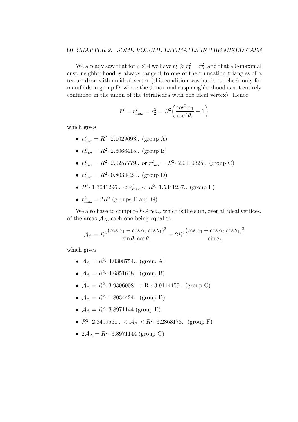#### 80 CHAPTER 2. SOME VOLUME ESTIMATES IN THE MIXED CASE

We already saw that for  $c \leq 4$  we have  $r_2^2 \geq r_1^2 = r_3^2$ , and that a 0-maximal cusp neighborhood is always tangent to one of the truncation triangles of a tetrahedron with an ideal vertex (this condition was harder to check only for manifolds in group D, where the 0-maximal cusp neighborhood is not entirely contained in the union of the tetrahedra with one ideal vertex). Hence

$$
\bar{r}^2 = r_{\text{max}}^2 = r_2^2 = R^2 \left( \frac{\cos^2 \alpha_1}{\cos^2 \theta_1} - 1 \right)
$$

which gives

- $r_{\text{max}}^2 = R^2 \cdot 2.1029693...$  (group A)
- $r_{\text{max}}^2 = R^2 \cdot 2.6066415...$  (group B)
- $r_{\text{max}}^2 = R^2 \cdot 2.0257779...$  or  $r_{\text{max}}^2 = R^2 \cdot 2.0110325...$  (group C)
- $r_{\text{max}}^2 = R^2 \cdot 0.8034424...$  (group D)
- $R^2$ · 1.3041296..  $\langle r_{\text{max}}^2 \langle R^2$ · 1.5341237.. (group F)
- $r_{\text{max}}^2 = 2R^2$  (groups E and G)

We also have to compute  $k \cdot Area_c$ , which is the sum, over all ideal vertices, of the areas  $\mathcal{A}_{\Delta}$ , each one being equal to

$$
\mathcal{A}_{\Delta} = R^2 \frac{(\cos \alpha_1 + \cos \alpha_2 \cos \theta_1)^2}{\sin \theta_1 \cos \theta_1} = 2R^2 \frac{(\cos \alpha_1 + \cos \alpha_2 \cos \theta_1)^2}{\sin \theta_2}
$$

which gives

- $A_{\Delta} = R^2 \cdot 4.0308754...$  (group A)
- $A_{\Delta} = R^2 \cdot 4.6851648...$  (group B)
- $A_{\Delta} = R^2$  · 3.9306008.. o R · 3.9114459.. (group C)
- $A_{\Delta} = R^2 \cdot 1.8034424...$  (group D)
- $A_{\Delta} = R^2 \cdot 3.8971144$  (group E)
- $R^2$ · 2.8499561.. <  $\mathcal{A}_{\Delta}$  <  $R^2$ · 3.2863178.. (group F)
- $2\mathcal{A}_{\Delta} = R^2 \cdot 3.8971144$  (group G)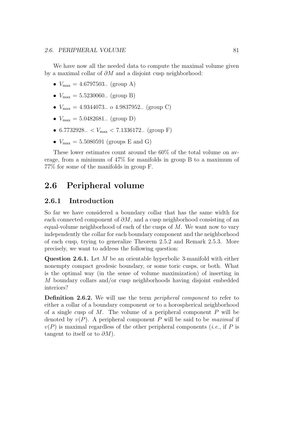We have now all the needed data to compute the maximal volume given by a maximal collar of ∂M and a disjoint cusp neighborhood:

- $V_{\text{max}} = 4.6797503...$  (group A)
- $V_{\text{max}} = 5.5230060...$  (group B)
- $V_{\text{max}} = 4.9344073...$  o 4.9837952.. (group C)
- $V_{\text{max}} = 5.0482681...$  (group D)
- 6.7732928..  $\langle V_{\text{max}} \rangle$  7.1336172.. (group F)
- $V_{\text{max}} = 5.5080591$  (groups E and G)

These lower estimates count around the 60% of the total volume on average, from a minimum of 47% for manifolds in group B to a maximum of 77% for some of the manifolds in group F.

### 2.6 Peripheral volume

### 2.6.1 Introduction

So far we have considered a boundary collar that has the same width for each connected component of  $\partial M$ , and a cusp neighborhood consisting of an equal-volume neighborhood of each of the cusps of M. We want now to vary independently the collar for each boundary component and the neighborhood of each cusp, trying to generalize Theorem 2.5.2 and Remark 2.5.3. More precisely, we want to address the following question:

Question 2.6.1. Let M be an orientable hyperbolic 3-manifold with either nonempty compact geodesic boundary, or some toric cusps, or both. What is the optimal way (in the sense of volume maximization) of inserting in M boundary collars and/or cusp neighborhoods having disjoint embedded interiors?

Definition 2.6.2. We will use the term *peripheral component* to refer to either a collar of a boundary component or to a horospherical neighborhood of a single cusp of  $M$ . The volume of a peripheral component  $P$  will be denoted by  $v(P)$ . A peripheral component P will be said to be *maximal* if  $v(P)$  is maximal regardless of the other peripheral components (*i.e.*, if P is tangent to itself or to  $\partial M$ ).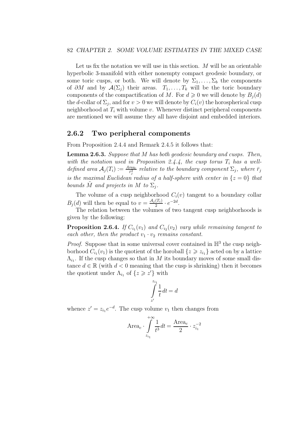Let us fix the notation we will use in this section.  $M$  will be an orientable hyperbolic 3-manifold with either nonempty compact geodesic boundary, or some toric cusps, or both. We will denote by  $\Sigma_1, \ldots, \Sigma_b$  the components of  $\partial M$  and by  $\mathcal{A}(\Sigma_j)$  their areas.  $T_1, \ldots, T_k$  will be the toric boundary components of the compactification of M. For  $d \geq 0$  we will denote by  $B_i(d)$ the d-collar of  $\Sigma_j$ , and for  $v > 0$  we will denote by  $C_i(v)$  the horospherical cusp neighborhood at  $T_i$  with volume v. Whenever distinct peripheral components are mentioned we will assume they all have disjoint and embedded interiors.

#### 2.6.2 Two peripheral components

From Proposition 2.4.4 and Remark 2.4.5 it follows that:

Lemma 2.6.3. Suppose that M has both geodesic boundary and cusps. Then, with the notation used in Proposition 2.4.4, the cusp torus  $T_i$  has a welldefined area  $A_j(T_i) := \frac{Area_c}{\bar{r}_j^2}$  relative to the boundary component  $\Sigma_j$ , where  $\bar{r}_j$ is the maximal Euclidean radius of a half-sphere with center in  $\{z=0\}$  that bounds  $\tilde{M}$  and projects in M to  $\Sigma_j$ .

The volume of a cusp neighborhood  $C_i(v)$  tangent to a boundary collar  $B_j(d)$  will then be equal to  $v = \frac{A_j(T_i)}{2} \cdot e^{-2d}$ .

The relation between the volumes of two tangent cusp neighborhoods is given by the following:

**Proposition 2.6.4.** If  $C_{i_1}(v_1)$  and  $C_{i_2}(v_2)$  vary while remaining tangent to each other, then the product  $v_1 \cdot v_2$  remains constant.

*Proof.* Suppose that in some universal cover contained in  $\mathbb{H}^3$  the cusp neighborhood  $C_{i_1}(v_1)$  is the quotient of the horoball  $\{z \geq z_{i_1}\}$  acted on by a lattice  $\Lambda_{i_1}$ . If the cusp changes so that in M its boundary moves of some small distance  $d \in \mathbb{R}$  (with  $d < 0$  meaning that the cusp is shrinking) then it becomes the quotient under  $\Lambda_{i_1}$  of  $\{z \geq z'\}$  with

$$
\int\limits_{z'}^{z_{i_1}}\frac{1}{t}dt=d
$$

whence  $z' = z_{i_1}e^{-d}$ . The cusp volume  $v_1$  then changes from

Area<sub>c</sub> 
$$
\int_{z_{i_1}}^{+\infty} \frac{1}{t^3} dt = \frac{\text{Area}_c}{2} \cdot z_{i_1}^{-2}
$$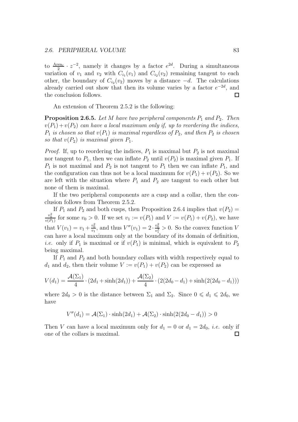to  $\frac{\text{Area}_c}{2} \cdot z^{-2}$ , namely it changes by a factor  $e^{2d}$ . During a simultaneous variation of  $v_1$  and  $v_2$  with  $C_{i_1}(v_1)$  and  $C_{i_2}(v_2)$  remaining tangent to each other, the boundary of  $C_{i_2}(v_2)$  moves by a distance  $-d$ . The calculations already carried out show that then its volume varies by a factor  $e^{-2d}$ , and the conclusion follows.  $\Box$ 

An extension of Theorem 2.5.2 is the following:

**Proposition 2.6.5.** Let M have two peripheral components  $P_1$  and  $P_2$ . Then  $v(P_1) + v(P_2)$  can have a local maximum only if, up to reordering the indices,  $P_1$  is chosen so that  $v(P_1)$  is maximal regardless of  $P_2$ , and then  $P_2$  is chosen so that  $v(P_2)$  is maximal given  $P_1$ .

*Proof.* If, up to reordering the indices,  $P_1$  is maximal but  $P_2$  is not maximal nor tangent to  $P_1$ , then we can inflate  $P_2$  until  $v(P_2)$  is maximal given  $P_1$ . If  $P_1$  is not maximal and  $P_2$  is not tangent to  $P_1$  then we can inflate  $P_1$ , and the configuration can thus not be a local maximum for  $v(P_1) + v(P_2)$ . So we are left with the situation where  $P_1$  and  $P_2$  are tangent to each other but none of them is maximal.

If the two peripheral components are a cusp and a collar, then the conclusion follows from Theorem 2.5.2.

If  $P_1$  and  $P_2$  and both cusps, then Proposition 2.6.4 implies that  $v(P_2)$  =  $\frac{v_0^2}{v(P_1)}$  for some  $v_0 > 0$ . If we set  $v_1 := v(P_1)$  and  $V := v(P_1) + v(P_2)$ , we have that  $V(v_1) = v_1 + \frac{v_0^2}{v_1}$ , and thus  $V''(v_1) = 2 \cdot \frac{v_0^2}{v_1^3} > 0$ . So the convex function V can have a local maximum only at the boundary of its domain of definition, *i.e.* only if  $P_1$  is maximal or if  $v(P_1)$  is minimal, which is equivalent to  $P_2$ being maximal.

If  $P_1$  and  $P_2$  and both boundary collars with width respectively equal to  $d_1$  and  $d_2$ , then their volume  $V := v(P_1) + v(P_2)$  can be expressed as

$$
V(d_1) = \frac{\mathcal{A}(\Sigma_1)}{4} \cdot (2d_1 + \sinh(2d_1)) + \frac{\mathcal{A}(\Sigma_2)}{4} \cdot (2(2d_0 - d_1) + \sinh(2(2d_0 - d_1)))
$$

where  $2d_0 > 0$  is the distance between  $\Sigma_1$  and  $\Sigma_2$ . Since  $0 \le d_1 \le 2d_0$ , we have

$$
V''(d_1) = \mathcal{A}(\Sigma_1) \cdot \sinh(2d_1) + \mathcal{A}(\Sigma_2) \cdot \sinh(2(2d_0 - d_1)) > 0
$$

Then V can have a local maximum only for  $d_1 = 0$  or  $d_1 = 2d_0$ , *i.e.* only if one of the collars is maximal. $\Box$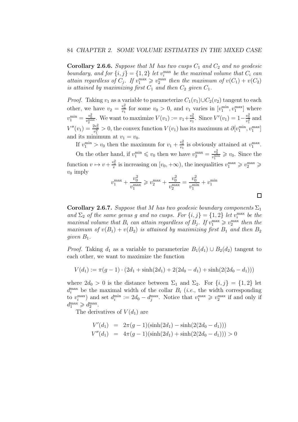**Corollary 2.6.6.** Suppose that M has two cusps  $C_1$  and  $C_2$  and no geodesic boundary, and for  $\{i, j\} = \{1, 2\}$  let  $v_i^{\max}$  be the maximal volume that  $C_i$  can attain regardless of  $C_j$ . If  $v_1^{\max} \geq v_2^{\max}$  then the maximum of  $v(C_1) + v(C_2)$ is attained by maximizing first  $C_1$  and then  $C_2$  given  $C_1$ .

*Proof.* Taking  $v_1$  as a variable to parameterize  $C_1(v_1) \cup C_2(v_2)$  tangent to each other, we have  $v_2 = \frac{v_0^2}{v_1}$  for some  $v_0 > 0$ , and  $v_1$  varies in  $[v_1^{\min}, v_1^{\max}]$  where  $v_1^{\min} = \frac{v_0^2}{v_2^{\max}}$ . We want to maximize  $V(v_1) := v_1 + \frac{v_0^2}{v_1}$ . Since  $V'(v_1) = 1 - \frac{v_0^2}{v_1^2}$  and  $V''(v_1) = \frac{2v_0^2}{v_1^3} > 0$ , the convex function  $V(v_1)$  has its maximum at  $\partial [v_1^{\min}, v_1^{\max}]$ and its minimum at  $v_1 = v_0$ .

If  $v_1^{\text{min}} > v_0$  then the maximum for  $v_1 + \frac{v_0^2}{v_1}$  is obviously attained at  $v_1^{\text{max}}$ . On the other hand, if  $v_1^{\min} \leq v_0$  then we have  $v_2^{\max} = \frac{v_0^2}{v_1^{\min}} \geq v_0$ . Since the function  $v \mapsto v + \frac{v_0^2}{v}$  is increasing on  $[v_0, +\infty)$ , the inequalities  $v_1^{\max} \geq v_2^{\max} \geq$  $v_0$  imply

$$
v_1^{\max} + \frac{v_0^2}{v_1^{\max}} \geq v_2^{\max} + \frac{v_0^2}{v_2^{\max}} = \frac{v_0^2}{v_1^{\min}} + v_1^{\min}
$$

 $\Box$ 

**Corollary 2.6.7.** Suppose that M has two geodesic boundary components  $\Sigma_1$ and  $\Sigma_2$  of the same genus g and no cusps. For  $\{i, j\} = \{1, 2\}$  let  $v_i^{\max}$  be the maximal volume that  $B_i$  can attain regardless of  $B_j$ . If  $v_1^{\max} \geq v_2^{\max}$  then the maximum of  $v(B_1) + v(B_2)$  is attained by maximizing first  $B_1$  and then  $B_2$ given  $B_1$ .

*Proof.* Taking  $d_1$  as a variable to parameterize  $B_1(d_1) \cup B_2(d_2)$  tangent to each other, we want to maximize the function

$$
V(d_1) := \pi(g-1) \cdot (2d_1 + \sinh(2d_1) + 2(2d_0 - d_1) + \sinh(2(2d_0 - d_1)))
$$

where  $2d_0 > 0$  is the distance between  $\Sigma_1$  and  $\Sigma_2$ . For  $\{i, j\} = \{1, 2\}$  let  $d_i^{\max}$  be the maximal width of the collar  $B_i$  (*i.e.*, the width corresponding to  $v_i^{\max}$ ) and set  $d_i^{\min} := 2d_0 - d_j^{\max}$ . Notice that  $v_1^{\max} \geq v_2^{\max}$  if and only if  $d_1^{\max} \geqslant d_2^{\max}.$ 

The derivatives of  $V(d_1)$  are

$$
V'(d_1) = 2\pi(g-1)(\sinh(2d_1) - \sinh(2(2d_0 - d_1)))
$$
  

$$
V''(d_1) = 4\pi(g-1)(\sinh(2d_1) + \sinh(2(2d_0 - d_1))) > 0
$$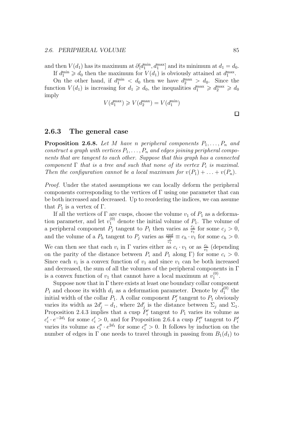and then  $V(d_1)$  has its maximum at  $\partial [d_1^{\min}, d_1^{\max}]$  and its minimum at  $d_1 = d_0$ . If  $d_1^{\min} \geq d_0$  then the maximum for  $V(d_1)$  is obviously attained at  $d_1^{\max}$ .

On the other hand, if  $d_1^{\min} < d_0$  then we have  $d_2^{\max} > d_0$ . Since the function  $V(d_1)$  is increasing for  $d_1 \geq d_0$ , the inequalities  $d_1^{\max} \geq d_2^{\max} \geq d_0$ imply

$$
V(d_1^{\max}) \geqslant V(d_2^{\max}) = V(d_1^{\min})
$$

#### $\Box$

#### 2.6.3 The general case

**Proposition 2.6.8.** Let M have n peripheral components  $P_1, \ldots, P_n$  and construct a graph with vertices  $P_1, \ldots, P_n$  and edges joining peripheral components that are tangent to each other. Suppose that this graph has a connected component  $\Gamma$  that is a tree and such that none of its vertex  $P_i$  is maximal. Then the configuration cannot be a local maximum for  $v(P_1) + \ldots + v(P_n)$ .

Proof. Under the stated assumptions we can locally deform the peripheral components corresponding to the vertices of  $\Gamma$  using one parameter that can be both increased and decreased. Up to reordering the indices, we can assume that  $P_1$  is a vertex of  $\Gamma$ .

If all the vertices of  $\Gamma$  are cusps, choose the volume  $v_1$  of  $P_1$  as a deformation parameter, and let  $v_1^{(0)}$  denote the initial volume of  $P_1$ . The volume of a peripheral component  $\hat{P}_j$  tangent to  $P_1$  then varies as  $\frac{c_j}{v_1}$  for some  $c_j > 0$ , and the volume of a  $P_h$  tangent to  $P_j$  varies as  $\frac{cost}{c_j}$  $\frac{\omega_{s}t}{\frac{c_{j}}{v_{1}}} \equiv c_{h} \cdot v_{1}$  for some  $c_{h} > 0$ . We can then see that each  $v_i$  in  $\Gamma$  varies either as  $c_i \cdot v_1$  or as  $\frac{c_i}{v_1}$  (depending on the parity of the distance between  $P_i$  and  $P_1$  along Γ) for some  $c_i > 0$ . Since each  $v_i$  is a convex function of  $v_1$  and since  $v_1$  can be both increased and decreased, the sum of all the volumes of the peripheral components in Γ is a convex function of  $v_1$  that cannot have a local maximum at  $v_1^{(0)}$  $\binom{(0)}{1}$ .

Suppose now that in  $\Gamma$  there exists at least one boundary collar component  $P_1$  and choose its width  $d_1$  as a deformation parameter. Denote by  $d_1^{(0)}$  $_1^{\left(\nu\right)}$  the initial width of the collar  $P_1$ . A collar component  $P'_j$  tangent to  $P_1$  obviously varies its width as  $2d'_j - d_1$ , where  $2d'_j$  is the distance between  $\Sigma_j$  and  $\Sigma_1$ . Proposition 2.4.3 implies that a cusp  $P'_i$  tangent to  $P_1$  varies its volume as  $c'_i \cdot e^{-2d_1}$  for some  $c'_i > 0$ , and for Proposition 2.6.4 a cusp  $P''_i$  tangent to  $P''_i$ varies its volume as  $c_i'' \cdot e^{2d_1}$  for some  $c_i'' > 0$ . It follows by induction on the number of edges in  $\Gamma$  one needs to travel through in passing from  $B_1(d_1)$  to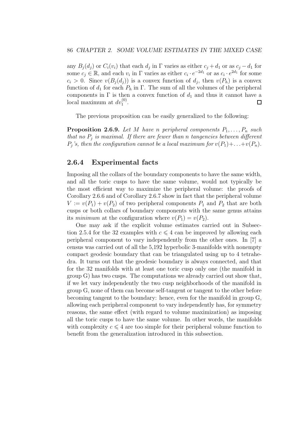any  $B_j(d_j)$  or  $C_i(v_i)$  that each  $d_j$  in  $\Gamma$  varies as either  $c_j + d_1$  or as  $c_j - d_1$  for some  $c_j \in \mathbb{R}$ , and each  $v_i$  in  $\Gamma$  varies as either  $c_i \cdot e^{-2d_1}$  or as  $c_i \cdot e^{2d_1}$  for some  $c_i > 0$ . Since  $v(B_j(d_j))$  is a convex function of  $d_j$ , then  $v(P_h)$  is a convex function of  $d_1$  for each  $P_h$  in  $\Gamma$ . The sum of all the volumes of the peripheral components in  $\Gamma$  is then a convex function of  $d_1$  and thus it cannot have a local maximum at  $dv_1^{(0)}$ .  $\Box$ 

The previous proposition can be easily generalized to the following:

**Proposition 2.6.9.** Let M have n peripheral components  $P_1, \ldots, P_n$  such that no  $P_j$  is maximal. If there are fewer than n tangencies between different  $P_j$ 's, then the configuration cannot be a local maximum for  $v(P_1)+\ldots+v(P_n)$ .

#### 2.6.4 Experimental facts

Imposing all the collars of the boundary components to have the same width, and all the toric cusps to have the same volume, would not typically be the most efficient way to maximize the peripheral volume: the proofs of Corollary 2.6.6 and of Corollary 2.6.7 show in fact that the peripheral volume  $V := v(P_1) + v(P_2)$  of two peripheral components  $P_1$  and  $P_2$  that are both cusps or both collars of boundary components with the same genus attains its minimum at the configuration where  $v(P_1) = v(P_2)$ .

One may ask if the explicit volume estimates carried out in Subsection 2.5.4 for the 32 examples with  $c \leq 4$  can be improved by allowing each peripheral component to vary independently from the other ones. In [7] a census was carried out of all the 5,192 hyperbolic 3-manifolds with nonempty compact geodesic boundary that can be triangulated using up to 4 tetrahedra. It turns out that the geodesic boundary is always connected, and that for the 32 manifolds with at least one toric cusp only one (the manifold in group G) has two cusps. The computations we already carried out show that, if we let vary independently the two cusp neighborhoods of the manifold in group G, none of them can become self-tangent or tangent to the other before becoming tangent to the boundary: hence, even for the manifold in group G, allowing each peripheral component to vary independently has, for symmetry reasons, the same effect (with regard to volume maximization) as imposing all the toric cusps to have the same volume. In other words, the manifolds with complexity  $c \leq 4$  are too simple for their peripheral volume function to benefit from the generalization introduced in this subsection.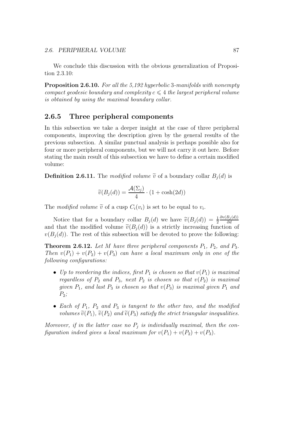We conclude this discussion with the obvious generalization of Proposition 2.3.10:

Proposition 2.6.10. For all the 5,192 hyperbolic 3-manifolds with nonempty compact geodesic boundary and complexity  $c \leq 4$  the largest peripheral volume is obtained by using the maximal boundary collar.

#### 2.6.5 Three peripheral components

In this subsection we take a deeper insight at the case of three peripheral components, improving the description given by the general results of the previous subsection. A similar punctual analysis is perhaps possible also for four or more peripheral components, but we will not carry it out here. Before stating the main result of this subsection we have to define a certain modified volume:

**Definition 2.6.11.** The modified volume  $\tilde{v}$  of a boundary collar  $B_i(d)$  is

$$
\widetilde{v}(B_j(d)) = \frac{\mathcal{A}(\Sigma_j)}{4} \cdot (1 + \cosh(2d))
$$

The modified volume  $\tilde{v}$  of a cusp  $C_i(v_i)$  is set to be equal to  $v_i$ .

Notice that for a boundary collar  $B_j(d)$  we have  $\widetilde{v}(B_j(d)) = \frac{1}{2}$  $\partial v(B_j(d))$ ∂d and that the modified volume  $\tilde{v}(B_i(d))$  is a strictly increasing function of  $v(B_i(d))$ . The rest of this subsection will be devoted to prove the following:

**Theorem 2.6.12.** Let M have three peripheral components  $P_1$ ,  $P_2$ , and  $P_3$ . Then  $v(P_1) + v(P_2) + v(P_3)$  can have a local maximum only in one of the following configurations:

- Up to reordering the indices, first  $P_1$  is chosen so that  $v(P_1)$  is maximal regardless of  $P_2$  and  $P_3$ , next  $P_2$  is chosen so that  $v(P_2)$  is maximal given  $P_1$ , and last  $P_3$  is chosen so that  $v(P_3)$  is maximal given  $P_1$  and  $P_2$ ;
- Each of  $P_1$ ,  $P_2$  and  $P_3$  is tangent to the other two, and the modified volumes  $\tilde{v}(P_1)$ ,  $\tilde{v}(P_2)$  and  $\tilde{v}(P_3)$  satisfy the strict triangular inequalities.

Moreover, if in the latter case no  $P_j$  is individually maximal, then the configuration indeed gives a local maximum for  $v(P_1) + v(P_2) + v(P_3)$ .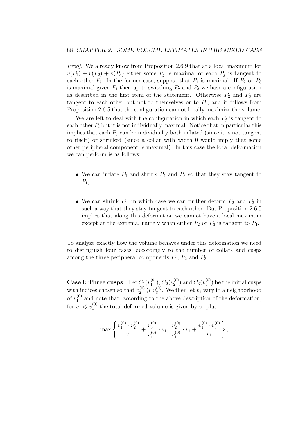Proof. We already know from Proposition 2.6.9 that at a local maximum for  $v(P_1) + v(P_2) + v(P_3)$  either some  $P_j$  is maximal or each  $P_j$  is tangent to each other  $P_i$ . In the former case, suppose that  $P_1$  is maximal. If  $P_2$  or  $P_3$ is maximal given  $P_1$  then up to switching  $P_2$  and  $P_3$  we have a configuration as described in the first item of the statement. Otherwise  $P_2$  and  $P_3$  are tangent to each other but not to themselves or to  $P_1$ , and it follows from Proposition 2.6.5 that the configuration cannot locally maximize the volume.

We are left to deal with the configuration in which each  $P_j$  is tangent to each other  $P_i$  but it is not individually maximal. Notice that in particular this implies that each  $P_i$  can be individually both inflated (since it is not tangent to itself) or shrinked (since a collar with width 0 would imply that some other peripheral component is maximal). In this case the local deformation we can perform is as follows:

- We can inflate  $P_1$  and shrink  $P_2$  and  $P_3$  so that they stay tangent to  $P_1;$
- We can shrink  $P_1$ , in which case we can further deform  $P_2$  and  $P_3$  in such a way that they stay tangent to each other. But Proposition 2.6.5 implies that along this deformation we cannot have a local maximum except at the extrema, namely when either  $P_2$  or  $P_3$  is tangent to  $P_1$ .

To analyze exactly how the volume behaves under this deformation we need to distinguish four cases, accordingly to the number of collars and cusps among the three peripheral components  $P_1$ ,  $P_2$  and  $P_3$ .

**Case I: Three cusps** Let  $C_1(v_1^{(0)})$  $\left( \begin{smallmatrix} (0) \ 1 \end{smallmatrix} \right)$  ,  $C_2(v_2^{(0)})$  $_{2}^{(0)}$ ) and  $C_{3}(v_{3}^{(0)}$  $\binom{0}{3}$  be the initial cusps with indices chosen so that  $v_2^{(0)} \geq v_3^{(0)}$  $_3^{\circ}$ . We then let  $v_1$  vary in a neighborhood of  $v_1^{(0)}$  and note that, according to the above description of the deformation, for  $v_1 \leqslant v_1^{(0)}$  $_1^{\text{(0)}}$  the total deformed volume is given by  $v_1$  plus

$$
\max\left\{\frac{v_1^{(0)}\cdot v_2^{(0)}}{v_1}+\frac{v_3^{(0)}}{v_1^{(0)}}\cdot v_1,\ \frac{v_2^{(0)}}{v_1^{(0)}}\cdot v_1+\frac{v_1^{(0)}\cdot v_3^{(0)}}{v_1}\right\},\
$$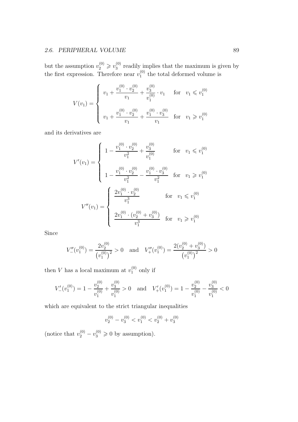#### 2.6. PERIPHERAL VOLUME 89

but the assumption  $v_2^{(0)} \ge v_3^{(0)}$  $_3^{\circ}$  readily implies that the maximum is given by the first expression. Therefore near  $v_1^{(0)}$  $_1^{\text{(0)}}$  the total deformed volume is

$$
V(v_1) = \begin{cases} v_1 + \frac{v_1^{(0)} \cdot v_2^{(0)}}{v_1} + \frac{v_3^{(0)}}{v_1^{(0)}} \cdot v_1 & \text{for } v_1 \leq v_1^{(0)} \\ v_1 + \frac{v_1^{(0)} \cdot v_2^{(0)}}{v_1} + \frac{v_1^{(0)} \cdot v_3^{(0)}}{v_1} & \text{for } v_1 \geq v_1^{(0)} \end{cases}
$$

and its derivatives are

$$
V'(v_1) = \begin{cases} 1 - \frac{v_1^{(0)} \cdot v_2^{(0)}}{v_1^2} + \frac{v_3^{(0)}}{v_1^{(0)}} & \text{for } v_1 \leq v_1^{(0)} \\ 1 - \frac{v_1^{(0)} \cdot v_2^{(0)}}{v_1^2} - \frac{v_1^{(0)} \cdot v_3^{(0)}}{v_1^2} & \text{for } v_1 \geq v_1^{(0)} \end{cases}
$$

$$
V''(v_1) = \begin{cases} \frac{2v_1^{(0)} \cdot v_2^{(0)}}{v_1^3} & \text{for } v_1 \leq v_1^{(0)} \\ \frac{2v_1^{(0)} \cdot (v_2^{(0)} + v_3^{(0)})}{v_1^3} & \text{for } v_1 \geq v_1^{(0)} \end{cases}
$$

Since

$$
V''_{-}(v_1^{(0)}) = \frac{2v_2^{(0)}}{(v_1^{(0)})^2} > 0 \quad \text{and} \quad V''_{+}(v_1^{(0)}) = \frac{2(v_2^{(0)} + v_3^{(0)})}{(v_1^{(0)})^2} > 0
$$

then V has a local maximum at  $v_1^{(0)}$  $_1^{\left(\nu\right)}$  only if

$$
V'_{-}(v_1^{(0)}) = 1 - \frac{v_2^{(0)}}{v_1^{(0)}} + \frac{v_3^{(0)}}{v_1^{(0)}} > 0 \quad \text{and} \quad V'_{+}(v_1^{(0)}) = 1 - \frac{v_2^{(0)}}{v_1^{(0)}} - \frac{v_3^{(0)}}{v_1^{(0)}} < 0
$$

which are equivalent to the strict triangular inequalities

$$
v_2^{(0)} - v_3^{(0)} < v_1^{(0)} < v_2^{(0)} + v_3^{(0)}
$$

(notice that  $v_2^{(0)} - v_3^{(0)} \ge 0$  by assumption).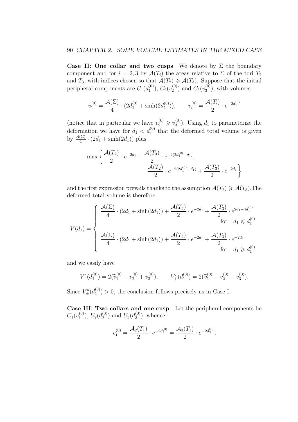Case II: One collar and two cusps We denote by  $\Sigma$  the boundary component and for  $i = 2, 3$  by  $\mathcal{A}(T_i)$  the areas relative to  $\Sigma$  of the tori  $T_2$ and  $T_3$ , with indices chosen so that  $\mathcal{A}(T_2) \geq \mathcal{A}(T_3)$ . Suppose that the initial peripheral components are  $U_1(d_1^{(0)})$  $\left( ^{(0)}_{1}\right)$ ,  $C_{2}(v_{2}^{(0)}$  $_2^{(0)}$ ) and  $C_3(v_3^{(0)}$  $\binom{0}{3}$ , with volumes

$$
v_1^{(0)} = \frac{\mathcal{A}(\Sigma)}{4} \cdot (2d_1^{(0)} + \sinh(2d_1^{(0)})), \qquad v_i^{(0)} = \frac{\mathcal{A}(T_i)}{2} \cdot e^{-2d_1^{(0)}}
$$

(notice that in particular we have  $v_2^{(0)} \geq v_3^{(0)}$ )  $\binom{0}{3}$ . Using  $d_1$  to parameterize the deformation we have for  $d_1 < d_1^{(0)}$  that the deformed total volume is given by  $\frac{\mathcal{A}(\Sigma)}{4} \cdot (2d_1 + \sinh(2d_1))$  plus

$$
\max \left\{ \frac{\mathcal{A}(T_2)}{2} \cdot e^{-2d_1} + \frac{\mathcal{A}(T_3)}{2} \cdot e^{-2(2d_1^{(0)} - d_1)}, \frac{\mathcal{A}(T_2)}{2} \cdot e^{-2(2d_1^{(0)} - d_1)} + \frac{\mathcal{A}(T_3)}{2} \cdot e^{-2d_1} \right\}
$$

and the first expression prevails thanks to the assumption  $\mathcal{A}(T_2) \geq \mathcal{A}(T_3)$ . The deformed total volume is therefore

$$
V(d_1) = \begin{cases} \frac{\mathcal{A}(\Sigma)}{4} \cdot (2d_1 + \sinh(2d_1)) + \frac{\mathcal{A}(T_2)}{2} \cdot e^{-2d_1} + \frac{\mathcal{A}(T_3)}{2} \cdot e^{2d_1 - 4d_1^{(0)}} \\ \frac{\mathcal{A}(\Sigma)}{4} \cdot (2d_1 + \sinh(2d_1)) + \frac{\mathcal{A}(T_2)}{2} \cdot e^{-2d_1} + \frac{\mathcal{A}(T_3)}{2} \cdot e^{-2d_1} \\ \text{for } d_1 \geq d_1^{(0)} \end{cases}
$$

and we easily have

$$
V'_{-}(d_1^{(0)}) = 2(\widetilde{v}_1^{(0)} - v_2^{(0)} + v_3^{(0)}), \qquad V'_{+}(d_1^{(0)}) = 2(\widetilde{v}_1^{(0)} - v_2^{(0)} - v_3^{(0)}).
$$

Since  $V''_{\pm}(d_1^{(0)})$  $1^{(0)}$  > 0, the conclusion follows precisely as in Case I.

Case III: Two collars and one cusp Let the peripheral components be  $C_1(v_1^{(0)}$  $\left( ^{(0)}_{1}\right)$ ,  $U_{2}(d_{2}^{(0)}$  $\binom{0}{2}$  and  $U_3(d_3^{(0)})$  $\binom{0}{3}$ , whence

$$
v_1^{(0)} = \frac{\mathcal{A}_2(T_1)}{2} \cdot e^{-2d_2^{(0)}} = \frac{\mathcal{A}_3(T_1)}{2} \cdot e^{-2d_3^{(0)}},
$$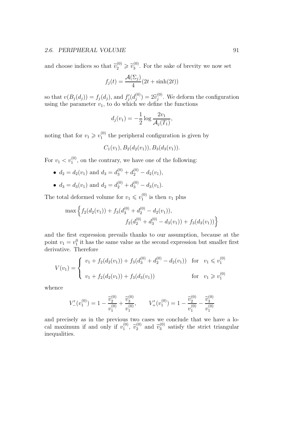#### 2.6. PERIPHERAL VOLUME 91

and choose indices so that  $\tilde{v}_2^{(0)} \ge \tilde{v}_3^{(0)}$  $3^{(0)}$ . For the sake of brevity we now set

$$
f_j(t) = \frac{\mathcal{A}(\Sigma_j)}{4} (2t + \sinh(2t))
$$

so that  $v(B_j(d_j)) = f_j(d_j)$ , and  $f'_j(d_j^{(0)})$  $\widetilde{v}_j^{(0)}$  =  $2\widetilde{v}_j^{(0)}$  $j^{(0)}$ . We deform the configuration using the parameter  $v_1$ , to do which we define the functions

$$
d_j(v_1) = -\frac{1}{2} \log \frac{2v_1}{\mathcal{A}_j(T_1)},
$$

noting that for  $v_1 \geq v_1^{(0)}$  $_1^{\text{(0)}}$  the peripheral configuration is given by

$$
C_1(v_1), B_2(d_2(v_1)), B_3(d_3(v_1)).
$$

For  $v_1 < v_1^{(0)}$ , on the contrary, we have one of the following:

- $d_2 = d_2(v_1)$  and  $d_3 = d_3^{(0)} + d_2^{(0)} d_2(v_1)$ ,
- $d_3 = d_3(v_1)$  and  $d_2 = d_2^{(0)} + d_3^{(0)} d_3(v_1)$ .

The total deformed volume for  $v_1 \leq v_1^{(0)}$  $v_1^{(0)}$  is then  $v_1$  plus

$$
\max \left\{ f_2(d_2(v_1)) + f_3(d_3^{(0)} + d_2^{(0)} - d_2(v_1)), f_2(d_2^{(0)} + d_3^{(0)} - d_3(v_1)) + f_3(d_3(v_1)) \right\}
$$

and the first expression prevails thanks to our assumption, because at the point  $v_1 = v_1^0$  it has the same value as the second expression but smaller first derivative. Therefore

$$
V(v_1) = \begin{cases} v_1 + f_2(d_2(v_1)) + f_3(d_3^{(0)} + d_2^{(0)} - d_2(v_1)) & \text{for } v_1 \leq v_1^{(0)} \\ v_1 + f_2(d_2(v_1)) + f_3(d_3(v_1)) & \text{for } v_1 \geq v_1^{(0)} \end{cases}
$$

whence

$$
V'_{-}(v_1^{(0)}) = 1 - \frac{\widetilde{v}_2^{(0)}}{v_1^{(0)}} + \frac{\widetilde{v}_3^{(0)}}{v_1^{(0)}}, \qquad V'_+(v_1^{(0)}) = 1 - \frac{\widetilde{v}_2^{(0)}}{v_1^{(0)}} - \frac{\widetilde{v}_3^{(0)}}{v_1^{(0)}}
$$

and precisely as in the previous two cases we conclude that we have a local maximum if and only if  $v_1^{(0)}$  $\widetilde{v}_1^{(0)}$ ,  $\widetilde{v}_2^{(0)}$  and  $\widetilde{v}_3^{(0)}$  $3^{(0)}$  satisfy the strict triangular inequalities.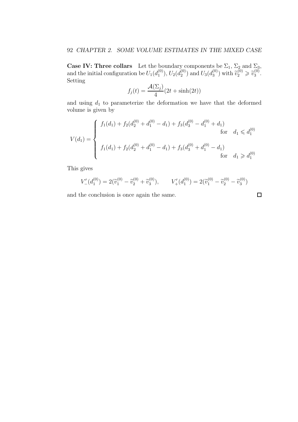**Case IV: Three collars** Let the boundary components be  $\Sigma_1$ ,  $\Sigma_2$  and  $\Sigma_3$ , and the initial configuration be  $U_1(d_1^{(0)})$  $\left( \begin{smallmatrix} (0) \ 1 \end{smallmatrix} \right), U_2 (d_2^{(0)}$  $\binom{0}{2}$  and  $U_3(d_3^{(0)})$  $\widetilde{v}_2^{(0)}$  with  $\widetilde{v}_2^{(0)} \geq \widetilde{v}_3^{(0)}$  $\frac{1}{3}$ . Setting

$$
f_j(t) = \frac{\mathcal{A}(\Sigma_j)}{4} (2t + \sinh(2t))
$$

and using  $d_1$  to parameterize the deformation we have that the deformed volume is given by

$$
V(d_1) = \begin{cases} f_1(d_1) + f_2(d_2^{(0)} + d_1^{(0)} - d_1) + f_3(d_3^{(0)} - d_1^{(0)} + d_1) & \text{for} \quad d_1 \leq d_1^{(0)} \\ f_1(d_1) + f_2(d_2^{(0)} + d_1^{(0)} - d_1) + f_3(d_3^{(0)} + d_1^{(0)} - d_1) & \text{for} \quad d_1 \geq d_1^{(0)} \end{cases}
$$

This gives

$$
V'_{-}(d_1^{(0)}) = 2(\widetilde{v}_1^{(0)} - \widetilde{v}_2^{(0)} + \widetilde{v}_3^{(0)}), \qquad V'_{+}(d_1^{(0)}) = 2(\widetilde{v}_1^{(0)} - \widetilde{v}_2^{(0)} - \widetilde{v}_3^{(0)})
$$

and the conclusion is once again the same.

$$
\qquad \qquad \Box
$$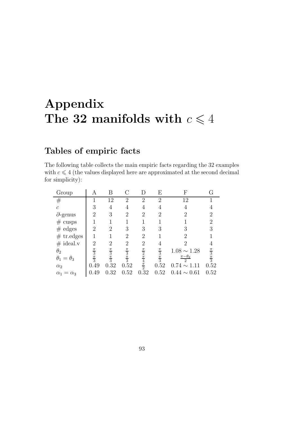# Appendix The 32 manifolds with  $c \leq 4$

# Tables of empiric facts

The following table collects the main empiric facts regarding the 32 examples with  $c \leq 4$  (the values displayed here are approximated at the second decimal for simplicity):

| Group                     | Α                               | Β                               |                                 | D                                                         | Е                               | F                                | G                               |
|---------------------------|---------------------------------|---------------------------------|---------------------------------|-----------------------------------------------------------|---------------------------------|----------------------------------|---------------------------------|
| $^{\#}$                   |                                 | 12                              | $\overline{2}$                  | $\overline{2}$                                            | $\overline{2}$                  | 12                               |                                 |
| $\mathcal{C}$             | 3                               | 4                               | 4                               | 4                                                         | 4                               | 4                                |                                 |
| $\partial$ -genus         | $\overline{2}$                  | 3                               | 2                               | $\overline{2}$                                            | $\overline{2}$                  | 2                                | $\overline{2}$                  |
| #<br>cusps                | 1                               | 1                               | 1                               | 1                                                         | 1                               |                                  | $\overline{2}$                  |
| $#$ edges                 | $\overline{2}$                  | $\overline{2}$                  | 3                               | 3                                                         | 3                               | 3                                | 3                               |
| $#$ tr.edges              | 1                               | 1                               | $\overline{2}$                  | $\overline{2}$                                            |                                 | 2                                |                                 |
| $#$ ideal.v               | $\overline{2}$                  | $\overline{2}$                  | $\overline{2}$                  | $\overline{2}$                                            | 4                               | 2                                | 4                               |
| $\theta_2$                |                                 |                                 |                                 |                                                           |                                 | $1.08 \sim 1.28$                 |                                 |
| $\theta_1=\theta_3$       | $\frac{\pi}{3}$ $\frac{\pi}{3}$ | $\frac{\pi}{3}$ $\frac{\pi}{3}$ | $\frac{\pi}{3}$ $\frac{\pi}{3}$ | $\frac{\pi}{2} \frac{\pi}{4} \frac{4}{\pi} \frac{\pi}{2}$ | $\frac{\pi}{3}$ $\frac{\pi}{3}$ | $\pi-\theta_2$<br>$\overline{2}$ | $\frac{\pi}{3}$ $\frac{\pi}{3}$ |
| $\alpha_2$                | 0.49                            | 0.32                            | 0.52                            |                                                           | 0.52                            | $0.74 \sim 1.11$                 | 0.52                            |
| $\alpha_1$<br>$=\alpha_3$ | 0.49                            | 32                              | 0.52                            | 0.32                                                      | 0.52                            | $0.44 \sim 0.61$                 | 0.52                            |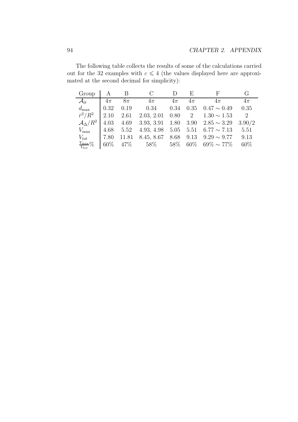The following table collects the results of some of the calculations carried out for the 32 examples with  $c \leq 4$  (the values displayed here are approximated at the second decimal for simplicity):

| Group                           |        | B      |            |        | $\mathbf{E}$ | F                |        |
|---------------------------------|--------|--------|------------|--------|--------------|------------------|--------|
| $\mathcal{A}_{\partial}$        | $4\pi$ | $8\pi$ | $4\pi$     | $4\pi$ | $4\pi$       | $4\pi$           | $4\pi$ |
| $d_{\max}$                      | 0.32   | 0.19   | 0.34       | 0.34   | 0.35         | $0.47 \sim 0.49$ | 0.35   |
| $\bar{r}^2/R^2$                 | 2.10   | 2.61   | 2.03, 2.01 | 0.80   | 2            | $1.30 \sim 1.53$ | 2      |
| ${\cal A}_\Delta/R^2$           | 4.03   | 4.69   | 3.93, 3.91 | 1.80   | 3.90         | $2.85 \sim 3.29$ | 3.90/2 |
| $V_{\rm max}$                   | 4.68   | 5.52   | 4.93, 4.98 | 5.05   | 5.51         | $6.77 \sim 7.13$ | 5.51   |
| $V_{tot}$                       | 7.80   | 11.81  | 8.45, 8.67 | 8.68   | 9.13         | $9.29 \sim 9.77$ | 9.13   |
| $\frac{V_{\rm max}}{V_{tot}}\%$ | $60\%$ | 47\%   | $58\%$     | 58\%   | $60\%$       | $69\% \sim 77\%$ | 60%    |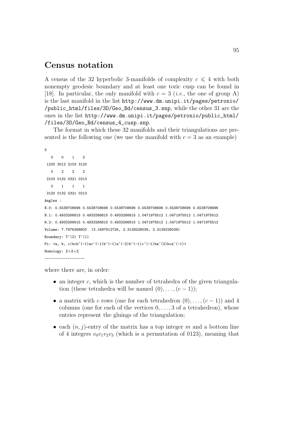### Census notation

A census of the 32 hyperbolic 3-manifolds of complexity  $c \leq 4$  with both nonempty geodesic boundary and at least one toric cusp can be found in [18]. In particular, the only manifold with  $c = 3$  (*i.e.*, the one of group A) is the last manifold in the list http://www.dm.unipi.it/pages/petronio/ /public\_html/files/3D/Geo\_Bd/census\_3.snp, while the other 31 are the ones in the list http://www.dm.unipi.it/pages/petronio/public\_html/ /files/3D/Geo\_Bd/census\_4\_cusp.snp.

The format in which these 32 manifolds and their triangulations are presented is the following one (we use the manifold with  $c = 3$  as an example)

```
3
   0 0 1 2
 1230 3012 2103 3120
   0 2 2 2
 2103 0132 0321 0213
   0 1 1 1
 3120 0132 0321 0213
Angles :
N.0: 0.5538708696 0.5538708696 0.5538708696 0.5538708696 0.5538708696 0.5538708696
N.1: 0.4933266815 0.4933266815 0.4933266815 1.0471975512 1.0471975512 1.0471975512
N.2: 0.4933266815 0.4933266815 0.4933266815 1.0471975512 1.0471975512 1.0471975512
Volume: 7.7976368803 (3.1697912726, 2.3139228039, 2.3139228039)
Boundary: T^{\frown}(2) T^{\frown}(1)Pi: \langle a, b, c|bcb^(-1)ac^(-1)b^(-1)a^(-2)b^(-1)c^(-1)ba^(2)bca^(-1)\rangleHomology: Z+Z+Z
-------------------
```
where there are, in order:

- an integer  $c$ , which is the number of tetrahedra of the given triangulation (these tetrahedra will be named  $(0), \ldots, (c-1)$ );
- a matrix with c rows (one for each tetrahedron  $(0), \ldots, (c-1)$ ) and 4 columns (one for each of the vertices  $0, \ldots, 3$  of a tetrahedron), whose entries represent the gluings of the triangulation;
- each  $(n, j)$ -entry of the matrix has a top integer m and a bottom line of 4 integers  $v_0v_1v_2v_3$  (which is a permutation of 0123), meaning that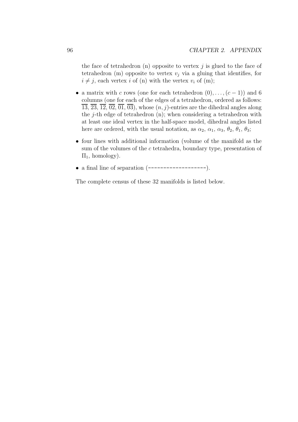the face of tetrahedron  $(n)$  opposite to vertex j is glued to the face of tetrahedron (m) opposite to vertex  $v_i$  via a gluing that identifies, for  $i \neq j$ , each vertex i of (n) with the vertex  $v_i$  of (m);

- a matrix with c rows (one for each tetrahedron  $(0), \ldots, (c-1)$ ) and 6 columns (one for each of the edges of a tetrahedron, ordered as follows:  $\overline{13}, \overline{23}, \overline{12}, \overline{02}, \overline{01}, \overline{03}$ , whose  $(n, j)$ -entries are the dihedral angles along the j-th edge of tetrahedron (n); when considering a tetrahedron with at least one ideal vertex in the half-space model, dihedral angles listed here are ordered, with the usual notation, as  $\alpha_2$ ,  $\alpha_1$ ,  $\alpha_3$ ,  $\theta_2$ ,  $\theta_1$ ,  $\theta_3$ ;
- four lines with additional information (volume of the manifold as the sum of the volumes of the c tetrahedra, boundary type, presentation of  $\Pi_1$ , homology).
- a final line of separation (-------------------).

The complete census of these 32 manifolds is listed below.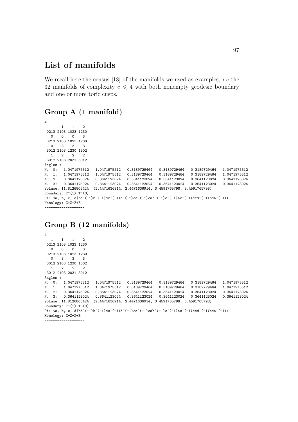### List of manifolds

We recall here the census  $[18]$  of the manifolds we used as examples, *i.e* the 32 manifolds of complexity  $c \leq 4$  with both nonempty geodesic boundary and one or more toric cusps.

### Group A (1 manifold)

```
4
  1 1 1 2
 0213 2103 1023 1230
  0 0 0 3
 0213 2103 1023 1230
  0 3 3 3
 3012 2103 1230 1302
  1 2 2 23012 2103 2031 3012
Angles :<br>N. 0: 1.0471975512<br>N. 1: 1.0471975512
N. 0: 1.0471975512 1.0471975512 0.3189729464 0.3189729464 0.3189729464 1.0471975512
N. 1: 1.0471975512 1.0471975512 0.3189729464 0.3189729464 0.3189729464 1.0471975512
N. 2: 0.3641123024 0.3641123024 0.3641123024 0.3641123024 0.3641123024 0.3641123024
N. 3: 0.3641123024 0.3641123024 0.3641123024 0.3641123024 0.3641123024 0.3641123024
Volume: 11.8126805424 (2.4471636914, 2.4471636914, 3.4591765798, 3.4591765798)
Boundary: T^(1) T^(3)Pi: \langle a, b, c, d|bd^(-1)b^(-1)dc^(-1)d^(-1)ca^(-1)cab^(-1)c^(-1)ac^(-1)acd^(-1)dda^(-1)ba^(-1)Homology: Z+Z+Z+Z
-------------------
```
### Group B (12 manifolds)

4 1 1 1 2 0213 2103 1023 1230 0 0 0 3 0213 2103 1023 1230 0 3 3 3 3012 2103 1230 1302 1 2 2 2 3012 2103 2031 3012 Angles : N. 0: 1.0471975512 1.0471975512 0.3189729464 0.3189729464 0.3189729464 1.0471975512 N. 1: 1.0471975512 1.0471975512 0.3189729464 0.3189729464 0.3189729464 1.0471975512 N. 2: 0.3641123024 0.3641123024 0.3641123024 0.3641123024 0.3641123024 0.3641123024 N. 3: 0.3641123024 0.3641123024 0.3641123024 0.3641123024 0.3641123024 0.3641123024 Volume: 11.8126805424 (2.4471636914, 2.4471636914, 3.4591765798, 3.4591765798) Boundary:  $T^(1)$   $T^(3)$ Pi:  $\langle a, b, c, d|bd^(-1)b^(-1)dc^(-1)d^(-1)ca^(-1)ca^(-1)ca^(-1)ac^(-1)ac^(-1)dcd^(-1)bda^(-1)\rangle$ Homology: Z+Z+Z+Z -------------------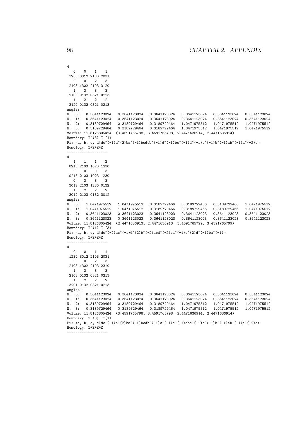```
4
  0 0 1 1
1230 3012 2103 2031
  0 0 2 3
2103 1302 2103 3120
  1 3 3 3
2103 0132 0321 0213
  1 2 2 2
3120 0132 0321 0213
Angles :
N. 0: 0.3641123024 0.3641123024 0.3641123024 0.3641123024 0.3641123024 0.3641123024
N. 1: 0.3641123024 0.3641123024 0.3641123024 0.3641123024 0.3641123024 0.3641123024
N. 2: 0.3189729464 0.3189729464 0.3189729464 1.0471975512 1.0471975512 1.0471975512
N. 3: 0.3189729464 0.3189729464 0.3189729464 1.0471975512 1.0471975512 1.0471975512
Volume: 11.8126805424 (3.4591765798, 3.4591765798, 2.4471636914, 2.4471636914)
Boundary: T^{\hat{ }}(3) T^{\hat{ }}(1)Pi: \langle a, b, c, d|dc^(-1)a^(2)ba^(-1)bcdcb^(-1)d^(-1)bc^(-1)d^(-1)c^(-1)b^(-1)ab^(-1)a^(-1)c^(-2)c\rangleHomology: Z+Z+Z+Z
-------------------
4
  1 1 1 2
0213 2103 1023 1230
 0 0 0 3
0213 2103 1023 1230
  0 3 3 3
3012 2103 1230 0132
     1 2 2 2
3012 2103 0132 3012
Angles :
N. 0: 1.0471975512 1.0471975512 0.3189729466 0.3189729466 0.3189729466 1.0471975512
N. 1: 1.0471975512 1.0471975512 0.3189729466 0.3189729466 0.3189729466 1.0471975512
N. 2: 0.3641123023 0.3641123023 0.3641123023 0.3641123023 0.3641123023 0.3641123023
N. 3: 0.3641123023 0.3641123023 0.3641123023 0.3641123023 0.3641123023 0.3641123023
Volume: 11.8126805424 (2.4471636913, 2.4471636913, 3.4591765799, 3.4591765799)
Boundary: T^(1) T^(3)Pi: \langle a, b, c, d | dc^(-2)ac^(-1)d^(2)b^(-2)abd^(-2)ca^(-1)c^(2)d^(-1)ba^(-1)\rangleHomology: Z+Z+Z+Z
-------------------
4
  0 0 1 1
1230 3012 2103 2031
  0 \quad 0 \quad 2 \quad 32103 1302 2103 2310
  1 3 3 3
2103 0132 0321 0213
  1 2 2 2
3201 0132 0321 0213
Angles :
N. 0: 0.3641123024 0.3641123024 0.3641123024 0.3641123024 0.3641123024 0.3641123024<br>N. 1: 0.3641123024 0.3641123024 0.3641123024 0.3641123024 0.3641123024 0.3641123024
N. 1: 0.3641123024 0.3641123024 0.3641123024 0.3641123024 0.3641123024 0.3641123024
N. 2: 0.3189729464 0.3189729464 0.3189729464 1.0471975512 1.0471975512 1.0471975512
N. 3: 0.3189729464 0.3189729464 0.3189729464 1.0471975512 1.0471975512 1.0471975512
Volume: 11.8126805424 (3.4591765798, 3.4591765798, 2.4471636914, 2.4471636914)
Boundary: T^{\frown}(3) T^{\frown}(1)Pi: \langle a, b, c, d|dc^(-1)a^-(2)ba^(-1)bcdb^(-1)c^(-1)d^(-1)cbd^(-1)c^(-1)b^(-1)ab^(-1)a^(-1)a^(-2)c\rangleHomology: Z+Z+Z+Z
```
-------------------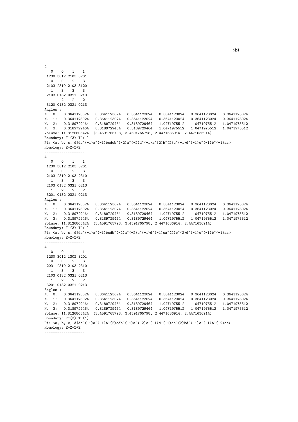0 0 1 1 1230 3012 2103 3201 0 0 2 3 2103 2310 2103 3120 1 3 3 3 2103 0132 0321 0213 1 2 2 2 3120 0132 0321 0213 Angles : N. 0: 0.3641123024 0.3641123024 0.3641123024 0.3641123024 0.3641123024 0.3641123024 N. 1: 0.3641123024 0.3641123024 0.3641123024 0.3641123024 0.3641123024 0.3641123024 N. 2: 0.3189729464 0.3189729464 0.3189729464 1.0471975512 1.0471975512 1.0471975512 N. 3: 0.3189729464 0.3189729464 0.3189729464 1.0471975512 1.0471975512 1.0471975512 Volume: 11.8126805424 (3.4591765798, 3.4591765798, 2.4471636914, 2.4471636914) Boundary:  $T^*(3)$   $T^*(1)$ Pi:  $\langle a, b, c, d|dc^(-1)a^(-1)bcdcb^(-2)a^(-2)d^(-1)a^(2)b^-(2)c^(-1)d^(-1)c^(-1)b^(-1)ac\rangle$ Homology: Z+Z+Z+Z ------------------- 4 0 0 1 1 1230 3012 2103 3201 0 0 2 3 2103 2310 2103 2310 1 3 3 3 2103 0132 0321 0213 1 2 2 2 3201 0132 0321 0213 Angles : N. 0: 0.3641123024 0.3641123024 0.3641123024 0.3641123024 0.3641123024 0.3641123024 N. 1: 0.3641123024 0.3641123024 0.3641123024 0.3641123024 0.3641123024 0.3641123024 N. 2: 0.3189729464 0.3189729464 0.3189729464 1.0471975512 1.0471975512 1.0471975512 N. 3: 0.3189729464 0.3189729464 0.3189729464 1.0471975512 1.0471975512 1.0471975512 Volume: 11.8126805424 (3.4591765798, 3.4591765798, 2.4471636914, 2.4471636914) Boundary:  $T^*(3)$   $T^*(1)$ Pi:  $\langle a, b, c, d|dc^(-1)a^(-1)bcdb^(-2)a^(-2)c^(-1)d^(-1)ca^(2)b^(-2)d^(-1)c^(-1)b^(-1)ac\rangle$ Homology: Z+Z+Z+Z ------------------- 4 0 0 1 1 1230 3012 1302 3201  $0 \quad 0 \quad 2 \quad 3$ 2031 2310 2103 2310 1 3 3 3 2103 0132 0321 0213 1 2 2 2 3201 0132 0321 0213 Angles : N. 0: 0.3641123024 0.3641123024 0.3641123024 0.3641123024 0.3641123024 0.3641123024 N. 1: 0.3641123024 0.3641123024 0.3641123024 0.3641123024 0.3641123024 0.3641123024 N. 2: 0.3189729464 0.3189729464 0.3189729464 1.0471975512 1.0471975512 1.0471975512 N. 3: 0.3189729464 0.3189729464 0.3189729464 1.0471975512 1.0471975512 1.0471975512 Volume: 11.8126805424 (3.4591765798, 3.4591765798, 2.4471636914, 2.4471636914) Boundary:  $T^{\uparrow}(3)$   $T^{\uparrow}(1)$ Pi:  $\langle a, b, c, d|dc^(-1)a^(-1)b^-(2)cdb^(-1)a^(-1)a^(-1)ac^(-1)ca^(2)bd^(-1)c^(-1)b^(-2)ac\rangle$ Homology: Z+Z+Z+Z -------------------

4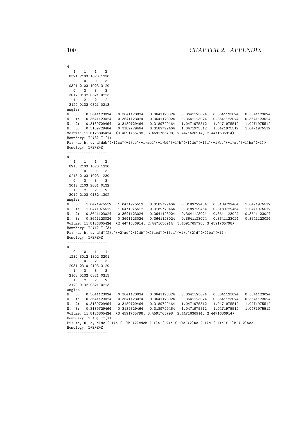```
4
  1 1 1 2
0321 2103 1023 1230
 0 0 0 3
0321 2103 1023 3120
     0 3 3 3
3012 0132 0321 0213
  1 2 2 2
3120 0132 0321 0213
Angles :
N. 0: 0.3641123024 0.3641123024 0.3641123024 0.3641123024 0.3641123024 0.3641123024
N. 1: 0.3641123024 0.3641123024 0.3641123024 0.3641123024 0.3641123024 0.3641123024
N. 2: 0.3189729464 0.3189729464 0.3189729464 1.0471975512 1.0471975512 1.0471975512
N. 3: 0.3189729464 0.3189729464 0.3189729464 1.0471975512 1.0471975512 1.0471975512
Volume: 11.8126805424 (3.4591765798, 3.4591765798, 2.4471636914, 2.4471636914)
Boundary: T^{\frown}(3) T^{\frown}(1)Pi: \langle a, b, c, d|dab^(-1)ca^(-1)cb^(-1)ad^(-1)bd^(-1)dc^(-1)dc^(-1)a^(-1)ac^(-1)ac^(-1)ac^(-1)ba^(-1)Homology: Z+Z+Z+Z
-------------------
4
  1 1 1 2
0213 2103 1023 1230
 0 0 0 3
0213 2103 1023 1230<br>0 3 3 3
  0 3 3 3
3012 2103 2031 0132
  1 2 2 2
3012 2103 0132 1302
Angles :
N. 0: 1.0471975512 1.0471975512 0.3189729464 0.3189729464 0.3189729464 1.0471975512
N. 1: 1.0471975512 1.0471975512 0.3189729464 0.3189729464 0.3189729464 1.0471975512
N. 2: 0.3641123024 0.3641123024 0.3641123024 0.3641123024 0.3641123024 0.3641123024
N. 3: 0.3641123024 0.3641123024 0.3641123024 0.3641123024 0.3641123024 0.3641123024
Volume: 11.8126805424 (2.4471636914, 2.4471636914, 3.4591765798, 3.4591765798)
Boundary: T^(1) T^(3)Pi: \langle a, b, c, d|d^(2)c^(-2)ac^(-1)db^(-2)abd^(-1)ca^(-1)c^(2)d^(-2)ba^(-1)Homology: Z+Z+Z+Z
-------------------
4
  0 0 1 1
1230 3012 1302 3201
 0 \quad 0 \quad 2 \quad 32031 2310 2103 3120
  1 3 3 3
2103 0132 0321 0213
  1 2 2 2
3120 0132 0321 0213
Angles :
N. 0: 0.3641123024 0.3641123024 0.3641123024 0.3641123024 0.3641123024 0.3641123024<br>N. 1: 0.3641123024 0.3641123024 0.3641123024 0.3641123024 0.3641123024 0.3641123024
N. 1: 0.3641123024 0.3641123024 0.3641123024 0.3641123024 0.3641123024 0.3641123024
N. 2: 0.3189729464 0.3189729464 0.3189729464 1.0471975512 1.0471975512 1.0471975512
N. 3: 0.3189729464 0.3189729464 0.3189729464 1.0471975512 1.0471975512 1.0471975512
Volume: 11.8126805424 (3.4591765798, 3.4591765798, 2.4471636914, 2.4471636914)
Boundary: T^{\frown}(3) T^{\frown}(1)Pi: \langle a, b, c, d|dc^(-1)a^(-1)b^-(2)cdcb^(-1)a^(-2)d^(-1)a^2(2)bc^(-1)d^(-1)c^(-1)b^(-2)ac\rangleHomology: Z+Z+Z+Z
-------------------
```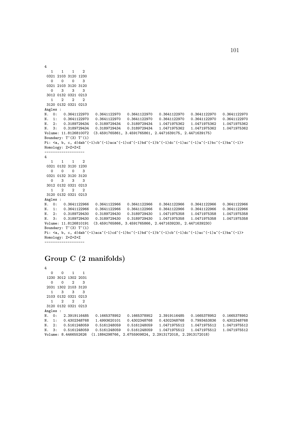4  $1 \t 1 \t 1 \t 2$ 0321 2103 3120 1230 0 0 0 3 0321 2103 3120 3120 0 3 3 3 3012 0132 0321 0213 1 2 2 2 3120 0132 0321 0213 Angles : N. 0: 0.3641122970 0.3641122970 0.3641122970 0.3641122970 0.3641122970 0.3641122970 N. 1: 0.3641122970 0.3641122970 0.3641122970 0.3641122970 0.3641122970 0.3641122970 N. 2: 0.3189729434 0.3189729434 0.3189729434 1.0471975362 1.0471975362 1.0471975362 N. 3: 0.3189729434 0.3189729434 0.3189729434 1.0471975362 1.0471975362 1.0471975362 Volume: 11.8126810072 (3.4591765861, 3.4591765861, 2.4471639175, 2.4471639175) Boundary:  $T^{\frown}(3)$   $T^{\frown}(1)$ Pi: <a, b, c, d|dab^(-1)cb^(-1)aca^(-1)cd^(-1)bd^(-1)b^(-1)dc^(-1)ac^(-1)a^(-1)bc^(-1)ba^(-1)> Homology: Z+Z+Z+Z ------------------- 4 1 1 1 2 0321 0132 3120 1230 0 0 0 3 0321 0132 3120 3120 0 3 3 3 3012 0132 0321 0213 1 2 2 2 3120 0132 0321 0213 Angles : N. 0: 0.3641122966 0.3641122966 0.3641122966 0.3641122966 0.3641122966 0.3641122966 N. 1: 0.3641122966 0.3641122966 0.3641122966 0.3641122966 0.3641122966 0.3641122966 N. 2: 0.3189729430 0.3189729430 0.3189729430 1.0471975358 1.0471975358 1.0471975358 N. 3: 0.3189729430 0.3189729430 0.3189729430 1.0471975358 1.0471975358 1.0471975358 Volume: 11.8126810191 (3.4591765866, 3.4591765866, 2.4471639230, 2.4471639230) Boundary:  $T^{\uparrow}(3)$   $T^{\uparrow}(1)$ Pi:  $\langle a, b, c, d|dab^(-1)aca^(-1)cd^(-1)bc^(-1)bd^(-1)b^(-1)cb^(-1)dc^(-1)ac^(-1)a^(-1)ba^(-1)$ Homology: Z+Z+Z+Z -------------------

### Group C (2 manifolds)

| 4                    |          |                     |              |              |              |                                                            |              |              |
|----------------------|----------|---------------------|--------------|--------------|--------------|------------------------------------------------------------|--------------|--------------|
| $\Omega$             | $\Omega$ | 1                   | 1            |              |              |                                                            |              |              |
|                      |          | 1230 3012 1302 2031 |              |              |              |                                                            |              |              |
| $\Omega$             | $\Omega$ | 2                   | 3            |              |              |                                                            |              |              |
|                      |          | 2031 1302 2103 3120 |              |              |              |                                                            |              |              |
|                      | 3        | 3                   | 3            |              |              |                                                            |              |              |
|                      |          | 2103 0132 0321 0213 |              |              |              |                                                            |              |              |
|                      | 2        | 2                   | 2            |              |              |                                                            |              |              |
| 3120 0132 0321 0213  |          |                     |              |              |              |                                                            |              |              |
| Angles :             |          |                     |              |              |              |                                                            |              |              |
| $N.$ 0:              |          |                     | 2.3919116485 | 0.1665378952 | 0.1665378952 | 2.3919116485                                               | 0.1665378952 | 0.1665378952 |
| N.<br>1:             |          |                     | 0.4302348768 | 1.4993620101 | 0.4302348768 | 0.4302348768                                               | 0.7993453836 | 0.4302348768 |
| N. 2:                |          |                     | 0.5161248059 | 0.5161248059 | 0.5161248059 | 1.0471975512                                               | 1.0471975512 | 1.0471975512 |
| Ν.<br>3:             |          |                     | 0.5161248059 | 0.5161248059 | 0.5161248059 | 1.0471975512                                               | 1.0471975512 | 1.0471975512 |
| Volume: 8.4466552626 |          |                     |              |              |              | $(1.1884298766, 2.6755909824, 2.2913172018, 2.2913172018)$ |              |              |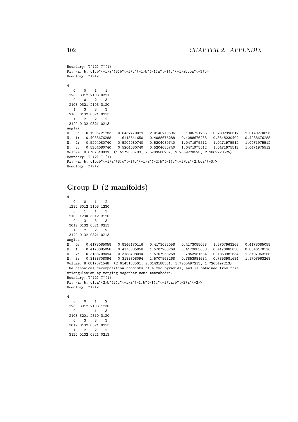```
Boundary: T^{\sim}(2) T^{\sim}(1)Pi: \langle a, b, c|cb^(-1)a^(3)b^(-1)c^(-1)b^(-1)a^(-1)c^(-1)abcba^(-3)b\rangleHomology: Z+Z+Z
-------------------
4
  0 0 1 1
1230 3012 2103 0321
  0 0 2 3
2103 0321 2103 3120
  1 3 3 3
2103 0132 0321 0213
  1 2 2 2
3120 0132 0321 0213
Angles :
N. 0: 0.1905721283 0.6432770029 2.0140270696 0.1905721283 0.2892990512 2.0140270696
N. 1: 0.4088676288 1.6118541650 0.4088676288 0.4088676288 0.8548230402 0.4088676288
N. 2: 0.5204080740 0.5204080740 0.5204080740 1.0471975512 1.0471975512 1.0471975512
N. 3: 0.5204080740 0.5204080740 0.5204080740 1.0471975512 1.0471975512 1.0471975512
Volume: 8.6707518039 (1.5179560783, 2.5789500207, 2.2869228525, 2.2869228525)
Boundary: T^(2) T^(1)Pi: \langle a, b, c | bcb^(-1)a^(3)c^(-1)b^(-1)a^(-2)b^(-1)c^(-1)ba^(2)bca^(-3)\rangleHomology: Z+Z+Z
-------------------
```
### Group D (2 manifolds)

```
4
  \begin{array}{ccccccccc}\n0 & 0 & 1 & 2\n\end{array}1230 3012 2103 1230
  0 1 1 3
2103 1230 3012 3120
  0 3 3 3
3012 0132 0321 0213
  1 2 2 2
3120 0132 0321 0213
Angles :
N. 0: 0.4173085058 0.8346170116 0.4173085058 0.4173085058 1.5707963268 0.4173085058
N. 1: 0.4173085058 0.4173085058 1.5707963268 0.4173085058 0.4173085058 0.8346170116
N. 2: 0.3188708094 0.3188708094 1.5707963268 0.7853981634 0.7853981634 1.5707963268
N. 3: 0.3188708094 0.3188708094 1.5707963268 0.7853981634 0.7853981634 1.5707963268
Volume: 8.6817371548 (2.6143188561, 2.6143188561, 1.7265497213, 1.7265497213)
The canonical decomposition consists of a two pyramids, and is obtained from this
triangulation by merging together some tetrahedra.
Boundary: T^{\sim}(2) T^{\sim}(1)Pi: \langle a, b, c|ca^(2)b^(2)c^(-1)a^(-1)b^(-1)c^(-1)bacb^(-2)a^(-2)\rangleHomology: Z+Z+Z
- - - - - -4
  0 0 1 2
1230 3012 2103 1230
  0 1 1 3
2103 3201 2310 3120
  0 3 3 3
3012 0132 0321 0213
  1 2 2 2
3120 0132 0321 0213
```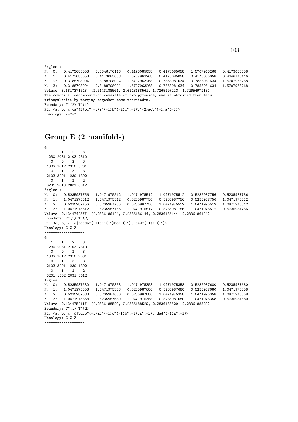```
Angles :
N. 0: 0.4173085058 0.8346170116 0.4173085058 0.4173085058 1.5707963268 0.4173085058
N. 1: 0.4173085058 0.4173085058 1.5707963268 0.4173085058 0.4173085058 0.8346170116
N. 2: 0.3188708094 0.3188708094 1.5707963268 0.7853981634 0.7853981634 1.5707963268
N. 3: 0.3188708094 0.3188708094 1.5707963268 0.7853981634 0.7853981634 1.5707963268
Volume: 8.6817371548 (2.6143188561, 2.6143188561, 1.7265497213, 1.7265497213)
The canonical decomposition consists of two pyramids, and is obtained from this
triangulation by merging together some tetrahedra.
Boundary: T^{\uparrow}(2) T^{\uparrow}(1)Pi: \langle a, b, c | ca^*(2)bc^*(-1)a^*(-1)b^*(-2)c^*(-1)b^*(2)acb^*(-1)a^*(-2)\rangleHomology: Z+Z+Z
       -------------------
```
### Group E (2 manifolds)

```
4
   1 1 2 3
 1230 2031 2103 2310
  0 0 2 3
 1302 3012 2310 3201
  0 1 3 3
 2103 3201 1230 1302
  0 1 2 2
3201 2310 2031 3012
Angles :
N. 0: 0.5235987756 1.0471975512 1.0471975512 1.0471975512 0.5235987756 0.5235987756
N. 1: 1.0471975512 1.0471975512 0.5235987756 0.5235987756 0.5235987756 1.0471975512
N. 2: 0.5235987756 0.5235987756 0.5235987756 1.0471975512 1.0471975512 1.0471975512
N. 3: 1.0471975512 0.5235987756 1.0471975512 0.5235987756 1.0471975512 0.5235987756
Volume: 9.1344744577 (2.2836186144, 2.2836186144, 2.2836186144, 2.2836186144)
Boundary: T^(1) T^(2)Pi: \langle a, b, c, d \ranglebdcda^(-1)bc^(-1)bca^(-1), dad^(-1)a^(-1)>
Homology: Z+Z+Z
-------------------
4
  1 1 2 3
 1230 2031 2103 2310
  0 0 2 3
 1302 3012 2310 2031
  0 1 3 3
 2103 3201 1230 1302
  0 \t1 \t23201 1302 2031 3012
Angles :<br>N. 0: 0.5235987680<br>N. 1: 1.0471975358
N. 0: 0.5235987680 1.0471975358 1.0471975358 1.0471975358 0.5235987680 0.5235987680
N. 1: 1.0471975358 1.0471975358 0.5235987680 0.5235987680 0.5235987680 1.0471975358
N. 2: 0.5235987680 0.5235987680 0.5235987680 1.0471975358 1.0471975358 1.0471975358
N. 3: 1.0471975358 0.5235987680 1.0471975358 0.5235987680 1.0471975358 0.5235987680
Volume: 9.1344754117 (2.2836188529, 2.2836188529, 2.2836188529, 2.2836188529)
Boundary: T^(1) T^(2)Pi: \langle a, b, c, d | b d c b^(-1) a d^(-1) c^(-1) b^(-1) c a^(-1), d a d^(-1) a^(-1)Homology: Z+Z+Z
```

```
-------------------
```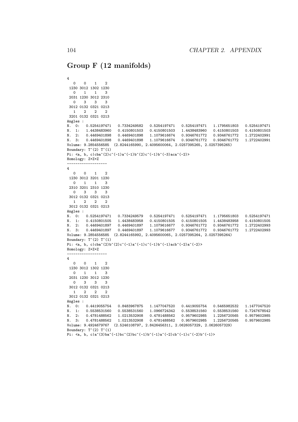### Group F (12 manifolds)

```
4
  0 0 1 2
1230 3012 1302 1230
  0 1 1 3
 2031 1230 3012 2310
  0 3 3 3
 3012 0132 0321 0213
  1 2 2 2
3201 0132 0321 0213
Angles :
N. 0: 0.5254197471 0.7334249582 0.5254197471 0.5254197471 1.1795651803 0.5254197471
N. 1: 1.4438483960 0.4150801503 0.4150801503 1.4438483960 0.4150801503 0.4150801503
N. 2: 0.4469401898 0.4469401898 1.1079616674 0.9346761772 0.9346761772 1.2722402991
N. 3: 0.4469401898 0.4469401898 1.1079616674 0.9346761772 0.9346761772 1.2722402991
Volume: 9.2854556585 (2.8244165990, 2.4095600064, 2.0257395265, 2.0257395265)
Boundary: T^{\uparrow}(2) T^{\uparrow}(1)Pi: \langle a, b, c | cba^*(2)c^*(-1)a^*(-1)b^*(2)c^*(-1)b^*(-3)aca^(-2)\rangleHomology: Z+Z+Z
-------------------
4
  0 0 1 2
1230 3012 3201 1230
  0 1 1 3
 2310 3201 2310 1230
  0 3 3 3
3012 0132 0321 0213
  1 \quad 2 \quad 2 \quad 23012 0132 0321 0213
Angles :
N. 0: 0.5254197471 0.7334249579 0.5254197471 0.5254197471 1.1795651803 0.5254197471
N. 1: 0.4150801505 1.4438483958 0.4150801505 0.4150801505 1.4438483958 0.4150801505
N. 2: 0.4469401897 0.4469401897 1.1079616677 0.9346761772 0.9346761772 1.2722402993
N. 3: 0.4469401897 0.4469401897 1.1079616677 0.9346761772 0.9346761772 1.2722402993
Volume: 9.2854556585 (2.8244165992, 2.4095600065, 2.0257395264, 2.0257395264)
Boundary: T^{\uparrow}(2) T^{\uparrow}(1)Pi: \langle a, b, c|cba^*(2)b^*(2)c^(-1)a^*(-1)c^*(-1)b^*(-1)acb^(-2)a^*(-2)\rangleHomology: Z+Z+Z
-------------------
4
  0 0 1 2
1230 3012 1302 1230
  0 1 1 3
2031 1230 3012 1230
  0 3 3 3
3012 0132 0321 0213
  1 2 2 2
3012 0132 0321 0213
Angles :
N. 0: 0.4419055754 0.8483967875 1.1477047520 0.4419055754 0.5465982532 1.1477047520
N. 1: 0.5538531560 0.5538531560 1.0966724342 0.5538531560 0.5538531560 0.7247678542
N. 2: 0.4781488562 1.0213532908 0.4781488562 0.9579602985 1.2256720565 0.9579602985
N. 3: 0.4781488562 1.0213532908 0.4781488562 0.9579602985 1.2256720565 0.9579602985
Volume: 9.4924679767 (2.5246108797, 2.8426456311, 2.0626057329, 2.0626057329)
Boundary: T^{\frown}(2) T^{\frown}(1)Pi: \langle a, b, c|a^{\hat{-}}(3)ba^{\hat{-}}(-1)bc^{\hat{-}}(2)bc^{\hat{-}}(-1)a^{\hat{-}}(-2)cb^{\hat{-}}(-1)c^{\hat{-}}(-2)b^{\hat{-}}(-1)\rangle
```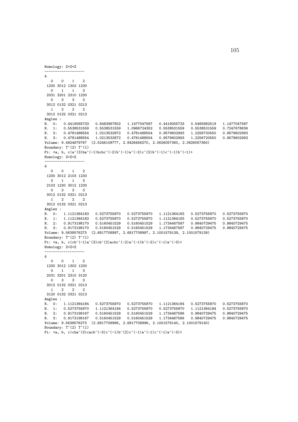```
Homology: Z+Z+Z
-------------------
4
  0 0 1 2
 1230 3012 1302 1230
  0 1 1 3
 2031 3201 2310 1230
  0 3 3 3
 3012 0132 0321 0213
  1 2 2 23012 0132 0321 0213
Angles :<br>N. O: 0.4419055733
                        0.8483967802 1.1477047587 0.4419055733 0.5465982519 1.1477047587
N. 1: 0.5538531559 0.5538531559 1.0966724352 0.5538531559 0.5538531559 0.7247678636
N. 2: 0.4781488554 1.0213532872 0.4781488554 0.9579602993 1.2256720550 0.9579602993
N. 3: 0.4781488554 1.0213532872 0.4781488554 0.9579602993 1.2256720550 0.9579602993
Volume: 9.4924679767 (2.5246108777, 2.8426456270, 2.0626057360, 2.0626057360)
Boundary: T^{\hat{ }}(2) T^{\hat{ }}(1)Pi: \langle a, b, c|a^{\hat{}}(3)b a^{\hat{}}(-1)b c b c^{\hat{}}(-2)b^{\hat{}}(-1)a^{\hat{}}(-2)c^{\hat{}}(2)b^{\hat{}}(-1)c^{\hat{}}(-1)b^{\hat{}}(-1)\rangleHomology: Z+Z+Z
-------------------
4
  0 0 1 2
 1230 3012 2103 1230
  0 1 1 3
 2103 1230 3012 1230
  0 3 3 3
 3012 0132 0321 0213
  1 2 2 2
 3012 0132 0321 0213
Angles :<br>N. 0:
        N. 0: 1.1121364183 0.5273755870 0.5273755870 1.1121364183 0.5273755870 0.5273755870
است التاريخ المسلم المسلم التاريخ المسلم التاريخ المسلم التاريخ السابق التاريخ السابق التاريخ التاريخ التاريخ<br>N. 2: 0.9173198170 0.5160451529 0.5160451529 1.17344467587 0.9840729475 0.9840729475
N. 2: 0.9173198170 0.5160451529 0.5160451529 1.1734467587 0.9840729475 0.9840729475
N. 3: 0.9173198170 0.5160451529 0.5160451529 1.1734467587 0.9840729475 0.9840729475
Volume: 9.5638576273 (2.6817708997, 2.6817708997, 2.1001579139, 2.1001579139)
Boundary: T^{\hat{ }}(2) T^{\hat{ }}(1)Pi: \langle a, b, c|cb^(-1)a^(3)cb^(2)acbc^(-2)a^(-1)b^(-2)c^(-1)a^(-3)\rangleHomology: Z+Z+Z
-------------------
4
  0 0 1 2
 1230 3012 1302 1230
  0 1 1 3
 2031 3201 2310 3120
  0 3 3 3
 3012 0132 0321 0213
   1 2 2 2
 3120 0132 0321 0213
Angles :<br>N. O:
        N. 0: 1.1121364184 0.5273755870 0.5273755870 1.1121364184 0.5273755870 0.5273755870
N. 1: 0.5273755870 1.1121364184 0.5273755870 0.5273755870 1.1121364184 0.5273755870
N. 2: 0.9173198167 0.5160451529 0.5160451529 1.1734467586 0.9840729475 0.9840729475
N. 3: 0.9173198167 0.5160451529 0.5160451529 1.1734467586 0.9840729475 0.9840729475
Volume: 9.5638576273 (2.6817708996, 2.6817708996, 2.1001579140, 2.1001579140)
Boundary: T^{\uparrow}(2) T^{\uparrow}(1)Pi: \langle a, b, c| \cba^{\hat{}}(3) \cacb^{\hat{}}(-3)c^{\hat{}}(-1)b^{\hat{}}(2)c^{\hat{}}(-1)a^{\hat{}}(-1)c^{\hat{}}(-1)a^{\hat{}}(-3)\rangle
```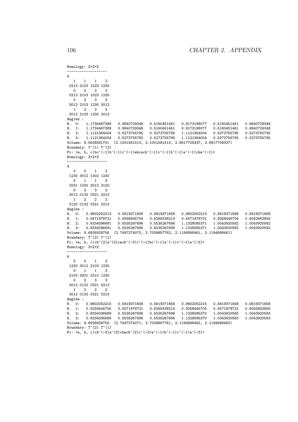```
Homology: Z+Z+Z
-4
  1 1 1 2
0213 2103 1023 1230
 0 0 0 3
0213 2103 1023 1230
  0 3 3 3
3012 2103 1230 3012
  1 \quad 2 \quad 2 \quad 23012 2103 1230 3012
Angles :
N. 0: 1.1734467389 0.9840729348 0.5160451461 0.9173198077 0.5160451461 0.9840729348
N. 1: 1.1734467389 0.9840729348 0.5160451461 0.9173198077 0.5160451461 0.9840729348
N. 2: 1.1121364004 0.5273755795 0.5273755795 1.1121364004 0.5273755795 0.5273755795
N. 3: 1.1121364004 0.5273755795 0.5273755795 1.1121364004 0.5273755795 0.5273755795
Volume: 9.5638581701 (2.1001581513, 2.1001581513, 2.6817709337, 2.6817709337)
Boundary: T^(1) T^(2)Pi: \langle a, b, c|bc^(-1)b^(-1)c^(-1)abcacb^(-1)c^(-1)b^(-1)b^(-1)a^(-1)cba^(-1)\rangleHomology: Z+Z+Z
-------------------
4
 0 0 1 2
1230 3012 1302 1230
  0 1 1 3
2031 1230 3012 3120
  0 3 3 3
3012 0132 0321 0213
  1 2 2 2
3120 0132 0321 0213
Angles :<br>N. 0:
       N. 0: 0.9802052213 0.5819371658 0.5819371658 0.9802052213 0.5819371658 0.5819371658
N. 1: 0.5571978721 0.9258445704 0.6269338213 0.5571978721 0.9258445704 0.8042663856
N. 2: 0.8334096691 0.5535267696 0.5535267696 1.1328085371 1.0043920582 1.0043920582
N. 3: 0.8334096691 0.5535267696 0.5535267696 1.1328085371 1.0043920582 1.0043920582
Volume: 9.6926928756 (2.7497274073, 2.7039857762, 2.1194898461, 2.1194898461)
Boundary: T^{\hat{ }}(2) T^{\hat{ }}(1)Pi: \langle a, b, c|cb^(2)a^(3)ccab^(-3)c^(-1)bc^(-1)a^(-1)c^(-1)a^(-3)\rangleHomology: Z+Z+Z
-------------------
4
 0 0 1 2
1230 3012 2103 1230
  0 1 1 3
2103 3201 2310 1230
  0 3 3 3
3012 0132 0321 0213
  1 2 2 2
3012 0132 0321 0213
Angles :<br>N. 0: 0.9802052215
                     N. 0: 0.9802052215 0.5819371658 0.5819371658 0.9802052215 0.5819371658 0.5819371658
N. 1: 0.9258445705 0.5571978721 0.6269338214 0.9258445705 0.5571978721 0.8042663855
N. 2: 0.8334096689 0.5535267696 0.5535267696 1.1328085370 1.0043920583 1.0043920583
N. 3: 0.8334096689 0.5535267696 0.5535267696 1.1328085370 1.0043920583 1.0043920583
Volume: 9.6926928756 (2.7497274071, 2.7039857761, 2.1194898462, 2.1194898462)
Boundary: T^{\uparrow}(2) T^{\uparrow}(1)Pi: \langle a, b, c|cb^(-2)a^(3)cbacb^(2)c^(-2)a^(-1)b^(-1)c^(-1)a^(-3)\rangle
```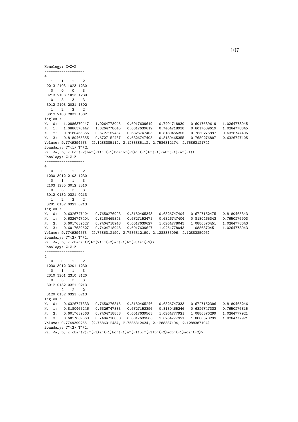```
Homology: Z+Z+Z
-------------------
4
  1 1 1 2
 0213 2103 1023 1230
  0 0 0 3
 0213 2103 1023 1230
  0 3 3 3
 3012 2103 2031 1302
  1 2 2 23012 2103 2031 1302
Angles :<br>N. 0: 1.0886370447
                        N. 0: 1.0886370447 1.0264778045 0.6017639619 0.7404718930 0.6017639619 1.0264778045
N. 1: 1.0886370447 1.0264778045 0.6017639619 0.7404718930 0.6017639619 1.0264778045
N. 2: 0.8180465355 0.6727152487 0.6326747405 0.8180465355 0.7650276897 0.6326747405
N. 3: 0.8180465355 0.6727152487 0.6326747405 0.8180465355 0.7650276897 0.6326747405
Volume: 9.7749394573 (2.1288385112, 2.1288385112, 2.7586312174, 2.7586312174)
Boundary: T^(1) T^(2)Pi: \langle a, b, c|bc^(-2)ba^(-1)c^(-1)bcacb^(-1)c^(-1)b^(-1)cab^(-1)ca^(-1)\rangleHomology: Z+Z+Z
-------------------
4
  0 0 1 2
 1230 3012 2103 1230
  0 1 1 3
 2103 1230 3012 2310
  0 3 3 3
 3012 0132 0321 0213
  1 2 2 2
 3201 0132 0321 0213
Angles :<br>N. 0:
        N. 0: 0.6326747404 0.7650276903 0.8180465343 0.6326747404 0.6727152475 0.8180465343
N. 1: 0.6326747404 0.8180465343 0.6727152475 0.6326747404 0.8180465343 0.7650276903
N. 2: 0.6017639627 0.7404718948 0.6017639627 1.0264778043 1.0886370451 1.0264778043
N. 3: 0.6017639627 0.7404718948 0.6017639627 1.0264778043 1.0886370451 1.0264778043
Volume: 9.7749394573 (2.7586312190, 2.7586312190, 2.1288385096, 2.1288385096)
Boundary: T^{\hat{ }}(2) T^{\hat{ }}(1)Pi: \langle a, b, c | c b a c a^{\hat{}}(2) b^{\hat{}}(2) c^{\hat{}}(-2) a^{\hat{}}(-1) b^{\hat{}}(-3) a^{\hat{}}(-2)\rangleHomology: Z+Z+Z
-------------------
4
  0 0 1 2
 1230 3012 3201 1230
  0 1 1 3
 2310 3201 2310 3120
  0 3 3 3
 3012 0132 0321 0213
  1 2 2 2
 3120 0132 0321 0213
Angles :<br>N. 0: 0.6326747333
N. 0: 0.6326747333 0.7650276815 0.8180465246 0.6326747333 0.6727152396 0.8180465246<br>N. 1: 0.8180465246 0.6326747333 0.6727152396 0.8180465246 0.6326747333 0.7650276815
                       0.6326747333  0.6727152396  0.8180465246  0.6326747333  0.7650276815
N. 2: 0.6017639563 0.7404718858 0.6017639563 1.0264777921 1.0886370299 1.0264777921
N. 3: 0.6017639563 0.7404718858 0.6017639563 1.0264777921 1.0886370299 1.0264777921
Volume: 9.7749399255 (2.7586312434, 2.7586312434, 2.1288387194, 2.1288387194)
Boundary: T^{\uparrow}(2) T^{\uparrow}(1)Pi: \langle a, b, c| \cba^{\hat{}}(2)c^{\hat{}}(-1)a^{\hat{}}(-1)bc^{\hat{}}(-1)ac^{\hat{}}(-1)b\hat{c}(-1)b^{\hat{}}(-2)acb^{\hat{}}(-1)aca^{\hat{}}(-2)\rangle
```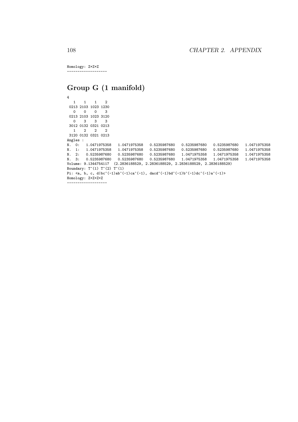Homology: Z+Z+Z -------------------

# Group G (1 manifold)

4 1 1 1 2 0213 2103 1023 1230 0 0 0 3 0213 2103 1023 3120 0 3 3 3 3012 0132 0321 0213 1 2 2 2 3120 0132 0321 0213 Angles : N. 0: 1.0471975358 1.0471975358 0.5235987680 0.5235987680 0.5235987680 1.0471975358 N. 1: 1.0471975358 1.0471975358 0.5235987680 0.5235987680 0.5235987680 1.0471975358 N. 2: 0.5235987680 0.5235987680 0.5235987680 1.0471975358 1.0471975358 1.0471975358 N. 3: 0.5235987680 0.5235987680 0.5235987680 1.0471975358 1.0471975358 1.0471975358 Volume: 9.1344754117 (2.2836188529, 2.2836188529, 2.2836188529, 2.2836188529) Boundary:  $T^(1)$   $T^(2)$   $T^(1)$ Pi:  $\langle a, b, c, d|bc^(-1)ab^(-1)ca^(-1), dacd^(-1)bd^(-1)b^(-1)dc^(-1)a^(-1)$ Homology: Z+Z+Z+Z -------------------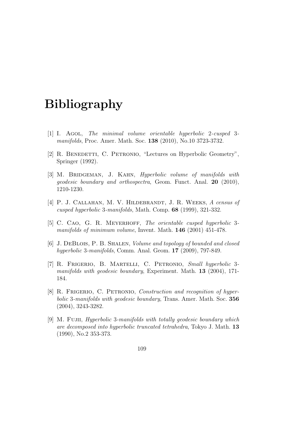## Bibliography

- [1] I. Agol, The minimal volume orientable hyperbolic 2-cusped 3 manifolds, Proc. Amer. Math. Soc. 138 (2010), No.10 3723-3732.
- [2] R. BENEDETTI, C. PETRONIO, "Lectures on Hyperbolic Geometry", Springer (1992).
- [3] M. BRIDGEMAN, J. KAHN, *Hyperbolic volume of manifolds with* geodesic boundary and orthospectra, Geom. Funct. Anal. 20 (2010), 1210-1230.
- [4] P. J. CALLAHAN, M. V. HILDEBRANDT, J. R. WEEKS, A census of cusped hyperbolic 3-manifolds, Math. Comp. 68 (1999), 321-332.
- [5] C. Cao, G. R. Meyerhoff, The orientable cusped hyperbolic 3 manifolds of minimum volume, Invent. Math. 146 (2001) 451-478.
- [6] J. DEBLOIS, P. B. SHALEN, Volume and topology of bounded and closed hyperbolic 3-manifolds, Comm. Anal. Geom. 17 (2009), 797-849.
- [7] R. Frigerio, B. Martelli, C. Petronio, Small hyperbolic 3 manifolds with geodesic boundary, Experiment. Math. 13 (2004), 171- 184.
- [8] R. FRIGERIO, C. PETRONIO, *Construction and recognition of hyper*bolic 3-manifolds with geodesic boundary, Trans. Amer. Math. Soc. 356 (2004), 3243-3282.
- [9] M. Fujii, *Hyperbolic 3-manifolds with totally geodesic boundary which* are decomposed into hyperbolic truncated tetrahedra, Tokyo J. Math. 13 (1990), No.2 353-373.